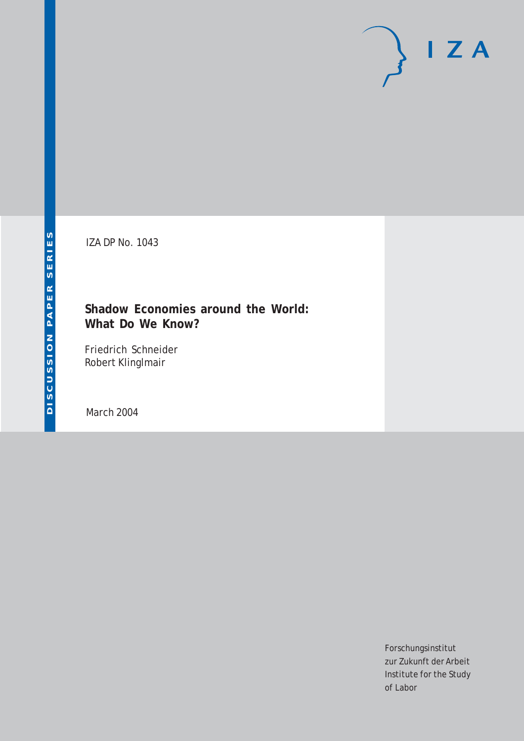# $\mathsf{I}$  Z A

IZA DP No. 1043

# **Shadow Economies around the World: What Do We Know?**

Friedrich Schneider Robert Klinglmair

March 2004

Forschungsinstitut zur Zukunft der Arbeit Institute for the Study of Labor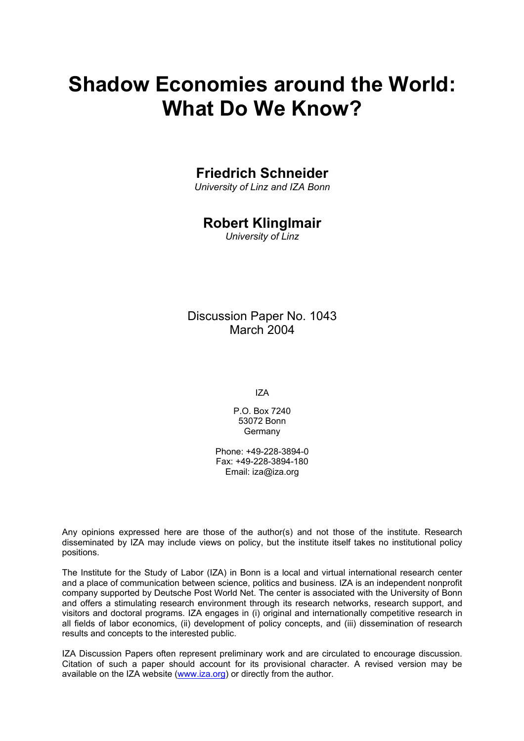# **Shadow Economies around the World: What Do We Know?**

# **Friedrich Schneider**

*University of Linz and IZA Bonn* 

# **Robert Klinglmair**

*University of Linz* 

# Discussion Paper No. 1043 March 2004

IZA

P.O. Box 7240 53072 Bonn Germany

Phone: +49-228-3894-0 Fax: +49-228-3894-180 Email: [iza@iza.org](mailto:iza@iza.org)

Any opinions expressed here are those of the author(s) and not those of the institute. Research disseminated by IZA may include views on policy, but the institute itself takes no institutional policy positions.

The Institute for the Study of Labor (IZA) in Bonn is a local and virtual international research center and a place of communication between science, politics and business. IZA is an independent nonprofit company supported by Deutsche Post World Net. The center is associated with the University of Bonn and offers a stimulating research environment through its research networks, research support, and visitors and doctoral programs. IZA engages in (i) original and internationally competitive research in all fields of labor economics, (ii) development of policy concepts, and (iii) dissemination of research results and concepts to the interested public.

IZA Discussion Papers often represent preliminary work and are circulated to encourage discussion. Citation of such a paper should account for its provisional character. A revised version may be available on the IZA website ([www.iza.org](http://www.iza.org/)) or directly from the author.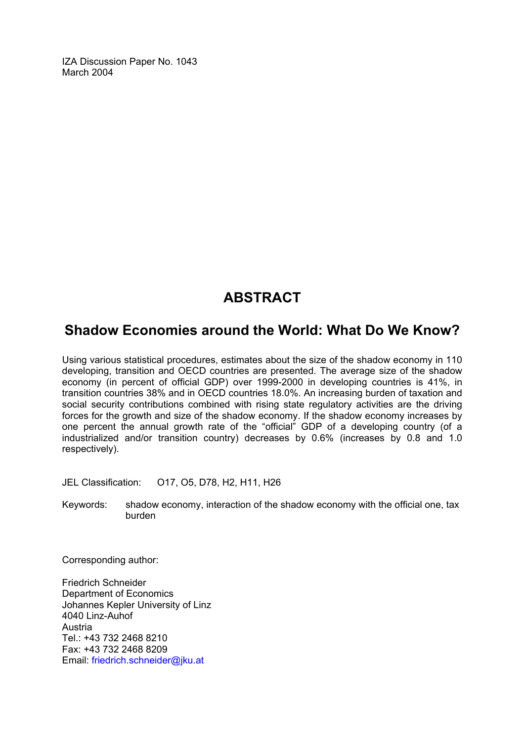IZA Discussion Paper No. 1043 March 2004

# **ABSTRACT**

# **Shadow Economies around the World: What Do We Know?**

Using various statistical procedures, estimates about the size of the shadow economy in 110 developing, transition and OECD countries are presented. The average size of the shadow economy (in percent of official GDP) over 1999-2000 in developing countries is 41%, in transition countries 38% and in OECD countries 18.0%. An increasing burden of taxation and social security contributions combined with rising state regulatory activities are the driving forces for the growth and size of the shadow economy. If the shadow economy increases by one percent the annual growth rate of the "official" GDP of a developing country (of a industrialized and/or transition country) decreases by 0.6% (increases by 0.8 and 1.0 respectively).

JEL Classification: O17, O5, D78, H2, H11, H26

Keywords: shadow economy, interaction of the shadow economy with the official one, tax burden

Corresponding author:

Friedrich Schneider Department of Economics Johannes Kepler University of Linz 4040 Linz-Auhof Austria Tel.: +43 732 2468 8210 Fax: +43 732 2468 8209 Email: [friedrich.schneider@jku.at](mailto:friedrich.schneider@jku.at)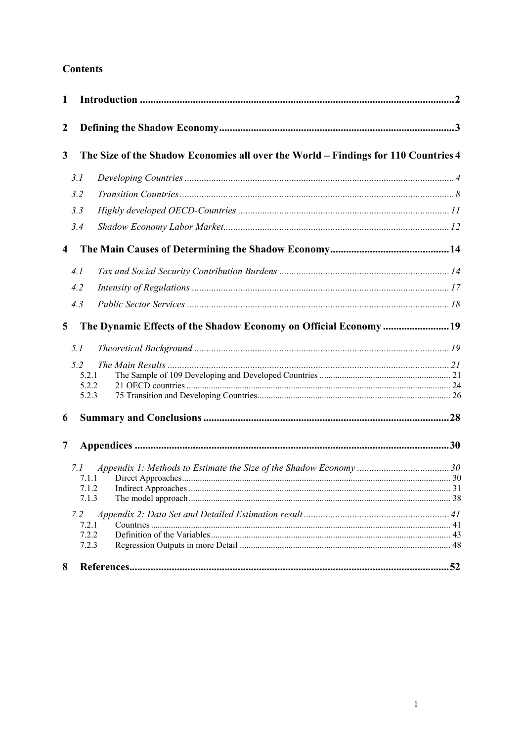### **Contents**

| $\mathbf{1}$            |                |                                                                                    |  |
|-------------------------|----------------|------------------------------------------------------------------------------------|--|
| $\boldsymbol{2}$        |                |                                                                                    |  |
| 3                       |                | The Size of the Shadow Economies all over the World - Findings for 110 Countries 4 |  |
|                         | 3.1            |                                                                                    |  |
|                         | 3.2            |                                                                                    |  |
|                         | 3.3            |                                                                                    |  |
|                         | 3.4            |                                                                                    |  |
| $\overline{\mathbf{4}}$ |                |                                                                                    |  |
|                         | 4.1            |                                                                                    |  |
|                         | 4.2            |                                                                                    |  |
|                         | 4.3            |                                                                                    |  |
| 5                       |                |                                                                                    |  |
|                         | 5.1            |                                                                                    |  |
|                         | 5.2            |                                                                                    |  |
|                         | 5.2.1<br>5.2.2 |                                                                                    |  |
|                         | 5.2.3          |                                                                                    |  |
| 6                       |                |                                                                                    |  |
| 7                       |                |                                                                                    |  |
|                         |                |                                                                                    |  |
|                         | 7.1<br>7.1.1   |                                                                                    |  |
|                         |                |                                                                                    |  |
|                         | 7.1.3          |                                                                                    |  |
|                         | 7.2<br>7.2.1   |                                                                                    |  |
|                         | 7.2.2          |                                                                                    |  |
|                         | 7.2.3          |                                                                                    |  |
| 8                       |                |                                                                                    |  |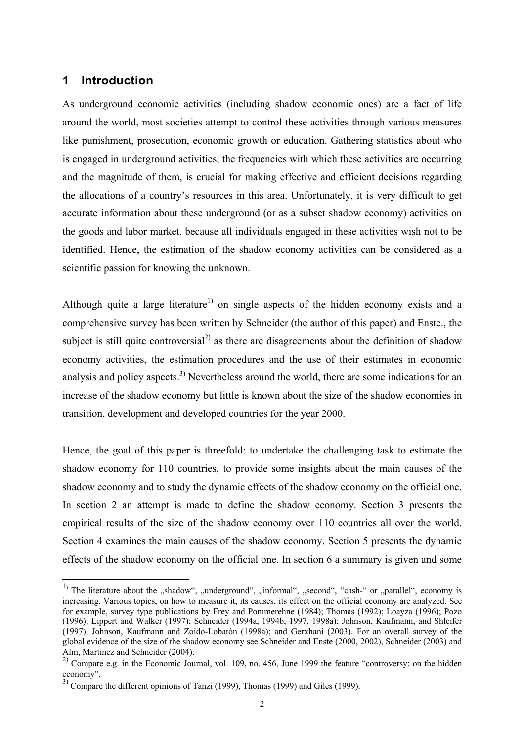# **1 Introduction**

 $\overline{a}$ 

As underground economic activities (including shadow economic ones) are a fact of life around the world, most societies attempt to control these activities through various measures like punishment, prosecution, economic growth or education. Gathering statistics about who is engaged in underground activities, the frequencies with which these activities are occurring and the magnitude of them, is crucial for making effective and efficient decisions regarding the allocations of a country's resources in this area. Unfortunately, it is very difficult to get accurate information about these underground (or as a subset shadow economy) activities on the goods and labor market, because all individuals engaged in these activities wish not to be identified. Hence, the estimation of the shadow economy activities can be considered as a scientific passion for knowing the unknown.

Although quite a large literature<sup>1)</sup> on single aspects of the hidden economy exists and a comprehensive survey has been written by Schneider (the author of this paper) and Enste., the subject is still quite controversial<sup>2)</sup> as there are disagreements about the definition of shadow economy activities, the estimation procedures and the use of their estimates in economic analysis and policy aspects.<sup>3)</sup> Nevertheless around the world, there are some indications for an increase of the shadow economy but little is known about the size of the shadow economies in transition, development and developed countries for the year 2000.

Hence, the goal of this paper is threefold: to undertake the challenging task to estimate the shadow economy for 110 countries, to provide some insights about the main causes of the shadow economy and to study the dynamic effects of the shadow economy on the official one. In section 2 an attempt is made to define the shadow economy. Section 3 presents the empirical results of the size of the shadow economy over 110 countries all over the world. Section 4 examines the main causes of the shadow economy. Section 5 presents the dynamic effects of the shadow economy on the official one. In section 6 a summary is given and some

<sup>&</sup>lt;sup>1)</sup> The literature about the "shadow", "underground", "informal", "second", "cash-" or "parallel", economy is increasing. Various topics, on how to measure it, its causes, its effect on the official economy are analyzed. See for example, survey type publications by Frey and Pommerehne (1984); Thomas (1992); Loayza (1996); Pozo (1996); Lippert and Walker (1997); Schneider (1994a, 1994b, 1997, 1998a); Johnson, Kaufmann, and Shleifer (1997), Johnson, Kaufmann and Zoido-Lobatón (1998a); and Gerxhani (2003). For an overall survey of the global evidence of the size of the shadow economy see Schneider and Enste (2000, 2002), Schneider (2003) and Alm, Martinez and Schneider (2004).

<sup>&</sup>lt;sup>2)</sup> Compare e.g. in the Economic Journal, vol. 109, no. 456, June 1999 the feature "controversy: on the hidden economy".

 $^{3)}$  Compare the different opinions of Tanzi (1999), Thomas (1999) and Giles (1999).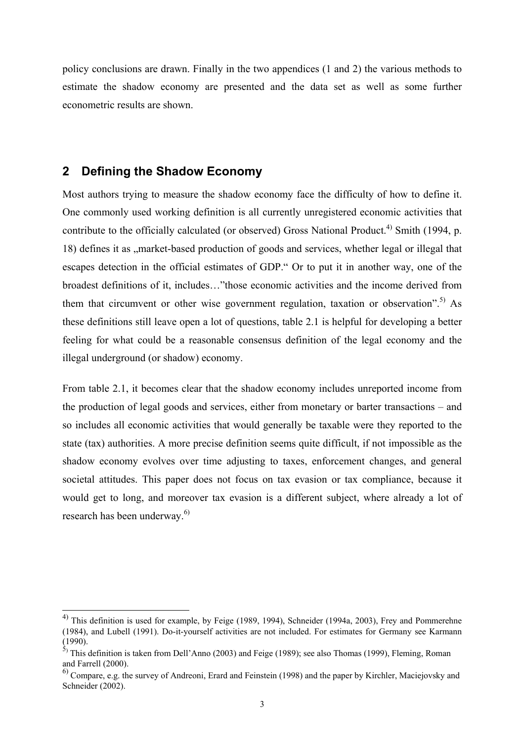policy conclusions are drawn. Finally in the two appendices (1 and 2) the various methods to estimate the shadow economy are presented and the data set as well as some further econometric results are shown.

### **2 Defining the Shadow Economy**

 $\overline{a}$ 

Most authors trying to measure the shadow economy face the difficulty of how to define it. One commonly used working definition is all currently unregistered economic activities that contribute to the officially calculated (or observed) Gross National Product.<sup>4)</sup> Smith (1994, p. 18) defines it as ...market-based production of goods and services, whether legal or illegal that escapes detection in the official estimates of GDP." Or to put it in another way, one of the broadest definitions of it, includes…"those economic activities and the income derived from them that circumvent or other wise government regulation, taxation or observation".<sup>5)</sup> As these definitions still leave open a lot of questions, table 2.1 is helpful for developing a better feeling for what could be a reasonable consensus definition of the legal economy and the illegal underground (or shadow) economy.

From table 2.1, it becomes clear that the shadow economy includes unreported income from the production of legal goods and services, either from monetary or barter transactions – and so includes all economic activities that would generally be taxable were they reported to the state (tax) authorities. A more precise definition seems quite difficult, if not impossible as the shadow economy evolves over time adjusting to taxes, enforcement changes, and general societal attitudes. This paper does not focus on tax evasion or tax compliance, because it would get to long, and moreover tax evasion is a different subject, where already a lot of research has been underway.6)

 $^{4)}$  This definition is used for example, by Feige (1989, 1994), Schneider (1994a, 2003), Frey and Pommerehne (1984), and Lubell (1991). Do-it-yourself activities are not included. For estimates for Germany see Karmann  $(1990)$ .

 $\hat{5}$ ) This definition is taken from Dell'Anno (2003) and Feige (1989); see also Thomas (1999), Fleming, Roman and Farrell (2000).

<sup>6)</sup> Compare, e.g. the survey of Andreoni, Erard and Feinstein (1998) and the paper by Kirchler, Maciejovsky and Schneider (2002).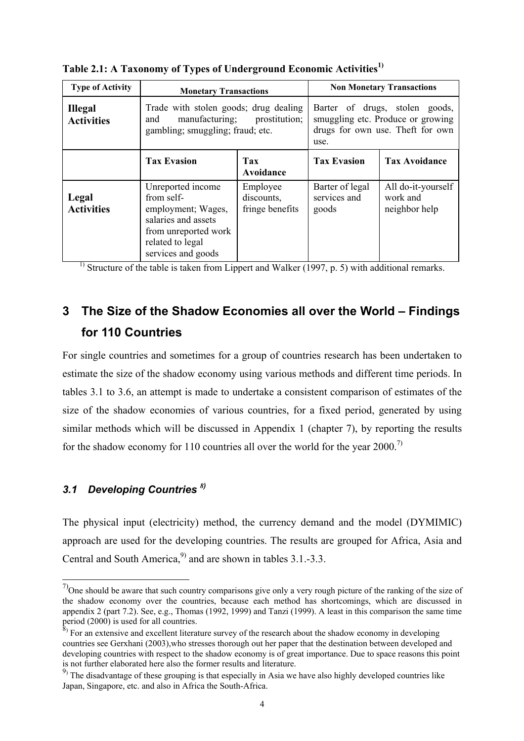| <b>Type of Activity</b>             | <b>Monetary Transactions</b>                                                                                                                   |                                           |                                          | <b>Non Monetary Transactions</b>                                                                        |
|-------------------------------------|------------------------------------------------------------------------------------------------------------------------------------------------|-------------------------------------------|------------------------------------------|---------------------------------------------------------------------------------------------------------|
| <b>Illegal</b><br><b>Activities</b> | Trade with stolen goods; drug dealing<br>manufacturing;<br>and<br>gambling; smuggling; fraud; etc.                                             | prostitution;                             | use.                                     | Barter of drugs, stolen goods,<br>smuggling etc. Produce or growing<br>drugs for own use. Theft for own |
|                                     | <b>Tax Evasion</b>                                                                                                                             | Tax<br>Avoidance                          | <b>Tax Evasion</b>                       | <b>Tax Avoidance</b>                                                                                    |
| Legal<br><b>Activities</b>          | Unreported income<br>from self-<br>employment; Wages,<br>salaries and assets<br>from unreported work<br>related to legal<br>services and goods | Employee<br>discounts,<br>fringe benefits | Barter of legal<br>services and<br>goods | All do-it-yourself<br>work and<br>neighbor help                                                         |

Table 2.1: A Taxonomy of Types of Underground Economic Activities<sup>1)</sup>

<sup>1)</sup> Structure of the table is taken from Lippert and Walker (1997, p. 5) with additional remarks.

# **3 The Size of the Shadow Economies all over the World – Findings for 110 Countries**

For single countries and sometimes for a group of countries research has been undertaken to estimate the size of the shadow economy using various methods and different time periods. In tables 3.1 to 3.6, an attempt is made to undertake a consistent comparison of estimates of the size of the shadow economies of various countries, for a fixed period, generated by using similar methods which will be discussed in Appendix 1 (chapter 7), by reporting the results for the shadow economy for 110 countries all over the world for the year  $2000$ .<sup>7)</sup>

# *3.1 Developing Countries <sup>8</sup>)*

 $\overline{a}$ 

The physical input (electricity) method, the currency demand and the model (DYMIMIC) approach are used for the developing countries. The results are grouped for Africa, Asia and Central and South America, $9$  and are shown in tables 3.1.-3.3.

 $7$ One should be aware that such country comparisons give only a very rough picture of the ranking of the size of the shadow economy over the countries, because each method has shortcomings, which are discussed in appendix 2 (part 7.2). See, e.g., Thomas (1992, 1999) and Tanzi (1999). A least in this comparison the same time period (2000) is used for all countries.

 $^{8}$ ) For an extensive and excellent literature survey of the research about the shadow economy in developing countries see Gerxhani (2003),who stresses thorough out her paper that the destination between developed and developing countries with respect to the shadow economy is of great importance. Due to space reasons this point is not further elaborated here also the former results and literature.

 $^{9}$ ) The disadvantage of these grouping is that especially in Asia we have also highly developed countries like Japan, Singapore, etc. and also in Africa the South-Africa.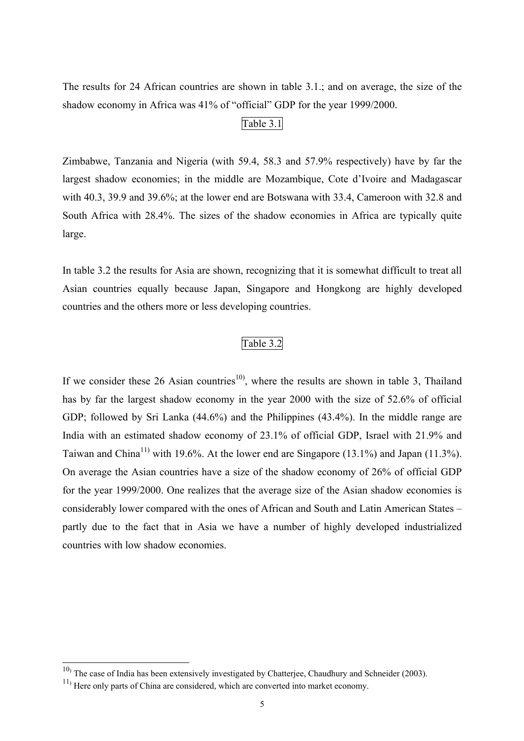The results for 24 African countries are shown in table 3.1.; and on average, the size of the shadow economy in Africa was 41% of "official" GDP for the year 1999/2000.

### Table 3.1

Zimbabwe, Tanzania and Nigeria (with 59.4, 58.3 and 57.9% respectively) have by far the largest shadow economies; in the middle are Mozambique, Cote d'Ivoire and Madagascar with 40.3, 39.9 and 39.6%; at the lower end are Botswana with 33.4, Cameroon with 32.8 and South Africa with 28.4%. The sizes of the shadow economies in Africa are typically quite large.

In table 3.2 the results for Asia are shown, recognizing that it is somewhat difficult to treat all Asian countries equally because Japan, Singapore and Hongkong are highly developed countries and the others more or less developing countries.

# Table 3.2

If we consider these 26 Asian countries<sup>10</sup>, where the results are shown in table 3, Thailand has by far the largest shadow economy in the year 2000 with the size of 52.6% of official GDP; followed by Sri Lanka (44.6%) and the Philippines (43.4%). In the middle range are India with an estimated shadow economy of 23.1% of official GDP, Israel with 21.9% and Taiwan and China<sup>11)</sup> with 19.6%. At the lower end are Singapore (13.1%) and Japan (11.3%). On average the Asian countries have a size of the shadow economy of 26% of official GDP for the year 1999/2000. One realizes that the average size of the Asian shadow economies is considerably lower compared with the ones of African and South and Latin American States – partly due to the fact that in Asia we have a number of highly developed industrialized countries with low shadow economies.

 $10)$  The case of India has been extensively investigated by Chatterjee, Chaudhury and Schneider (2003).

<sup>&</sup>lt;sup>11</sup>) Here only parts of China are considered, which are converted into market economy.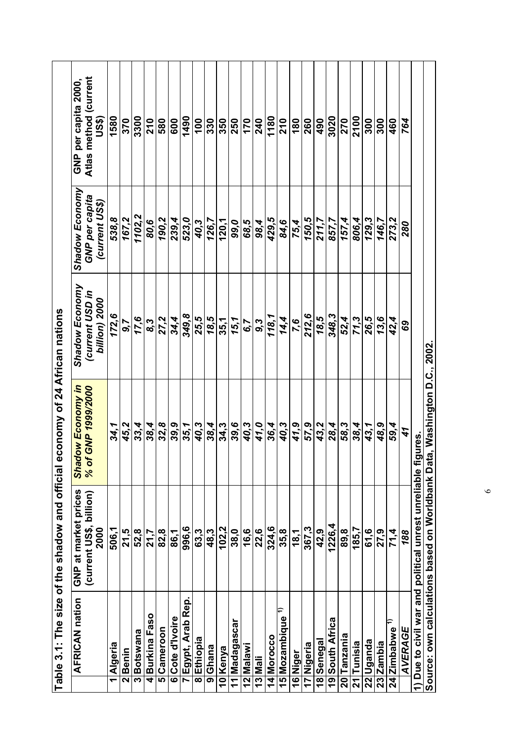|                          |                       | Table 3.1: The size of the shadow and official ec        | conomy of 24 African nations            |                                                                   |                                                    |                                                        |
|--------------------------|-----------------------|----------------------------------------------------------|-----------------------------------------|-------------------------------------------------------------------|----------------------------------------------------|--------------------------------------------------------|
|                          | <b>AFRICAN nation</b> | GNP at market prices<br>(current US\$, billion)<br>2000  | Shadow Economy in<br>% of GNP 1999/2000 | <b>Shadow Economy</b><br>(current USD in<br><b>billion</b> ) 2000 | Shadow Economy<br>GNP per capita<br>(current US\$) | Atlas method (current<br>GNP per capita 2000,<br>US\$) |
| $\overline{\phantom{0}}$ | Algeria               | 506,1                                                    | 34,1                                    | 172,6                                                             | 538,8                                              | 1580                                                   |
|                          | 2 <b>Benin</b>        | 21,5                                                     | 45.2                                    | 9,7                                                               | 167.2                                              | 370                                                    |
|                          | 3Botswana             | 52,8                                                     | 33,4                                    | 17,6                                                              | 1102,2                                             | 3300                                                   |
|                          | 4 Burkina Faso        | 21,7                                                     | 38,4                                    | 8,3                                                               | 80,6                                               | 210                                                    |
|                          | 5 Cameroon            | 82,8                                                     | 32,8                                    | 27,2                                                              | 190.2                                              | 580                                                    |
|                          | 6 Cote d'Ivoire       | 86,1                                                     | 39,9                                    | 34.4                                                              | 239,4                                              | 600                                                    |
|                          | 7 Egypt, Arab Rep     | 996,6                                                    | 35,1                                    | 349,8                                                             | 523,0                                              | 1490                                                   |
|                          | 8<br>Ethiopia         | 63,3                                                     | 40,3                                    | 25,5                                                              | 40,3                                               | $\frac{1}{2}$                                          |
|                          | 9<br>Ghana            | 48,3                                                     | 38,4                                    | 18,5                                                              | 126,7                                              | 330                                                    |
|                          | 10 Kenya              | 102,2                                                    | 34,3                                    | 35,1                                                              | 120,1                                              | 350                                                    |
|                          | 11 Madagascar         | 38.0                                                     | 39,6                                    | 15,1                                                              | 99,0                                               | 250                                                    |
|                          | 12 Malawi             | 16,6                                                     | 40,3                                    | 6,7                                                               | 68,5                                               | 170                                                    |
| 13 Mali                  |                       | 22,6                                                     | 41,0                                    | 9,3                                                               | 98,4                                               | 240                                                    |
|                          | 14 Morocco            | 324,6                                                    | 36.4                                    | 118.1                                                             | 429.5                                              | 1180                                                   |
|                          | ╤<br>15 Mozambique    | 35,8                                                     | 40,3                                    | 14,4                                                              | 84,6                                               | <b>210</b>                                             |
| 16 Niger                 |                       | 18,1                                                     | 41,9                                    | 7,6                                                               | 75,4                                               | 180                                                    |
|                          | 17 Nigeria            | 367,3                                                    | 57,9                                    | 212,6                                                             | 150.5                                              | 260                                                    |
|                          | 18 Senegal            | 42,9                                                     | 43,2                                    | 18,5                                                              | 211,7                                              | 490                                                    |
|                          | 19 South Africa       | 1226,4                                                   | 28,4                                    | 348,3                                                             | 857,7                                              | 3020                                                   |
|                          | 20 Tanzania           | 89.8                                                     | 58,3                                    | 52,4                                                              | 157,4                                              | 270                                                    |
|                          | 21 Tunisia            | 185.7                                                    | 38,4                                    | 71,3                                                              | 806.4                                              | 2100                                                   |
|                          | 22 Uganda             | 61,6                                                     | 43,1                                    | 26,5                                                              | 129,3                                              | 300                                                    |
|                          | 23 Zambia             | 27,9                                                     | 48,9                                    | 13,6                                                              | 146,7                                              | 300                                                    |
|                          | ╤<br>24 Zimbabwe      | 71,4                                                     | 59.4                                    | 42,4                                                              | 273.2                                              | 460                                                    |
|                          | AVERAGE               | 188                                                      | 41                                      | ဒ္ဓ                                                               | 280                                                | 764                                                    |
|                          |                       | 1) Due to civil war and political unrest unreliable figu | ures                                    |                                                                   |                                                    |                                                        |
|                          |                       | Source: own calculations based on Worldbank Data         | Washington D.C., 2002                   |                                                                   |                                                    |                                                        |
|                          |                       |                                                          |                                         |                                                                   |                                                    |                                                        |

 $\bullet$  $\sim$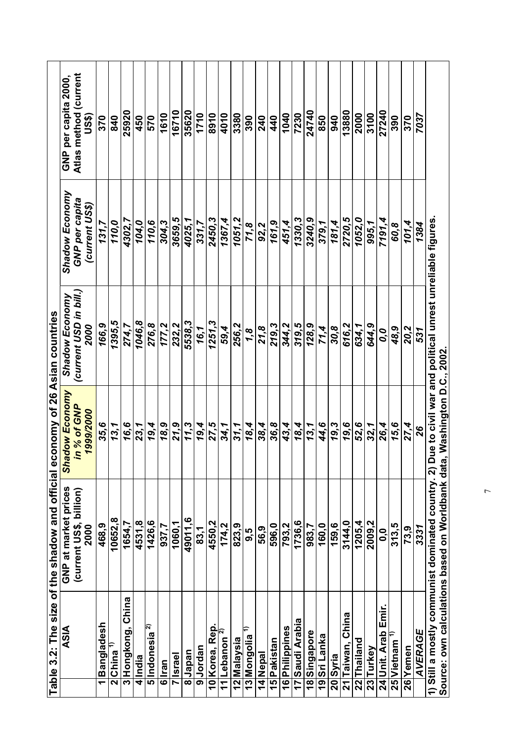| ASIA                      | GNP at market prices                                                                                                                                            | Table 3.2: The size of the shadow and official economy of 26 Asian countries<br><b>Shadow Economy</b> | Shadow Economy         | Shadow Economy | GNP per capita 2000,  |
|---------------------------|-----------------------------------------------------------------------------------------------------------------------------------------------------------------|-------------------------------------------------------------------------------------------------------|------------------------|----------------|-----------------------|
|                           | (current US\$, billion)                                                                                                                                         | in % of GNP                                                                                           | (current USD in bill.) | GNP per capita | Atlas method (current |
|                           | 2000                                                                                                                                                            | 1999/2000                                                                                             | 2000                   | (current US\$) | US\$)                 |
| Bangladesh                | 468,9                                                                                                                                                           | 35,6                                                                                                  | 166,9                  | 131,7          | 370                   |
| 2 China <sup>1)</sup>     | 10652,8                                                                                                                                                         | 13.1                                                                                                  | 1395,5                 | 110,0          | 840                   |
| 3 Hongkong, China         | 1654.7                                                                                                                                                          | 16.6                                                                                                  | 274,7                  | 4302,7         | 25920                 |
| 4 India                   | 4531.8                                                                                                                                                          | 23.1                                                                                                  | 1046,8                 | 104,0          | 450                   |
| 5 Indonesia <sup>2)</sup> | 1426.6                                                                                                                                                          | 19.4                                                                                                  | 276,8                  | 110,6          | 570                   |
| Gilran                    | 937,7                                                                                                                                                           | 18.9                                                                                                  | 177,2                  | 304.3          | 1610                  |
| <b>7</b> Israel           | 1060,1                                                                                                                                                          | 21,9                                                                                                  | 232,2                  | 3659,5         | 16710                 |
| nsder 8                   | 49011,6                                                                                                                                                         | 11,3                                                                                                  | 5538,3                 | 4025,1         | 35620                 |
| 9 Jordan                  | 83,1                                                                                                                                                            | 19,4                                                                                                  | 16,1                   | 331,7          | 1710                  |
| 10 Korea, Rep             | 4550,2                                                                                                                                                          | 27,5                                                                                                  | 1251,3                 | 2450,3         | 8910                  |
| 11 Lebanon                | 174,2                                                                                                                                                           | 34,1                                                                                                  | 59.4                   | 1367,4         | 4010                  |
| 12 Malaysia               | 823,9                                                                                                                                                           | 31,1                                                                                                  | 256,2                  | 1051,2         | 3380                  |
| 13 Mongolia               | 9,5                                                                                                                                                             | 18.4                                                                                                  | 1,8                    | 71,8           | 390                   |
| 14 Nepal                  | 56,9                                                                                                                                                            | 38.4                                                                                                  | 21,8                   | 92,2           | 240                   |
| 15 Pakistan               | 596,0                                                                                                                                                           | 36,8                                                                                                  | 219,3                  | 161,9          | 440                   |
| 16 Philippines            | 793,2                                                                                                                                                           | 43,4                                                                                                  | 344,2                  | 451,4          | 1040                  |
| 17 Saudi Arabia           | 1736,6                                                                                                                                                          | 18,4                                                                                                  | 319,5                  | 1330,3         | 7230                  |
| 18Singapore               | 983,7                                                                                                                                                           | 13.1                                                                                                  | 128,9                  | 3240,9         | 24740                 |
| 19Sri Lanka               | 160,0                                                                                                                                                           | 44,6                                                                                                  | 71,4                   | 379,1          | 850                   |
| 20<br>Syria               | 159,6                                                                                                                                                           | 19,3                                                                                                  | 30,8                   | 181,4          | 940                   |
| China<br>21 Taiwan,       | 3144.0                                                                                                                                                          | 19,6                                                                                                  | 616.2                  | 2720,5         | 13880                 |
| 22 Thailand               | 1205,4                                                                                                                                                          | 52.6                                                                                                  | 634,1                  | 1052,0         | 2000                  |
| 23 Turkey                 | 2009,2                                                                                                                                                          | 32,1                                                                                                  | 644,9                  | 995,1          | 3100                  |
| 24 Unit. Arab Emir        | $\frac{1}{2}$                                                                                                                                                   | 26,4                                                                                                  | 0,0                    | 7191,4         | 27240                 |
| 25 Vietnam <sup>1)</sup>  | 313,5                                                                                                                                                           | 15,6                                                                                                  | 48,9                   | 60,8           | 390                   |
| 26 Yemen                  | 73.9                                                                                                                                                            | 27.4                                                                                                  | 20,2                   | 101.4          | 370                   |
| AVERAGE                   | 3331                                                                                                                                                            | 26                                                                                                    | 531                    | 1384           | 7037                  |
|                           | 1) Still a mostly communist dominated country. 2) Due to civil war and political unrest unreliable figures<br>Source: own calculations based on Worldbank data, | Washington D.C., 2002                                                                                 |                        |                |                       |

 $\overline{\phantom{0}}$ T<br>*T*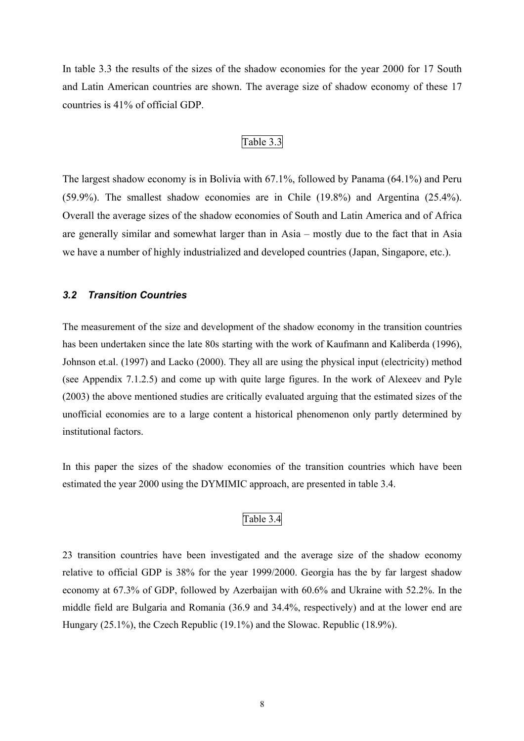In table 3.3 the results of the sizes of the shadow economies for the year 2000 for 17 South and Latin American countries are shown. The average size of shadow economy of these 17 countries is 41% of official GDP.

### Table 3.3

The largest shadow economy is in Bolivia with 67.1%, followed by Panama (64.1%) and Peru (59.9%). The smallest shadow economies are in Chile (19.8%) and Argentina (25.4%). Overall the average sizes of the shadow economies of South and Latin America and of Africa are generally similar and somewhat larger than in Asia – mostly due to the fact that in Asia we have a number of highly industrialized and developed countries (Japan, Singapore, etc.).

### *3.2 Transition Countries*

The measurement of the size and development of the shadow economy in the transition countries has been undertaken since the late 80s starting with the work of Kaufmann and Kaliberda (1996), Johnson et.al. (1997) and Lacko (2000). They all are using the physical input (electricity) method (see Appendix 7.1.2.5) and come up with quite large figures. In the work of Alexeev and Pyle (2003) the above mentioned studies are critically evaluated arguing that the estimated sizes of the unofficial economies are to a large content a historical phenomenon only partly determined by institutional factors.

In this paper the sizes of the shadow economies of the transition countries which have been estimated the year 2000 using the DYMIMIC approach, are presented in table 3.4.

### Table 3.4

23 transition countries have been investigated and the average size of the shadow economy relative to official GDP is 38% for the year 1999/2000. Georgia has the by far largest shadow economy at 67.3% of GDP, followed by Azerbaijan with 60.6% and Ukraine with 52.2%. In the middle field are Bulgaria and Romania (36.9 and 34.4%, respectively) and at the lower end are Hungary (25.1%), the Czech Republic (19.1%) and the Slowac. Republic (18.9%).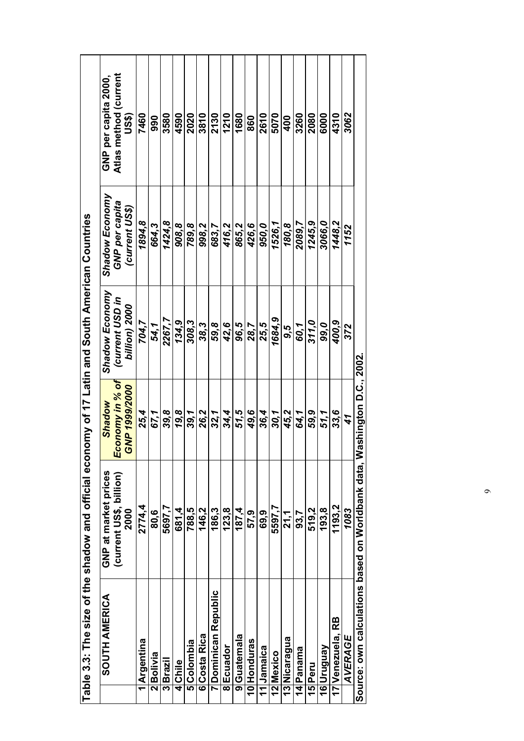|                      | Table 3.3: The size of the shadow and official econ |                      | omy of 17 Latin and South American Countries |                |                       |
|----------------------|-----------------------------------------------------|----------------------|----------------------------------------------|----------------|-----------------------|
| <b>SOUTH AMERICA</b> | GNP at market prices                                | <b>Shadow</b>        | Shadow Economy                               | Shadow Economy | GNP per capita 2000,  |
|                      | (current US\$, billion)                             | Economy in % of      | (current USD in                              | GNP per capita | Atlas method (current |
|                      | 2000                                                | GWP 1999/2000        | billion) 2000                                | (current US\$) | US\$)                 |
| Argentina            | 2774.4                                              | 25,4                 | 704,7                                        | 1894,8         | 7460                  |
| 2 <b>Bolivia</b>     | <u>ဖ</u>                                            | 67,1                 | 54,1                                         | 664,3          | 990                   |
| 3 Brazil             | 5697,7                                              | 39.8                 | 2267,7                                       | 1424.8         | 3580                  |
| 4 Chile              | 681.4                                               | 19.8                 | 134.9                                        | 908.8          | 4590                  |
| 5 Colombia           | 788.5                                               | 39.1                 | 308.3                                        | 789.8          | 2020                  |
| 6 Costa Rica         | 146.2                                               | 26,2                 | 38,3                                         | 998.2          | 3810                  |
| 7 Dominican Republic | 186.3                                               | 32,1                 | 59,8                                         | 683.7          | 2130                  |
| 8 Ecuador            | 123,8                                               | 34,4                 | 42,6                                         | 416,2          | 1210                  |
| 9 Guatemala          | 187.4                                               | 51.5                 | 96.5                                         | 865,2          | 1680                  |
| 10 Honduras          | 57.9                                                | 49.6                 | 28.7                                         | 426.6          | 860                   |
| 11 Jamaica           | თ<br>მ<br>მ                                         | 36.4                 | 25.5                                         | 950.0          | <b>2610</b>           |
| 12 Mexico            | 5597.7                                              | 30,1                 | 1684.9                                       | 1526,1         | 5070                  |
| 13 Nicaragua         | 21,1                                                | 45,2                 | 9,6                                          | 180,8          | $\frac{400}{1}$       |
| 14 Panama            | 93.7                                                | 64.1                 | 60.1                                         | 2089.7         | 3260                  |
| 15 Peru              | 519.2                                               | 59.9                 | 311.0                                        | 1245.9         | 2080                  |
| Venbnun 9            | 193.8                                               | 51.1                 | 99.0                                         | 3066.0         | 6000                  |
| 17 Venezuela, RB     | 1193.2                                              | 33,6                 | 400.9                                        | 1448.2         | 4310                  |
| AVERAGE              | 1083                                                | 41                   | 372                                          | 1152           | 3062                  |
|                      | Source: own calculations based on Worldbank data, W | ashington D.C., 2002 |                                              |                |                       |

 $\circ$  $\overline{9}$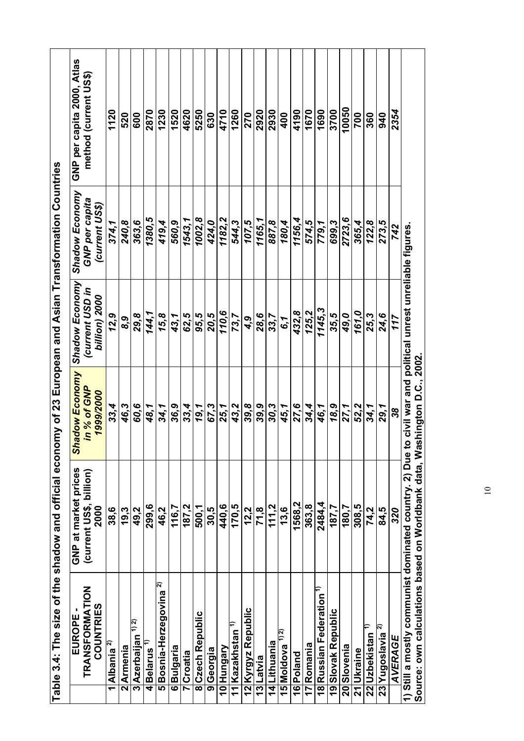| Table 3.4: The size of the shadow and official economy of 23 European and Asian Transformation Countries                                                                              |                                                         |                                                      |                                                    |                                                           |                                                     |  |
|---------------------------------------------------------------------------------------------------------------------------------------------------------------------------------------|---------------------------------------------------------|------------------------------------------------------|----------------------------------------------------|-----------------------------------------------------------|-----------------------------------------------------|--|
| TRANSFORMATION<br>COUNTRIES<br>EUROPE                                                                                                                                                 | GNP at market prices<br>(current US\$, billion)<br>2000 | adow Economy<br>in % of GNP<br>1999/2000<br><u>န</u> | Shadow Economy<br>(current USD in<br>billion) 2000 | <b>Shadow Economy</b><br>GNP per capita<br>(current US\$) | GNP per capita 2000, Atlas<br>method (current US\$) |  |
| 1 <mark>Albania <sup>2)</sup></mark>                                                                                                                                                  | 38,6                                                    | 33,4                                                 | 12,9                                               | 374,1                                                     | 1120                                                |  |
| Armenia<br>$\overline{\mathbf{N}}$                                                                                                                                                    | 19,3                                                    | 46,3                                                 | 8,9                                                | 240,8                                                     | 520                                                 |  |
| (2(1)<br>3 Azerbaijan                                                                                                                                                                 | 49.2                                                    | 60.6                                                 | 29.8                                               | 363.6                                                     | 600                                                 |  |
| 4Belarus                                                                                                                                                                              | 299,6                                                   | 48,1                                                 | 144,1                                              | 1380,5                                                    | 2870                                                |  |
| ส<br>5 Bosnia-Herzegovina                                                                                                                                                             | 46,2                                                    | 34.1                                                 | 15,8                                               | 419.4                                                     | 1230                                                |  |
| 6 Bulgaria                                                                                                                                                                            | 116,7                                                   | 36,9                                                 | 43,1                                               | 560,9                                                     | 1520                                                |  |
| <b>7</b> Croatia                                                                                                                                                                      | 187,2                                                   | 33.4                                                 | 62,5                                               | 1543.1                                                    | 4620                                                |  |
| 8 Czech Republic                                                                                                                                                                      | 500,1                                                   | 19,1                                                 | 95,5                                               | 1002,8                                                    | 5250                                                |  |
| 9<br>Georgia                                                                                                                                                                          | 30.5                                                    | 67,3                                                 | 20.5                                               | 424,0                                                     | 630                                                 |  |
| 10 Hungary                                                                                                                                                                            | 440,6                                                   | 25,1                                                 | 110.6                                              | 1182,2                                                    | 4710                                                |  |
| 11 Kazakhstan                                                                                                                                                                         | 170,5                                                   | 43,2                                                 | 73,7                                               | 544,3                                                     | 1260                                                |  |
| 12 Kyrgyz Republic                                                                                                                                                                    | 12,2                                                    | 39,8                                                 | 4.9                                                | 107.5                                                     | 270                                                 |  |
| 13 Latvia                                                                                                                                                                             | 71,8                                                    | 39,9                                                 | 28,6                                               | 1165,1                                                    | 2920                                                |  |
| 14 Lithuania                                                                                                                                                                          | 111.2                                                   | 30.3                                                 | 33.7                                               | 887,8                                                     | 2930                                                |  |
| 15 Moldova <sup><math>1)</math>2)</sup>                                                                                                                                               | 13,6                                                    | 45,1                                                 | 6,1                                                | 180,4                                                     | 400                                                 |  |
| 16 Poland                                                                                                                                                                             | 1568.2                                                  | 27,6                                                 | 432.8                                              | 1156.4                                                    | 4190                                                |  |
| 17 Romania                                                                                                                                                                            | 363,8                                                   | 34,4                                                 | 125,2                                              | 574,5                                                     | 1670                                                |  |
| 18 Russian Federation <sup>1)</sup>                                                                                                                                                   | 2484,4                                                  | 46.1                                                 | 1145.3                                             | 779.1                                                     | 1690                                                |  |
| 19 Slovak Republic                                                                                                                                                                    | 187,7                                                   | 18,9                                                 | 35,5                                               | 699,3                                                     | 3700                                                |  |
| 20<br>Slovenia                                                                                                                                                                        | 180,7                                                   | 27,1                                                 | 49,0                                               | 2723,6                                                    | 10050                                               |  |
| 21 Ukraine                                                                                                                                                                            | 308.5                                                   | 52,2                                                 | 161.0                                              | 365.4                                                     | <b>POZ</b>                                          |  |
| 22 Uzbekistan                                                                                                                                                                         | 74,2                                                    | 34.1                                                 | 25,3                                               | 122,8                                                     | 360                                                 |  |
| ล<br>23 Yugoslavia                                                                                                                                                                    | 84,5                                                    | 29,1                                                 | 24,6                                               | 273,5                                                     | 940                                                 |  |
| AVERAGE                                                                                                                                                                               | 320                                                     | 38                                                   | 117                                                | 742                                                       | 2354                                                |  |
| 1) Still a mostly communist dominated country. 2) Due to civil war and political unrest unreliable figures<br>Source: own calculations based on Worldbank data, Washington D.C., 2002 |                                                         |                                                      |                                                    |                                                           |                                                     |  |
|                                                                                                                                                                                       |                                                         |                                                      |                                                    |                                                           |                                                     |  |

 $\overline{10}$  $10$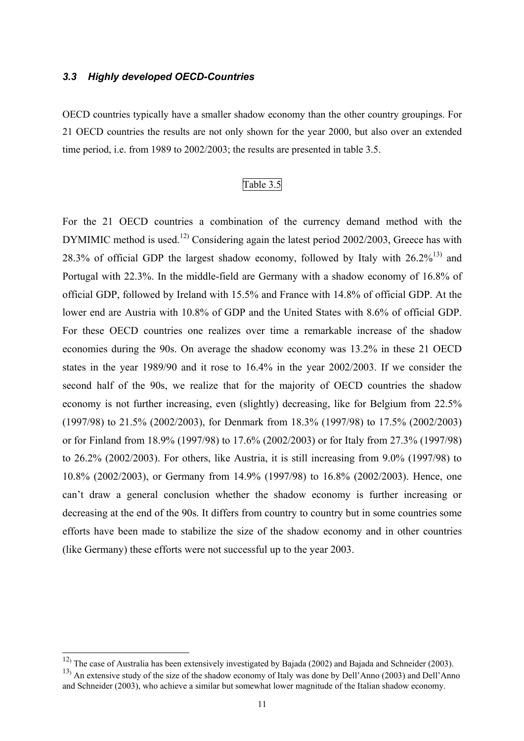### *3.3 Highly developed OECD-Countries*

OECD countries typically have a smaller shadow economy than the other country groupings. For 21 OECD countries the results are not only shown for the year 2000, but also over an extended time period, i.e. from 1989 to 2002/2003; the results are presented in table 3.5.

### Table 3.5

For the 21 OECD countries a combination of the currency demand method with the DYMIMIC method is used.<sup>12)</sup> Considering again the latest period 2002/2003, Greece has with 28.3% of official GDP the largest shadow economy, followed by Italy with  $26.2\%^{13}$  and Portugal with 22.3%. In the middle-field are Germany with a shadow economy of 16.8% of official GDP, followed by Ireland with 15.5% and France with 14.8% of official GDP. At the lower end are Austria with 10.8% of GDP and the United States with 8.6% of official GDP. For these OECD countries one realizes over time a remarkable increase of the shadow economies during the 90s. On average the shadow economy was 13.2% in these 21 OECD states in the year 1989/90 and it rose to 16.4% in the year 2002/2003. If we consider the second half of the 90s, we realize that for the majority of OECD countries the shadow economy is not further increasing, even (slightly) decreasing, like for Belgium from 22.5% (1997/98) to 21.5% (2002/2003), for Denmark from 18.3% (1997/98) to 17.5% (2002/2003) or for Finland from 18.9% (1997/98) to 17.6% (2002/2003) or for Italy from 27.3% (1997/98) to 26.2% (2002/2003). For others, like Austria, it is still increasing from 9.0% (1997/98) to 10.8% (2002/2003), or Germany from 14.9% (1997/98) to 16.8% (2002/2003). Hence, one can't draw a general conclusion whether the shadow economy is further increasing or decreasing at the end of the 90s. It differs from country to country but in some countries some efforts have been made to stabilize the size of the shadow economy and in other countries (like Germany) these efforts were not successful up to the year 2003.

 $^{12}$ ) The case of Australia has been extensively investigated by Bajada (2002) and Bajada and Schneider (2003). <sup>13</sup>) An extensive study of the size of the shadow economy of Italy was done by Dell'Anno (2003) and Dell'Anno and Schneider (2003), who achieve a similar but somewhat lower magnitude of the Italian shadow economy.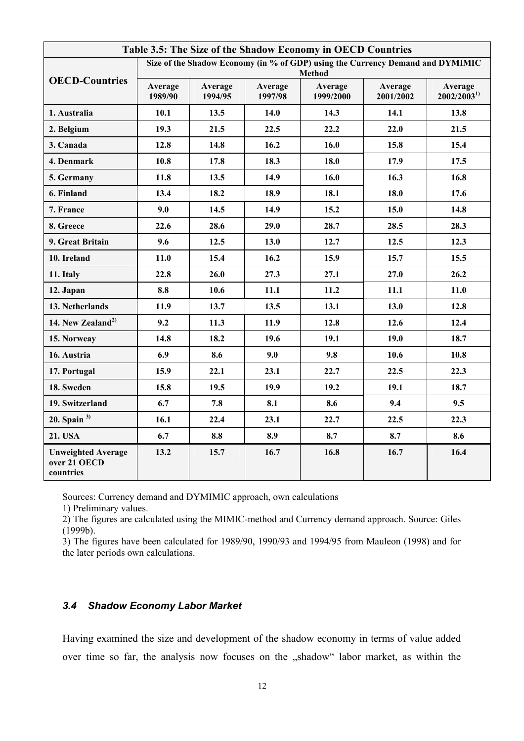| Table 3.5: The Size of the Shadow Economy in OECD Countries<br>Size of the Shadow Economy (in % of GDP) using the Currency Demand and DYMIMIC |                    |                    |                    |                      |                      |                            |
|-----------------------------------------------------------------------------------------------------------------------------------------------|--------------------|--------------------|--------------------|----------------------|----------------------|----------------------------|
|                                                                                                                                               |                    |                    |                    | <b>Method</b>        |                      |                            |
| <b>OECD-Countries</b>                                                                                                                         | Average<br>1989/90 | Average<br>1994/95 | Average<br>1997/98 | Average<br>1999/2000 | Average<br>2001/2002 | Average<br>$2002/2003^{1}$ |
| 1. Australia                                                                                                                                  | 10.1               | 13.5               | 14.0               | 14.3                 | 14.1                 | 13.8                       |
| 2. Belgium                                                                                                                                    | 19.3               | 21.5               | 22.5               | 22.2                 | 22.0                 | 21.5                       |
| 3. Canada                                                                                                                                     | 12.8               | 14.8               | 16.2               | 16.0                 | 15.8                 | 15.4                       |
| 4. Denmark                                                                                                                                    | 10.8               | 17.8               | 18.3               | 18.0                 | 17.9                 | 17.5                       |
| 5. Germany                                                                                                                                    | 11.8               | 13.5               | 14.9               | 16.0                 | 16.3                 | 16.8                       |
| 6. Finland                                                                                                                                    | 13.4               | 18.2               | 18.9               | 18.1                 | 18.0                 | 17.6                       |
| 7. France                                                                                                                                     | 9.0                | 14.5               | 14.9               | 15.2                 | 15.0                 | 14.8                       |
| 8. Greece                                                                                                                                     | 22.6               | 28.6               | 29.0               | 28.7                 | 28.5                 | 28.3                       |
| 9. Great Britain                                                                                                                              | 9.6                | 12.5               | 13.0               | 12.7                 | 12.5                 | 12.3                       |
| 10. Ireland                                                                                                                                   | 11.0               | 15.4               | 16.2               | 15.9                 | 15.7                 | 15.5                       |
| 11. Italy                                                                                                                                     | 22.8               | 26.0               | 27.3               | 27.1                 | 27.0                 | 26.2                       |
| 12. Japan                                                                                                                                     | 8.8                | 10.6               | 11.1               | 11.2                 | 11.1                 | 11.0                       |
| 13. Netherlands                                                                                                                               | 11.9               | 13.7               | 13.5               | 13.1                 | 13.0                 | 12.8                       |
| 14. New Zealand <sup>2)</sup>                                                                                                                 | 9.2                | 11.3               | 11.9               | 12.8                 | 12.6                 | 12.4                       |
| 15. Norweay                                                                                                                                   | 14.8               | 18.2               | 19.6               | 19.1                 | 19.0                 | 18.7                       |
| 16. Austria                                                                                                                                   | 6.9                | 8.6                | 9.0                | 9.8                  | 10.6                 | 10.8                       |
| 17. Portugal                                                                                                                                  | 15.9               | 22.1               | 23.1               | 22.7                 | 22.5                 | 22.3                       |
| 18. Sweden                                                                                                                                    | 15.8               | 19.5               | 19.9               | 19.2                 | 19.1                 | 18.7                       |
| 19. Switzerland                                                                                                                               | 6.7                | 7.8                | 8.1                | 8.6                  | 9.4                  | 9.5                        |
| 20. Spain $3$                                                                                                                                 | 16.1               | 22.4               | 23.1               | 22.7                 | 22.5                 | 22.3                       |
| 21. USA                                                                                                                                       | 6.7                | 8.8                | 8.9                | 8.7                  | 8.7                  | 8.6                        |
| <b>Unweighted Average</b><br>over 21 OECD<br>countries                                                                                        | 13.2               | 15.7               | 16.7               | 16.8                 | 16.7                 | 16.4                       |

Sources: Currency demand and DYMIMIC approach, own calculations

1) Preliminary values.

2) The figures are calculated using the MIMIC-method and Currency demand approach. Source: Giles (1999b).

3) The figures have been calculated for 1989/90, 1990/93 and 1994/95 from Mauleon (1998) and for the later periods own calculations.

### *3.4 Shadow Economy Labor Market*

Having examined the size and development of the shadow economy in terms of value added over time so far, the analysis now focuses on the "shadow" labor market, as within the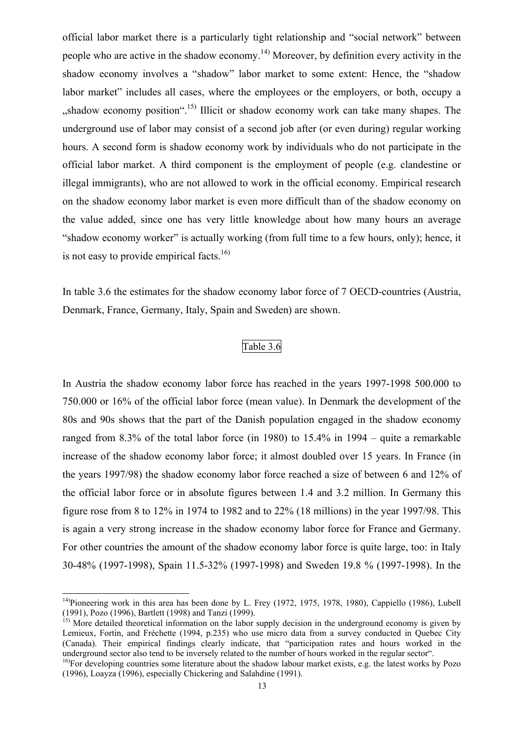official labor market there is a particularly tight relationship and "social network" between people who are active in the shadow economy.14) Moreover, by definition every activity in the shadow economy involves a "shadow" labor market to some extent: Hence, the "shadow labor market" includes all cases, where the employees or the employers, or both, occupy a ", shadow economy position".<sup>15)</sup> Illicit or shadow economy work can take many shapes. The underground use of labor may consist of a second job after (or even during) regular working hours. A second form is shadow economy work by individuals who do not participate in the official labor market. A third component is the employment of people (e.g. clandestine or illegal immigrants), who are not allowed to work in the official economy. Empirical research on the shadow economy labor market is even more difficult than of the shadow economy on the value added, since one has very little knowledge about how many hours an average "shadow economy worker" is actually working (from full time to a few hours, only); hence, it is not easy to provide empirical facts.<sup>16)</sup>

In table 3.6 the estimates for the shadow economy labor force of 7 OECD-countries (Austria, Denmark, France, Germany, Italy, Spain and Sweden) are shown.

### Table 3.6

In Austria the shadow economy labor force has reached in the years 1997-1998 500.000 to 750.000 or 16% of the official labor force (mean value). In Denmark the development of the 80s and 90s shows that the part of the Danish population engaged in the shadow economy ranged from 8.3% of the total labor force (in 1980) to 15.4% in 1994 – quite a remarkable increase of the shadow economy labor force; it almost doubled over 15 years. In France (in the years 1997/98) the shadow economy labor force reached a size of between 6 and 12% of the official labor force or in absolute figures between 1.4 and 3.2 million. In Germany this figure rose from 8 to 12% in 1974 to 1982 and to 22% (18 millions) in the year 1997/98. This is again a very strong increase in the shadow economy labor force for France and Germany. For other countries the amount of the shadow economy labor force is quite large, too: in Italy 30-48% (1997-1998), Spain 11.5-32% (1997-1998) and Sweden 19.8 % (1997-1998). In the

<sup>&</sup>lt;sup>14)</sup>Pioneering work in this area has been done by L. Frey (1972, 1975, 1978, 1980), Cappiello (1986), Lubell (1991), Pozo (1996), Bartlett (1998) and Tanzi (1999).

<sup>&</sup>lt;sup>15)</sup> More detailed theoretical information on the labor supply decision in the underground economy is given by Lemieux, Fortin, and Fréchette (1994, p.235) who use micro data from a survey conducted in Quebec City (Canada). Their empirical findings clearly indicate, that "participation rates and hours worked in the underground sector also tend to be inversely related to the number of hours worked in the regular sector".

<sup>&</sup>lt;sup>16)</sup>For developing countries some literature about the shadow labour market exists, e.g. the latest works by Pozo (1996), Loayza (1996), especially Chickering and Salahdine (1991).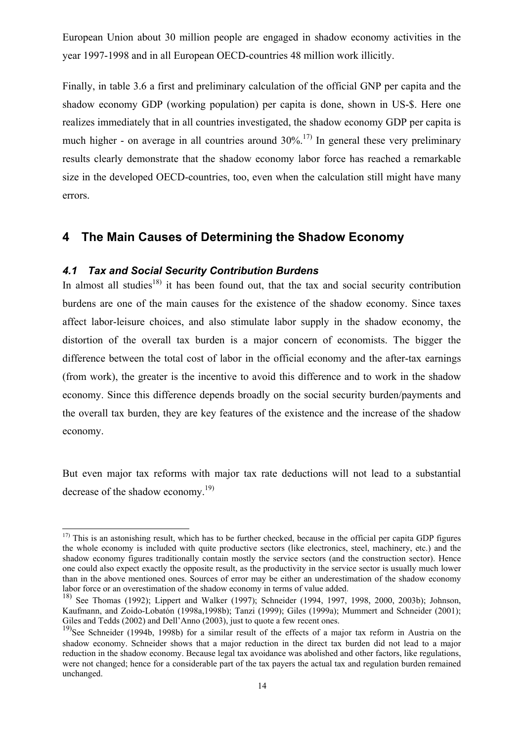European Union about 30 million people are engaged in shadow economy activities in the year 1997-1998 and in all European OECD-countries 48 million work illicitly.

Finally, in table 3.6 a first and preliminary calculation of the official GNP per capita and the shadow economy GDP (working population) per capita is done, shown in US-\$. Here one realizes immediately that in all countries investigated, the shadow economy GDP per capita is much higher - on average in all countries around  $30\%$ <sup>17)</sup> In general these very preliminary results clearly demonstrate that the shadow economy labor force has reached a remarkable size in the developed OECD-countries, too, even when the calculation still might have many errors.

### **4 The Main Causes of Determining the Shadow Economy**

### *4.1 Tax and Social Security Contribution Burdens*

 $\overline{a}$ 

In almost all studies<sup>18)</sup> it has been found out, that the tax and social security contribution burdens are one of the main causes for the existence of the shadow economy. Since taxes affect labor-leisure choices, and also stimulate labor supply in the shadow economy, the distortion of the overall tax burden is a major concern of economists. The bigger the difference between the total cost of labor in the official economy and the after-tax earnings (from work), the greater is the incentive to avoid this difference and to work in the shadow economy. Since this difference depends broadly on the social security burden/payments and the overall tax burden, they are key features of the existence and the increase of the shadow economy.

But even major tax reforms with major tax rate deductions will not lead to a substantial decrease of the shadow economy.<sup>19)</sup>

 $17)$  This is an astonishing result, which has to be further checked, because in the official per capita GDP figures the whole economy is included with quite productive sectors (like electronics, steel, machinery, etc.) and the shadow economy figures traditionally contain mostly the service sectors (and the construction sector). Hence one could also expect exactly the opposite result, as the productivity in the service sector is usually much lower than in the above mentioned ones. Sources of error may be either an underestimation of the shadow economy labor force or an overestimation of the shadow economy in terms of value added.

<sup>18)</sup> See Thomas (1992); Lippert and Walker (1997); Schneider (1994, 1997, 1998, 2000, 2003b); Johnson, Kaufmann, and Zoido-Lobatón (1998a,1998b); Tanzi (1999); Giles (1999a); Mummert and Schneider (2001); Giles and Tedds (2002) and Dell'Anno (2003), just to quote a few recent ones.

<sup>&</sup>lt;sup>19)</sup>See Schneider (1994b, 1998b) for a similar result of the effects of a major tax reform in Austria on the shadow economy. Schneider shows that a major reduction in the direct tax burden did not lead to a major reduction in the shadow economy. Because legal tax avoidance was abolished and other factors, like regulations, were not changed; hence for a considerable part of the tax payers the actual tax and regulation burden remained unchanged.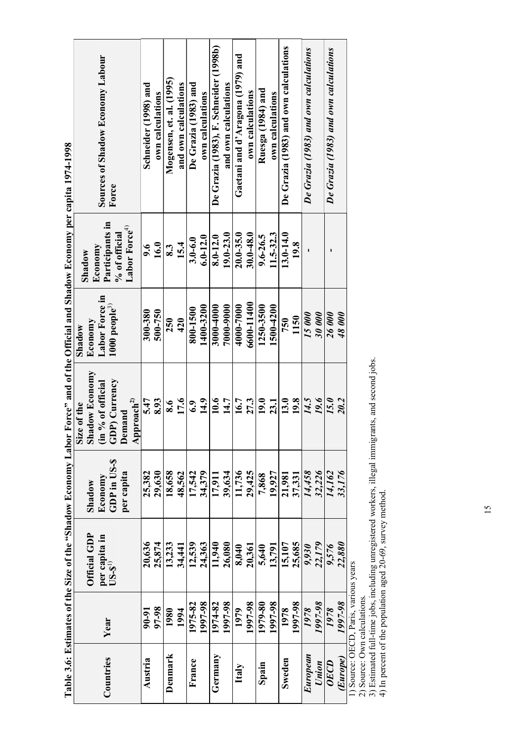| ١<br>$\frac{1}{2}$ |               |
|--------------------|---------------|
| י<br>ו             |               |
| :<br>:<br>I        |               |
|                    |               |
|                    |               |
| $rac{1}{2}$        |               |
|                    |               |
|                    |               |
|                    |               |
|                    | $\frac{1}{2}$ |
| l<br>;<br>ļ        |               |
|                    |               |
|                    |               |
|                    |               |
|                    |               |
|                    |               |
|                    |               |
| .<br>د             |               |
|                    |               |

|                                                |                 | Table 3.6: Estimates of the Size of the "Shadow Economy Labor" |                                                 |                                                                                                                           |                                                              | Force" and of the Official and Shadow Economy per capita 1974-1998           |                                                  |
|------------------------------------------------|-----------------|----------------------------------------------------------------|-------------------------------------------------|---------------------------------------------------------------------------------------------------------------------------|--------------------------------------------------------------|------------------------------------------------------------------------------|--------------------------------------------------|
| Countries                                      | Year            | Official GDP<br>per capita in<br>US-S <sup>1)</sup>            | GDP in US-\$<br>per capita<br>Economy<br>Shadow | Shadow Economy<br>(in % of official<br>GDP) Currency<br>$\mathbf{proach}^{2}$<br>Size of the<br>Demand<br>$\mathbf{A}$ pp | Labor Force in<br>$1000$ people $^{3)}$<br>Economy<br>Shadow | Participants in<br>Labor Force $^{4)}$<br>% of official<br>Economy<br>Shadow | <b>Sources of Shadow Economy Labour</b><br>Force |
| Austria                                        | 97-98           | 20,636                                                         | 29,630                                          | 5.47                                                                                                                      | 500-750                                                      | 16.0                                                                         | Schneider (1998) and                             |
|                                                | $90 - 91$       | 25.874                                                         | 25,382                                          | 8.93                                                                                                                      | 300-380                                                      | 9.6                                                                          | own calculations                                 |
| Denmark                                        | 1980            | 13,233                                                         | 18,658                                          | 17.6                                                                                                                      | 250                                                          | 15.4                                                                         | Mogensen, et. al. (1995)                         |
|                                                | 1994            | 34,441                                                         | 48,562                                          | $\frac{6}{3}$                                                                                                             | 420                                                          | 83                                                                           | and own calculations                             |
| France                                         | 1997-98         | 12,539                                                         | 34,379                                          | 14.9                                                                                                                      | 1400-3200                                                    | $6.0 - 12.0$                                                                 | De Grazia (1983) and                             |
|                                                | 1975-82         | 24,363                                                         | 17,542                                          | 6.9                                                                                                                       | 800-1500                                                     | $3.0 - 6.0$                                                                  | own calculations                                 |
| Germany                                        | 1997-98         | 11,940                                                         | 39,634                                          | 10.6                                                                                                                      | 3000-4000                                                    | 19.0-23.0                                                                    | De Grazia (1983), F. Schneider (1998b)           |
|                                                | 1974-82         | 26,080                                                         | 17,911                                          | 14.7                                                                                                                      | 7000-9000                                                    | $8.0 - 12.0$                                                                 | and own calculations                             |
| Italy                                          | 1997-98         | 20,361                                                         | 11,736                                          | 27.3                                                                                                                      | 6600-11400                                                   | $30.0 - 48.0$                                                                | Gaetani and d'Aragona (1979) and                 |
|                                                | 1979            | 8,040                                                          | 29,425                                          | 16.7                                                                                                                      | 4000-7000                                                    | $20.0 - 35.0$                                                                | own calculations                                 |
| Spain                                          | 1979-80         | 13,791                                                         | 19.927                                          | 19.0                                                                                                                      | 1250-3500                                                    | $11.5 - 32.3$                                                                | Ruesga (1984) and                                |
|                                                | 1997-98         | 5,640                                                          | 7,868                                           | 23.1                                                                                                                      | [500-4200                                                    | $9.6 - 26.5$                                                                 | own calculations                                 |
| Sweden                                         | 1997-98<br>1978 | 15,107<br>25,685                                               | 21,981<br>37,331                                | 19.8<br>13.0                                                                                                              | 1150<br>750                                                  | $13.0 - 14.0$<br>19.8                                                        | De Grazia (1983) and own calculations            |
| European<br>Union                              | 1997-98<br>1978 | 22,179<br>9,930                                                | 14,458<br>32,226                                | 19.6<br>14.5                                                                                                              | 15000<br><b>30 000</b>                                       |                                                                              | De Grazia (1983) and own calculations            |
| (Europe)<br>OECD                               | 1997-98<br>1978 | 22,880<br>9,576                                                | 14,162<br>33,176                                | 15.0<br>20.2                                                                                                              | <b>26 000</b><br><b>000 87</b>                               |                                                                              | De Grazia (1983) and own calculations            |
| $1 \setminus$ Course: OECD Darie various vears |                 |                                                                |                                                 |                                                                                                                           |                                                              |                                                                              |                                                  |

1) Source: OECD, Paris, various years

2) Source: Own calculations.

1) Source: OECD, Paris, various years<br>2) Source: Own calculations.<br>3) Estimated full-time jobs, including unregistered workers, illegal immigrants, and second jobs.<br>4) In percent of the population aged 20-69, survey method 3) Estimated full-time jobs, including unregistered workers, illegal immigrants, and second jobs. 4) In percent of the population aged 20-69, survey method.

**15**  $15$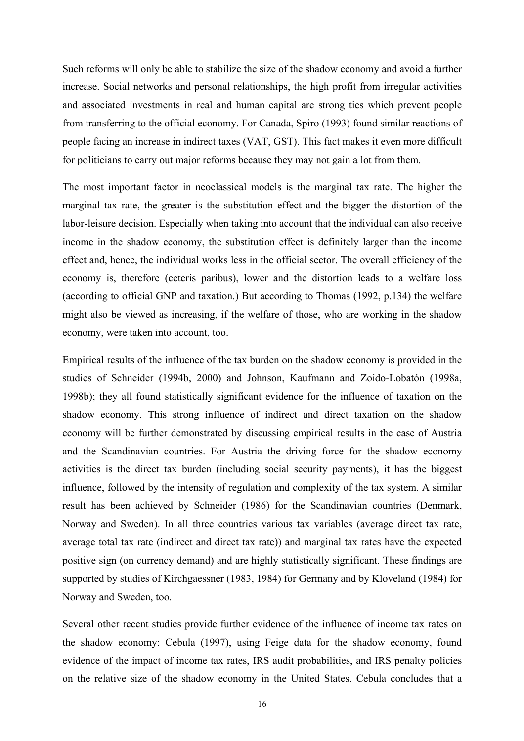Such reforms will only be able to stabilize the size of the shadow economy and avoid a further increase. Social networks and personal relationships, the high profit from irregular activities and associated investments in real and human capital are strong ties which prevent people from transferring to the official economy. For Canada, Spiro (1993) found similar reactions of people facing an increase in indirect taxes (VAT, GST). This fact makes it even more difficult for politicians to carry out major reforms because they may not gain a lot from them.

The most important factor in neoclassical models is the marginal tax rate. The higher the marginal tax rate, the greater is the substitution effect and the bigger the distortion of the labor-leisure decision. Especially when taking into account that the individual can also receive income in the shadow economy, the substitution effect is definitely larger than the income effect and, hence, the individual works less in the official sector. The overall efficiency of the economy is, therefore (ceteris paribus), lower and the distortion leads to a welfare loss (according to official GNP and taxation.) But according to Thomas (1992, p.134) the welfare might also be viewed as increasing, if the welfare of those, who are working in the shadow economy, were taken into account, too.

Empirical results of the influence of the tax burden on the shadow economy is provided in the studies of Schneider (1994b, 2000) and Johnson, Kaufmann and Zoido-Lobatón (1998a, 1998b); they all found statistically significant evidence for the influence of taxation on the shadow economy. This strong influence of indirect and direct taxation on the shadow economy will be further demonstrated by discussing empirical results in the case of Austria and the Scandinavian countries. For Austria the driving force for the shadow economy activities is the direct tax burden (including social security payments), it has the biggest influence, followed by the intensity of regulation and complexity of the tax system. A similar result has been achieved by Schneider (1986) for the Scandinavian countries (Denmark, Norway and Sweden). In all three countries various tax variables (average direct tax rate, average total tax rate (indirect and direct tax rate)) and marginal tax rates have the expected positive sign (on currency demand) and are highly statistically significant. These findings are supported by studies of Kirchgaessner (1983, 1984) for Germany and by Kloveland (1984) for Norway and Sweden, too.

Several other recent studies provide further evidence of the influence of income tax rates on the shadow economy: Cebula (1997), using Feige data for the shadow economy, found evidence of the impact of income tax rates, IRS audit probabilities, and IRS penalty policies on the relative size of the shadow economy in the United States. Cebula concludes that a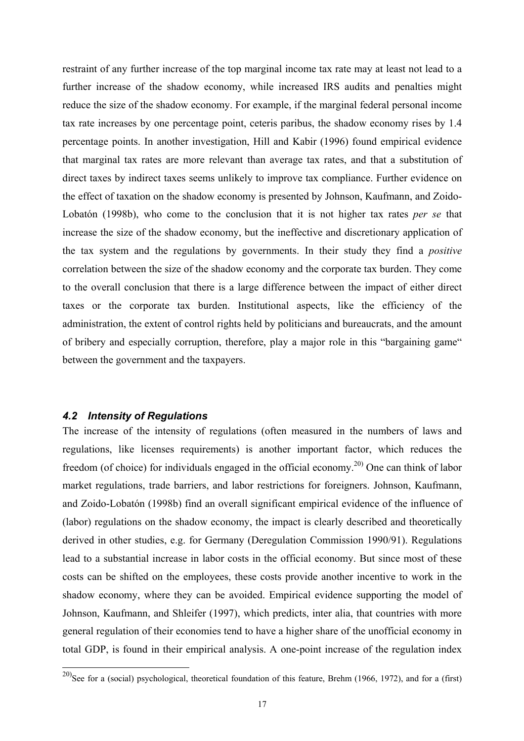restraint of any further increase of the top marginal income tax rate may at least not lead to a further increase of the shadow economy, while increased IRS audits and penalties might reduce the size of the shadow economy. For example, if the marginal federal personal income tax rate increases by one percentage point, ceteris paribus, the shadow economy rises by 1.4 percentage points. In another investigation, Hill and Kabir (1996) found empirical evidence that marginal tax rates are more relevant than average tax rates, and that a substitution of direct taxes by indirect taxes seems unlikely to improve tax compliance. Further evidence on the effect of taxation on the shadow economy is presented by Johnson, Kaufmann, and Zoido-Lobatón (1998b), who come to the conclusion that it is not higher tax rates *per se* that increase the size of the shadow economy, but the ineffective and discretionary application of the tax system and the regulations by governments. In their study they find a *positive* correlation between the size of the shadow economy and the corporate tax burden. They come to the overall conclusion that there is a large difference between the impact of either direct taxes or the corporate tax burden. Institutional aspects, like the efficiency of the administration, the extent of control rights held by politicians and bureaucrats, and the amount of bribery and especially corruption, therefore, play a major role in this "bargaining game" between the government and the taxpayers.

### *4.2 Intensity of Regulations*

 $\overline{a}$ 

The increase of the intensity of regulations (often measured in the numbers of laws and regulations, like licenses requirements) is another important factor, which reduces the freedom (of choice) for individuals engaged in the official economy.<sup>20)</sup> One can think of labor market regulations, trade barriers, and labor restrictions for foreigners. Johnson, Kaufmann, and Zoido-Lobatón (1998b) find an overall significant empirical evidence of the influence of (labor) regulations on the shadow economy, the impact is clearly described and theoretically derived in other studies, e.g. for Germany (Deregulation Commission 1990/91). Regulations lead to a substantial increase in labor costs in the official economy. But since most of these costs can be shifted on the employees, these costs provide another incentive to work in the shadow economy, where they can be avoided. Empirical evidence supporting the model of Johnson, Kaufmann, and Shleifer (1997), which predicts, inter alia, that countries with more general regulation of their economies tend to have a higher share of the unofficial economy in total GDP, is found in their empirical analysis. A one-point increase of the regulation index

 $^{20}$ See for a (social) psychological, theoretical foundation of this feature, Brehm (1966, 1972), and for a (first)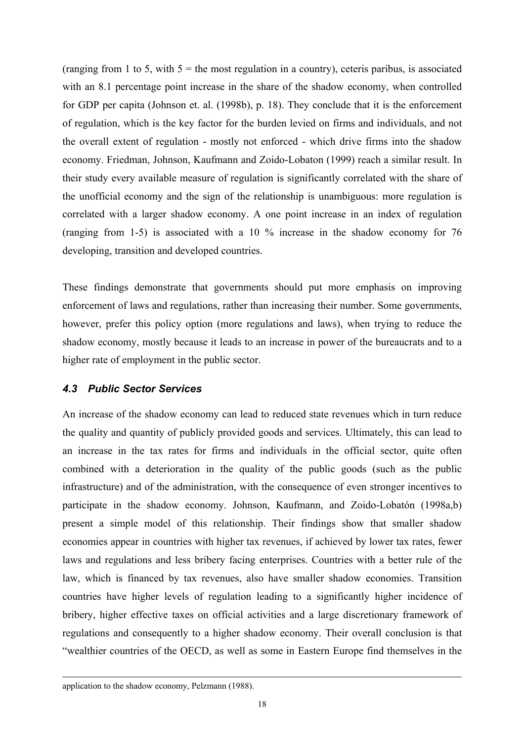(ranging from 1 to 5, with  $5 =$  the most regulation in a country), ceteris paribus, is associated with an 8.1 percentage point increase in the share of the shadow economy, when controlled for GDP per capita (Johnson et. al. (1998b), p. 18). They conclude that it is the enforcement of regulation, which is the key factor for the burden levied on firms and individuals, and not the overall extent of regulation - mostly not enforced - which drive firms into the shadow economy. Friedman, Johnson, Kaufmann and Zoido-Lobaton (1999) reach a similar result. In their study every available measure of regulation is significantly correlated with the share of the unofficial economy and the sign of the relationship is unambiguous: more regulation is correlated with a larger shadow economy. A one point increase in an index of regulation (ranging from 1-5) is associated with a 10 % increase in the shadow economy for 76 developing, transition and developed countries.

These findings demonstrate that governments should put more emphasis on improving enforcement of laws and regulations, rather than increasing their number. Some governments, however, prefer this policy option (more regulations and laws), when trying to reduce the shadow economy, mostly because it leads to an increase in power of the bureaucrats and to a higher rate of employment in the public sector.

### *4.3 Public Sector Services*

An increase of the shadow economy can lead to reduced state revenues which in turn reduce the quality and quantity of publicly provided goods and services. Ultimately, this can lead to an increase in the tax rates for firms and individuals in the official sector, quite often combined with a deterioration in the quality of the public goods (such as the public infrastructure) and of the administration, with the consequence of even stronger incentives to participate in the shadow economy. Johnson, Kaufmann, and Zoido-Lobatón (1998a,b) present a simple model of this relationship. Their findings show that smaller shadow economies appear in countries with higher tax revenues, if achieved by lower tax rates, fewer laws and regulations and less bribery facing enterprises. Countries with a better rule of the law, which is financed by tax revenues, also have smaller shadow economies. Transition countries have higher levels of regulation leading to a significantly higher incidence of bribery, higher effective taxes on official activities and a large discretionary framework of regulations and consequently to a higher shadow economy. Their overall conclusion is that "wealthier countries of the OECD, as well as some in Eastern Europe find themselves in the

application to the shadow economy, Pelzmann (1988).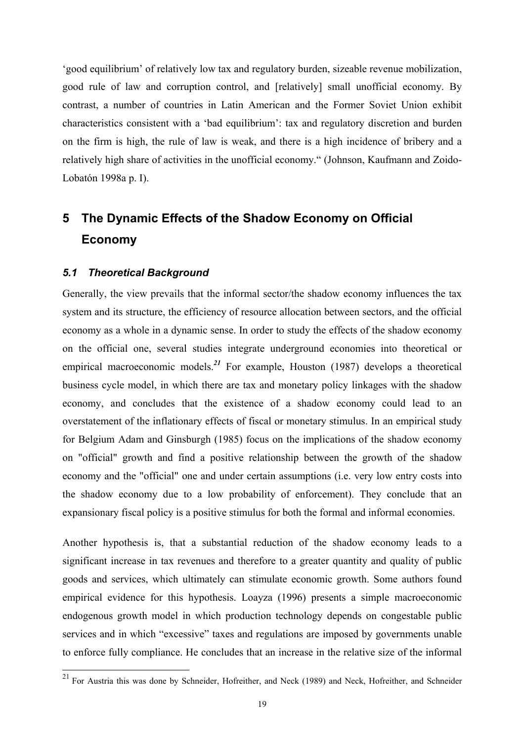'good equilibrium' of relatively low tax and regulatory burden, sizeable revenue mobilization, good rule of law and corruption control, and [relatively] small unofficial economy. By contrast, a number of countries in Latin American and the Former Soviet Union exhibit characteristics consistent with a 'bad equilibrium': tax and regulatory discretion and burden on the firm is high, the rule of law is weak, and there is a high incidence of bribery and a relatively high share of activities in the unofficial economy." (Johnson, Kaufmann and Zoido-Lobatón 1998a p. I).

# **5 The Dynamic Effects of the Shadow Economy on Official Economy**

### *5.1 Theoretical Background*

 $\overline{a}$ 

Generally, the view prevails that the informal sector/the shadow economy influences the tax system and its structure, the efficiency of resource allocation between sectors, and the official economy as a whole in a dynamic sense. In order to study the effects of the shadow economy on the official one, several studies integrate underground economies into theoretical or empirical macroeconomic models.<sup>21</sup> For example, Houston (1987) develops a theoretical business cycle model, in which there are tax and monetary policy linkages with the shadow economy, and concludes that the existence of a shadow economy could lead to an overstatement of the inflationary effects of fiscal or monetary stimulus. In an empirical study for Belgium Adam and Ginsburgh (1985) focus on the implications of the shadow economy on "official" growth and find a positive relationship between the growth of the shadow economy and the "official" one and under certain assumptions (i.e. very low entry costs into the shadow economy due to a low probability of enforcement). They conclude that an expansionary fiscal policy is a positive stimulus for both the formal and informal economies.

Another hypothesis is, that a substantial reduction of the shadow economy leads to a significant increase in tax revenues and therefore to a greater quantity and quality of public goods and services, which ultimately can stimulate economic growth. Some authors found empirical evidence for this hypothesis. Loayza (1996) presents a simple macroeconomic endogenous growth model in which production technology depends on congestable public services and in which "excessive" taxes and regulations are imposed by governments unable to enforce fully compliance. He concludes that an increase in the relative size of the informal

 $21$  For Austria this was done by Schneider, Hofreither, and Neck (1989) and Neck, Hofreither, and Schneider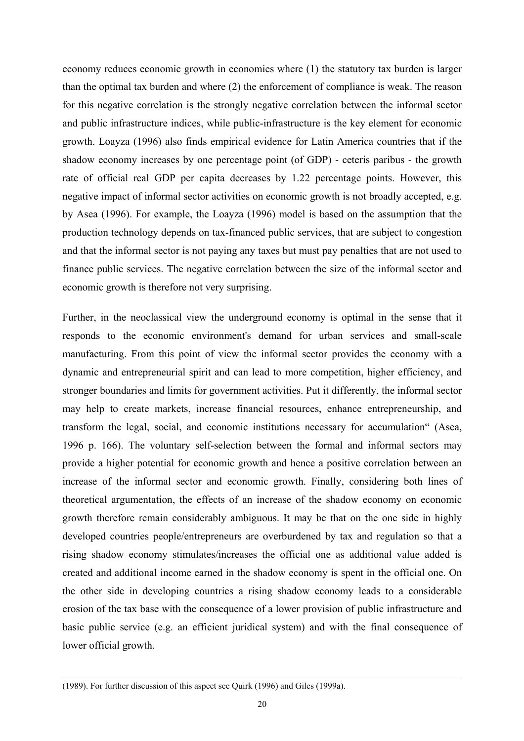economy reduces economic growth in economies where (1) the statutory tax burden is larger than the optimal tax burden and where (2) the enforcement of compliance is weak. The reason for this negative correlation is the strongly negative correlation between the informal sector and public infrastructure indices, while public-infrastructure is the key element for economic growth. Loayza (1996) also finds empirical evidence for Latin America countries that if the shadow economy increases by one percentage point (of GDP) - ceteris paribus - the growth rate of official real GDP per capita decreases by 1.22 percentage points. However, this negative impact of informal sector activities on economic growth is not broadly accepted, e.g. by Asea (1996). For example, the Loayza (1996) model is based on the assumption that the production technology depends on tax-financed public services, that are subject to congestion and that the informal sector is not paying any taxes but must pay penalties that are not used to finance public services. The negative correlation between the size of the informal sector and economic growth is therefore not very surprising.

Further, in the neoclassical view the underground economy is optimal in the sense that it responds to the economic environment's demand for urban services and small-scale manufacturing. From this point of view the informal sector provides the economy with a dynamic and entrepreneurial spirit and can lead to more competition, higher efficiency, and stronger boundaries and limits for government activities. Put it differently, the informal sector may help to create markets, increase financial resources, enhance entrepreneurship, and transform the legal, social, and economic institutions necessary for accumulation" (Asea, 1996 p. 166). The voluntary self-selection between the formal and informal sectors may provide a higher potential for economic growth and hence a positive correlation between an increase of the informal sector and economic growth. Finally, considering both lines of theoretical argumentation, the effects of an increase of the shadow economy on economic growth therefore remain considerably ambiguous. It may be that on the one side in highly developed countries people/entrepreneurs are overburdened by tax and regulation so that a rising shadow economy stimulates/increases the official one as additional value added is created and additional income earned in the shadow economy is spent in the official one. On the other side in developing countries a rising shadow economy leads to a considerable erosion of the tax base with the consequence of a lower provision of public infrastructure and basic public service (e.g. an efficient juridical system) and with the final consequence of lower official growth.

<sup>(1989).</sup> For further discussion of this aspect see Quirk (1996) and Giles (1999a).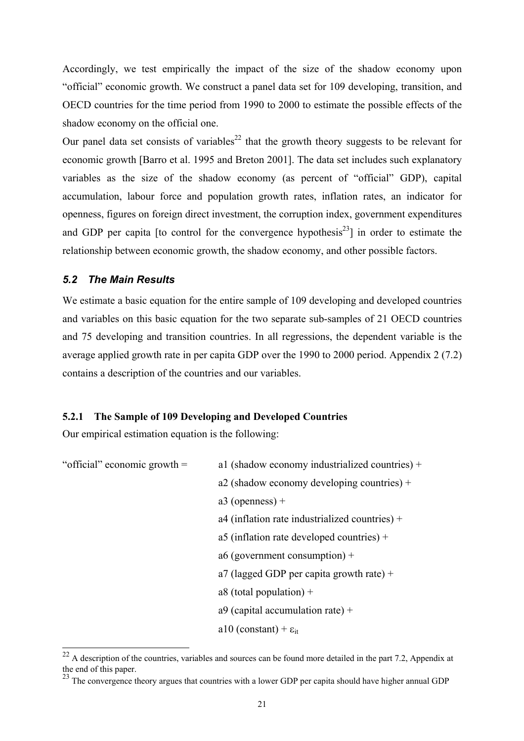Accordingly, we test empirically the impact of the size of the shadow economy upon "official" economic growth. We construct a panel data set for 109 developing, transition, and OECD countries for the time period from 1990 to 2000 to estimate the possible effects of the shadow economy on the official one.

Our panel data set consists of variables<sup>22</sup> that the growth theory suggests to be relevant for economic growth [Barro et al. 1995 and Breton 2001]. The data set includes such explanatory variables as the size of the shadow economy (as percent of "official" GDP), capital accumulation, labour force and population growth rates, inflation rates, an indicator for openness, figures on foreign direct investment, the corruption index, government expenditures and GDP per capita [to control for the convergence hypothesis $23$ ] in order to estimate the relationship between economic growth, the shadow economy, and other possible factors.

### *5.2 The Main Results*

We estimate a basic equation for the entire sample of 109 developing and developed countries and variables on this basic equation for the two separate sub-samples of 21 OECD countries and 75 developing and transition countries. In all regressions, the dependent variable is the average applied growth rate in per capita GDP over the 1990 to 2000 period. Appendix 2 (7.2) contains a description of the countries and our variables.

### **5.2.1 The Sample of 109 Developing and Developed Countries**

Our empirical estimation equation is the following:

- "official" economic growth  $=$  a1 (shadow economy industrialized countries) +
	- a2 (shadow economy developing countries) +
	- a3 (openness) +
	- a4 (inflation rate industrialized countries) +
	- a5 (inflation rate developed countries) +
	- a6 (government consumption) +
	- a7 (lagged GDP per capita growth rate) +
	- a8 (total population) +
	- a9 (capital accumulation rate) +
	- a10 (constant) +  $\varepsilon_{it}$

 $^{22}$  A description of the countries, variables and sources can be found more detailed in the part 7.2, Appendix at the end of this paper.

<sup>&</sup>lt;sup>23</sup> The convergence theory argues that countries with a lower GDP per capita should have higher annual GDP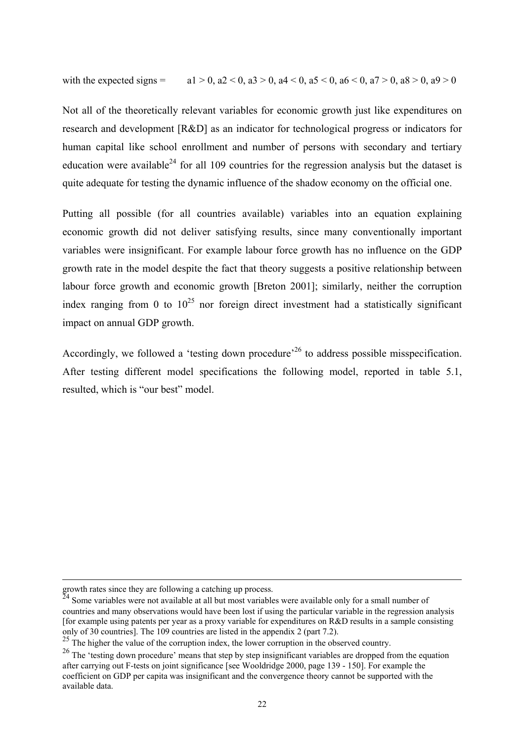with the expected signs =  $a1 > 0$ ,  $a2 < 0$ ,  $a3 > 0$ ,  $a4 < 0$ ,  $a5 < 0$ ,  $a6 < 0$ ,  $a7 > 0$ ,  $a8 > 0$ ,  $a9 > 0$ 

Not all of the theoretically relevant variables for economic growth just like expenditures on research and development [R&D] as an indicator for technological progress or indicators for human capital like school enrollment and number of persons with secondary and tertiary education were available<sup>24</sup> for all 109 countries for the regression analysis but the dataset is quite adequate for testing the dynamic influence of the shadow economy on the official one.

Putting all possible (for all countries available) variables into an equation explaining economic growth did not deliver satisfying results, since many conventionally important variables were insignificant. For example labour force growth has no influence on the GDP growth rate in the model despite the fact that theory suggests a positive relationship between labour force growth and economic growth [Breton 2001]; similarly, neither the corruption index ranging from 0 to  $10^{25}$  nor foreign direct investment had a statistically significant impact on annual GDP growth.

Accordingly, we followed a 'testing down procedure'<sup>26</sup> to address possible misspecification. After testing different model specifications the following model, reported in table 5.1, resulted, which is "our best" model.

growth rates since they are following a catching up process.

 $\frac{24}{2}$  Some variables were not available at all but most variables were available only for a small number of countries and many observations would have been lost if using the particular variable in the regression analysis [for example using patents per year as a proxy variable for expenditures on R&D results in a sample consisting only of 30 countries]. The 109 countries are listed in the appendix 2 (part 7.2).

<sup>&</sup>lt;sup>25</sup> The higher the value of the corruption index, the lower corruption in the observed country.

<sup>&</sup>lt;sup>26</sup> The 'testing down procedure' means that step by step insignificant variables are dropped from the equation after carrying out F-tests on joint significance [see Wooldridge 2000, page 139 - 150]. For example the coefficient on GDP per capita was insignificant and the convergence theory cannot be supported with the available data.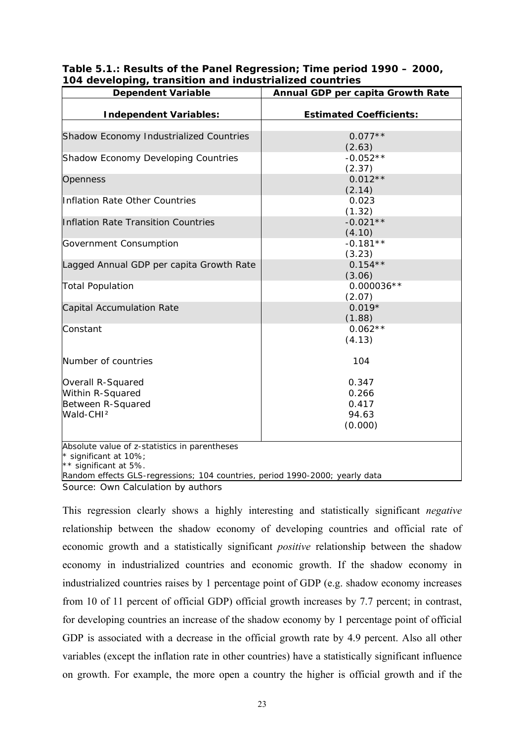| <b>Dependent Variable</b>                                                    | Annual GDP per capita Growth Rate |
|------------------------------------------------------------------------------|-----------------------------------|
| <b>Independent Variables:</b>                                                | <b>Estimated Coefficients:</b>    |
|                                                                              |                                   |
| Shadow Economy Industrialized Countries                                      | $0.077**$                         |
|                                                                              | (2.63)                            |
| Shadow Economy Developing Countries                                          | $-0.052**$                        |
|                                                                              | (2.37)<br>$0.012**$               |
| Openness                                                                     |                                   |
| Inflation Rate Other Countries                                               | (2.14)<br>0.023                   |
|                                                                              | (1.32)                            |
| Inflation Rate Transition Countries                                          | $-0.021**$                        |
|                                                                              | (4.10)                            |
| Government Consumption                                                       | $-0.181**$                        |
|                                                                              | (3.23)                            |
| Lagged Annual GDP per capita Growth Rate                                     | $0.154**$                         |
|                                                                              | (3.06)                            |
| <b>Total Population</b>                                                      | $0.000036**$                      |
|                                                                              | (2.07)                            |
| Capital Accumulation Rate                                                    | $0.019*$                          |
|                                                                              | (1.88)                            |
| Constant                                                                     | $0.062**$                         |
|                                                                              | (4.13)                            |
| Number of countries                                                          | 104                               |
|                                                                              |                                   |
| Overall R-Squared                                                            | 0.347                             |
| Within R-Squared                                                             | 0.266                             |
| Between R-Squared                                                            | 0.417                             |
| Wald-CHI <sup>2</sup>                                                        | 94.63                             |
|                                                                              | (0.000)                           |
| Absolute value of z-statistics in parentheses                                |                                   |
| * significant at 10%;                                                        |                                   |
| ** significant at 5%.                                                        |                                   |
| Random effects GLS-regressions; 104 countries, period 1990-2000; yearly data |                                   |

*Table 5.1.: Results of the Panel Regression; Time period 1990 – 2000, 104 developing, transition and industrialized countries* 

*Source: Own Calculation by authors* 

This regression clearly shows a highly interesting and statistically significant *negative* relationship between the shadow economy of developing countries and official rate of economic growth and a statistically significant *positive* relationship between the shadow economy in industrialized countries and economic growth. If the shadow economy in industrialized countries raises by 1 percentage point of GDP (e.g. shadow economy increases from 10 of 11 percent of official GDP) official growth increases by 7.7 percent; in contrast, for developing countries an increase of the shadow economy by 1 percentage point of official GDP is associated with a decrease in the official growth rate by 4.9 percent. Also all other variables (except the inflation rate in other countries) have a statistically significant influence on growth. For example, the more open a country the higher is official growth and if the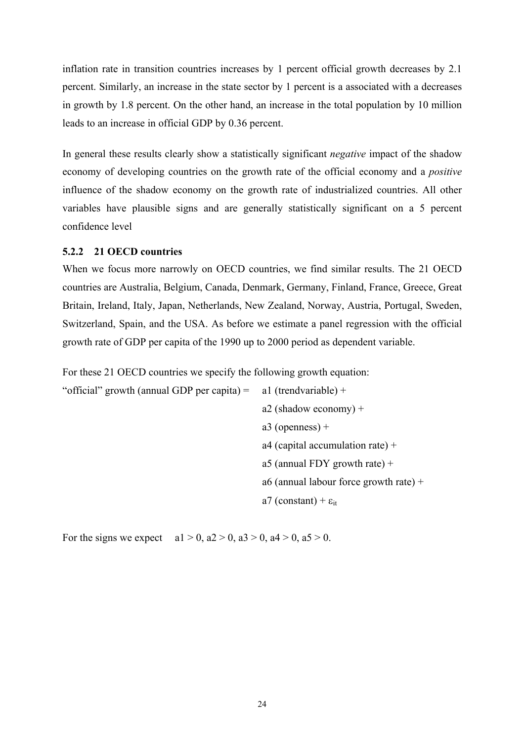inflation rate in transition countries increases by 1 percent official growth decreases by 2.1 percent. Similarly, an increase in the state sector by 1 percent is a associated with a decreases in growth by 1.8 percent. On the other hand, an increase in the total population by 10 million leads to an increase in official GDP by 0.36 percent.

In general these results clearly show a statistically significant *negative* impact of the shadow economy of developing countries on the growth rate of the official economy and a *positive* influence of the shadow economy on the growth rate of industrialized countries. All other variables have plausible signs and are generally statistically significant on a 5 percent confidence level

### **5.2.2 21 OECD countries**

When we focus more narrowly on OECD countries, we find similar results. The 21 OECD countries are Australia, Belgium, Canada, Denmark, Germany, Finland, France, Greece, Great Britain, Ireland, Italy, Japan, Netherlands, New Zealand, Norway, Austria, Portugal, Sweden, Switzerland, Spain, and the USA. As before we estimate a panel regression with the official growth rate of GDP per capita of the 1990 up to 2000 period as dependent variable.

For these 21 OECD countries we specify the following growth equation:

"official" growth (annual GDP per capita) =  $a1$  (trendvariable) + a2 (shadow economy) + a3 (openness) + a4 (capital accumulation rate) + a5 (annual FDY growth rate) + a6 (annual labour force growth rate) + a7 (constant) +  $\varepsilon_{it}$ 

For the signs we expect  $a1 > 0$ ,  $a2 > 0$ ,  $a3 > 0$ ,  $a4 > 0$ ,  $a5 > 0$ .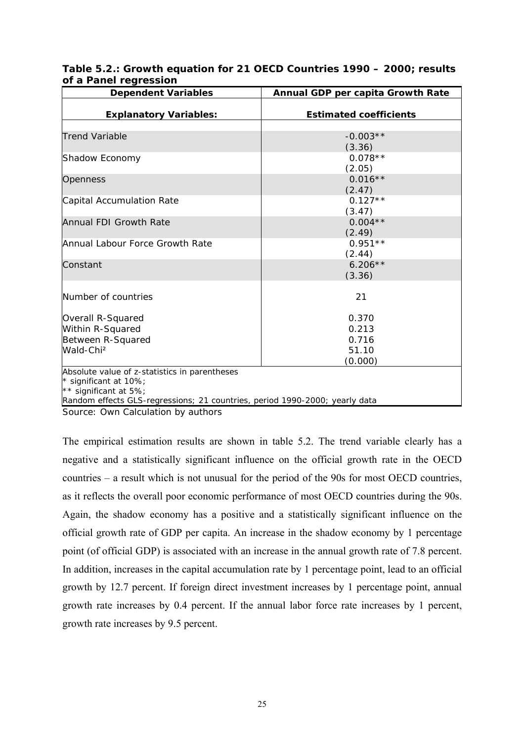| <b>Dependent Variables</b>                                                  | Annual GDP per capita Growth Rate |
|-----------------------------------------------------------------------------|-----------------------------------|
| <b>Explanatory Variables:</b>                                               | <b>Estimated coefficients</b>     |
|                                                                             |                                   |
| Trend Variable                                                              | $-0.003**$                        |
|                                                                             | (3.36)                            |
| Shadow Economy                                                              | $0.078**$                         |
|                                                                             | (2.05)                            |
| Openness                                                                    | $0.016**$                         |
|                                                                             | (2.47)                            |
| Capital Accumulation Rate                                                   | $0.127**$                         |
|                                                                             | (3.47)                            |
| Annual FDI Growth Rate                                                      | $0.004**$                         |
|                                                                             | (2.49)                            |
| Annual Labour Force Growth Rate                                             | $0.951**$                         |
|                                                                             | (2.44)                            |
| Constant                                                                    | $6.206**$                         |
|                                                                             | (3.36)                            |
|                                                                             |                                   |
| Number of countries                                                         | 21                                |
|                                                                             |                                   |
| Overall R-Squared                                                           | 0.370                             |
| Within R-Squared                                                            | 0.213                             |
| Between R-Squared<br>Wald-Chi <sup>2</sup>                                  | 0.716                             |
|                                                                             | 51.10<br>(0.000)                  |
|                                                                             |                                   |
| Absolute value of z-statistics in parentheses<br>* significant at 10%;      |                                   |
| ** significant at 5%;                                                       |                                   |
| Random effects GLS-regressions; 21 countries, period 1990-2000; yearly data |                                   |

*Table 5.2.: Growth equation for 21 OECD Countries 1990 – 2000; results of a Panel regression* 

*Source: Own Calculation by authors* 

The empirical estimation results are shown in table 5.2. The trend variable clearly has a negative and a statistically significant influence on the official growth rate in the OECD countries – a result which is not unusual for the period of the 90s for most OECD countries, as it reflects the overall poor economic performance of most OECD countries during the 90s. Again, the shadow economy has a positive and a statistically significant influence on the official growth rate of GDP per capita. An increase in the shadow economy by 1 percentage point (of official GDP) is associated with an increase in the annual growth rate of 7.8 percent. In addition, increases in the capital accumulation rate by 1 percentage point, lead to an official growth by 12.7 percent. If foreign direct investment increases by 1 percentage point, annual growth rate increases by 0.4 percent. If the annual labor force rate increases by 1 percent, growth rate increases by 9.5 percent.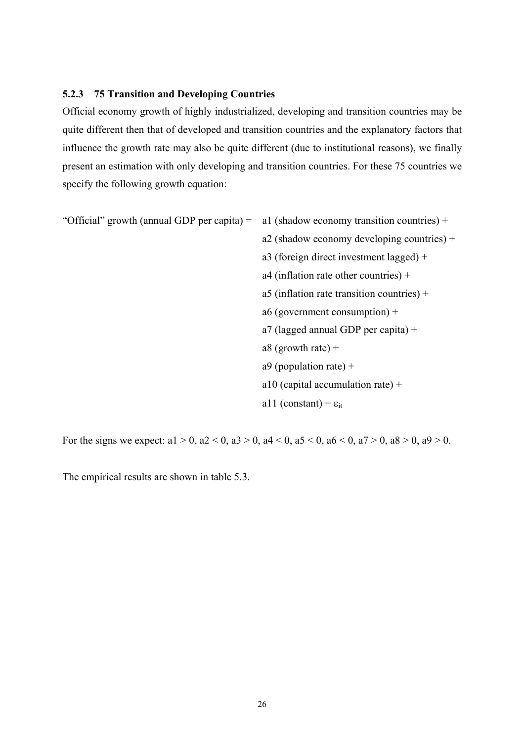### **5.2.3 75 Transition and Developing Countries**

Official economy growth of highly industrialized, developing and transition countries may be quite different then that of developed and transition countries and the explanatory factors that influence the growth rate may also be quite different (due to institutional reasons), we finally present an estimation with only developing and transition countries. For these 75 countries we specify the following growth equation:

"Official" growth (annual GDP per capita) = 
$$
a1
$$
 (shadow economy transition countries) +  $a2$  (shadow economy developing countries) +  $a3$  (foreign direct investment lagged) +  $a4$  (inflation rate other countries) +  $a5$  (inflation rate transition countries) +  $a6$  (government consumption) +  $a7$  (lagged annual GDP per capita) +  $a8$  (growth rate) +  $a9$  (population rate) +  $a10$  (capital accumulation rate) +  $a2 + 20$  (optial accumulation rate) +  $a3 + 20$  (optial accumulation rate) +  $a4 + 20$  (optimal accumulation rate) +  $a5 + 20$  (topital accumulation rate) +  $a6 + 20$  (topital accumulation rate) +  $a7 + 20$  (topital accumulation rate) +  $a8 + 20$  (topital accumulation rate) +  $a9 + 20$  (topital accumulation rate) +  $a9 + 20$  (topital accumulation rate) +  $a9 + 20$  (topital accumulation rate) +  $a9 + 20$  (topital accumulation rate) +  $a9 + 20$  (topualization rate) +  $a9 + 20$  (topualization rate) +  $a9 + 20$  (topualization rate) +  $a9 + 20$  (topualization rate) +  $a9 + 20$  (topualization rate) +  $a9 + 20$  (topualization rate) +  $a9 + 20$  (topualization rate) +  $a9 + 20$  (topualization rate) +  $a9 + 20$  (topualization rate) +  $a9 + 20$  (topualization rate) +  $a9 + 20$  (topualization rate) +  $a9 + 20$  (topualization rate) +  $a9 + 20$  (topualization rate) +  $a9 + 20$  (topualization rate) +  $a9 + 20$  (topualization rate)

For the signs we expect:  $a1 > 0$ ,  $a2 < 0$ ,  $a3 > 0$ ,  $a4 < 0$ ,  $a5 < 0$ ,  $a6 < 0$ ,  $a7 > 0$ ,  $a8 > 0$ ,  $a9 > 0$ .

a11 (constant) +  $\varepsilon_{it}$ 

The empirical results are shown in table 5.3.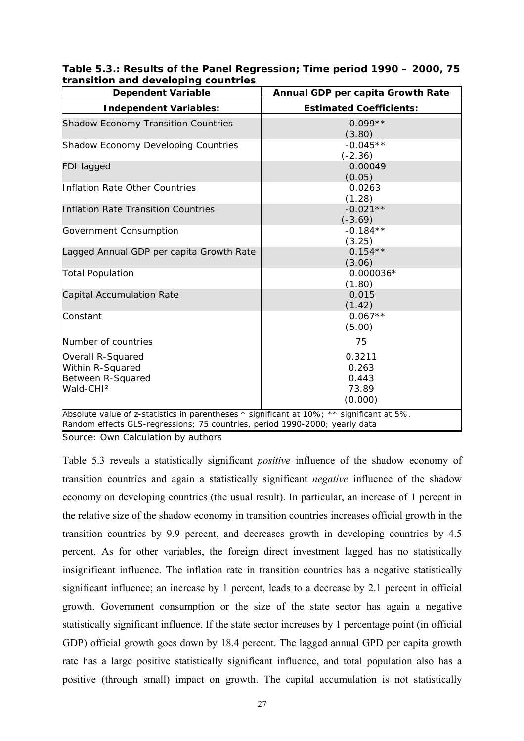| <b>Dependent Variable</b>                                                                                                                                                    | Annual GDP per capita Growth Rate            |
|------------------------------------------------------------------------------------------------------------------------------------------------------------------------------|----------------------------------------------|
| <b>Independent Variables:</b>                                                                                                                                                | <b>Estimated Coefficients:</b>               |
| <b>Shadow Economy Transition Countries</b>                                                                                                                                   | $0.099**$<br>(3.80)                          |
| Shadow Economy Developing Countries                                                                                                                                          | $-0.045**$<br>$(-2.36)$                      |
| FDI lagged                                                                                                                                                                   | 0.00049<br>(0.05)                            |
| Inflation Rate Other Countries                                                                                                                                               | 0.0263<br>(1.28)                             |
| Inflation Rate Transition Countries                                                                                                                                          | $-0.021**$<br>$(-3.69)$                      |
| Government Consumption                                                                                                                                                       | $-0.184**$<br>(3.25)                         |
| Lagged Annual GDP per capita Growth Rate                                                                                                                                     | $0.154**$<br>(3.06)                          |
| <b>Total Population</b>                                                                                                                                                      | $0.000036*$<br>(1.80)                        |
| Capital Accumulation Rate                                                                                                                                                    | 0.015<br>(1.42)                              |
| Constant                                                                                                                                                                     | $0.067**$<br>(5.00)                          |
| Number of countries                                                                                                                                                          | 75                                           |
| Overall R-Squared<br><b>Within R-Squared</b><br>Between R-Squared<br>Wald-CHI <sup>2</sup>                                                                                   | 0.3211<br>0.263<br>0.443<br>73.89<br>(0.000) |
| Absolute value of z-statistics in parentheses $*$ significant at 10%; $**$ significant at 5%.<br>Random effects GLS-regressions; 75 countries, period 1990-2000; yearly data |                                              |

*Table 5.3.: Results of the Panel Regression; Time period 1990 – 2000, 75 transition and developing countries* 

*Source: Own Calculation by authors* 

Table 5.3 reveals a statistically significant *positive* influence of the shadow economy of transition countries and again a statistically significant *negative* influence of the shadow economy on developing countries (the usual result). In particular, an increase of 1 percent in the relative size of the shadow economy in transition countries increases official growth in the transition countries by 9.9 percent, and decreases growth in developing countries by 4.5 percent. As for other variables, the foreign direct investment lagged has no statistically insignificant influence. The inflation rate in transition countries has a negative statistically significant influence; an increase by 1 percent, leads to a decrease by 2.1 percent in official growth. Government consumption or the size of the state sector has again a negative statistically significant influence. If the state sector increases by 1 percentage point (in official GDP) official growth goes down by 18.4 percent. The lagged annual GPD per capita growth rate has a large positive statistically significant influence, and total population also has a positive (through small) impact on growth. The capital accumulation is not statistically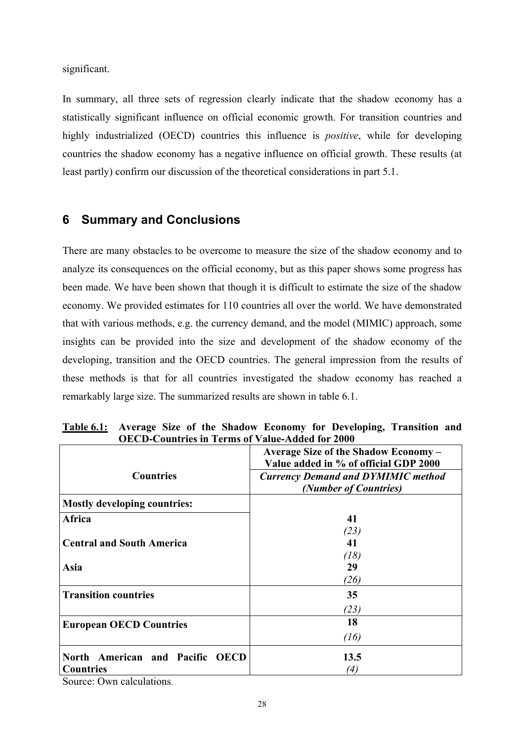significant.

In summary, all three sets of regression clearly indicate that the shadow economy has a statistically significant influence on official economic growth. For transition countries and highly industrialized (OECD) countries this influence is *positive*, while for developing countries the shadow economy has a negative influence on official growth. These results (at least partly) confirm our discussion of the theoretical considerations in part 5.1.

### **6 Summary and Conclusions**

There are many obstacles to be overcome to measure the size of the shadow economy and to analyze its consequences on the official economy, but as this paper shows some progress has been made. We have been shown that though it is difficult to estimate the size of the shadow economy. We provided estimates for 110 countries all over the world. We have demonstrated that with various methods, e.g. the currency demand, and the model (MIMIC) approach, some insights can be provided into the size and development of the shadow economy of the developing, transition and the OECD countries. The general impression from the results of these methods is that for all countries investigated the shadow economy has reached a remarkably large size. The summarized results are shown in table 6.1.

|                                                        | Average Size of the Shadow Economy –      |
|--------------------------------------------------------|-------------------------------------------|
|                                                        | Value added in % of official GDP 2000     |
| <b>Countries</b>                                       | <b>Currency Demand and DYMIMIC method</b> |
|                                                        | (Number of Countries)                     |
| <b>Mostly developing countries:</b>                    |                                           |
| Africa                                                 | 41                                        |
|                                                        | (23)                                      |
| <b>Central and South America</b>                       | 41                                        |
|                                                        | (18)                                      |
| Asia                                                   | 29                                        |
|                                                        | (26)                                      |
| <b>Transition countries</b>                            | 35                                        |
|                                                        | (23)                                      |
| <b>European OECD Countries</b>                         | 18                                        |
|                                                        | (16)                                      |
| North American and Pacific OECD                        | 13.5                                      |
| <b>Countries</b><br>$\sim$ $\sim$ $\sim$ $\sim$ $\sim$ | (4)                                       |

**Table 6.1: Average Size of the Shadow Economy for Developing, Transition and OECD-Countries in Terms of Value-Added for 2000** 

Source: Own calculations.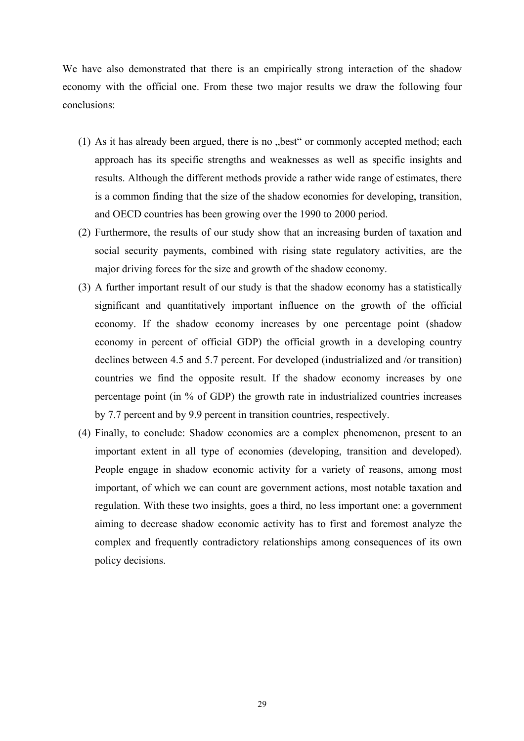We have also demonstrated that there is an empirically strong interaction of the shadow economy with the official one. From these two major results we draw the following four conclusions:

- (1) As it has already been argued, there is no  $n$ , best or commonly accepted method; each approach has its specific strengths and weaknesses as well as specific insights and results. Although the different methods provide a rather wide range of estimates, there is a common finding that the size of the shadow economies for developing, transition, and OECD countries has been growing over the 1990 to 2000 period.
- (2) Furthermore, the results of our study show that an increasing burden of taxation and social security payments, combined with rising state regulatory activities, are the major driving forces for the size and growth of the shadow economy.
- (3) A further important result of our study is that the shadow economy has a statistically significant and quantitatively important influence on the growth of the official economy. If the shadow economy increases by one percentage point (shadow economy in percent of official GDP) the official growth in a developing country declines between 4.5 and 5.7 percent. For developed (industrialized and /or transition) countries we find the opposite result. If the shadow economy increases by one percentage point (in % of GDP) the growth rate in industrialized countries increases by 7.7 percent and by 9.9 percent in transition countries, respectively.
- (4) Finally, to conclude: Shadow economies are a complex phenomenon, present to an important extent in all type of economies (developing, transition and developed). People engage in shadow economic activity for a variety of reasons, among most important, of which we can count are government actions, most notable taxation and regulation. With these two insights, goes a third, no less important one: a government aiming to decrease shadow economic activity has to first and foremost analyze the complex and frequently contradictory relationships among consequences of its own policy decisions.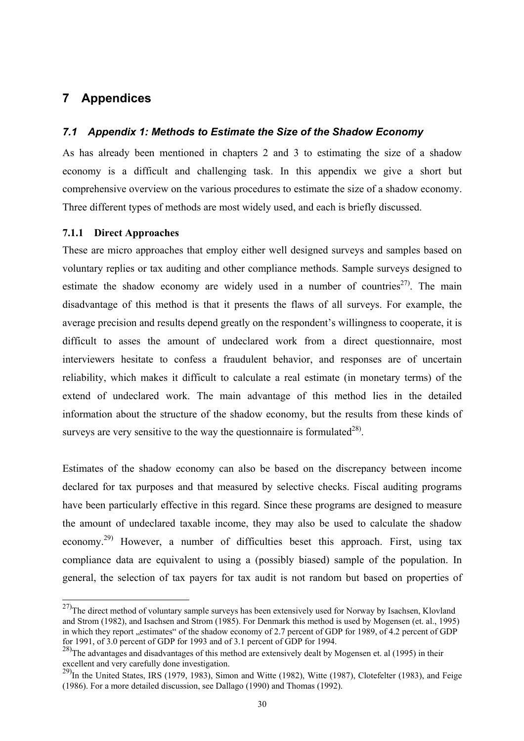# **7 Appendices**

### *7.1 Appendix 1: Methods to Estimate the Size of the Shadow Economy*

As has already been mentioned in chapters 2 and 3 to estimating the size of a shadow economy is a difficult and challenging task. In this appendix we give a short but comprehensive overview on the various procedures to estimate the size of a shadow economy. Three different types of methods are most widely used, and each is briefly discussed.

### **7.1.1 Direct Approaches**

 $\overline{a}$ 

These are micro approaches that employ either well designed surveys and samples based on voluntary replies or tax auditing and other compliance methods. Sample surveys designed to estimate the shadow economy are widely used in a number of countries<sup>27)</sup>. The main disadvantage of this method is that it presents the flaws of all surveys. For example, the average precision and results depend greatly on the respondent's willingness to cooperate, it is difficult to asses the amount of undeclared work from a direct questionnaire, most interviewers hesitate to confess a fraudulent behavior, and responses are of uncertain reliability, which makes it difficult to calculate a real estimate (in monetary terms) of the extend of undeclared work. The main advantage of this method lies in the detailed information about the structure of the shadow economy, but the results from these kinds of surveys are very sensitive to the way the questionnaire is formulated<sup>28)</sup>.

Estimates of the shadow economy can also be based on the discrepancy between income declared for tax purposes and that measured by selective checks. Fiscal auditing programs have been particularly effective in this regard. Since these programs are designed to measure the amount of undeclared taxable income, they may also be used to calculate the shadow economy.<sup>29)</sup> However, a number of difficulties beset this approach. First, using tax compliance data are equivalent to using a (possibly biased) sample of the population. In general, the selection of tax payers for tax audit is not random but based on properties of

 $^{27)}$ The direct method of voluntary sample surveys has been extensively used for Norway by Isachsen, Klovland and Strom (1982), and Isachsen and Strom (1985). For Denmark this method is used by Mogensen (et. al., 1995) in which they report . estimates " of the shadow economy of 2.7 percent of GDP for 1989, of 4.2 percent of GDP for 1991, of 3.0 percent of GDP for 1993 and of 3.1 percent of GDP for 1994.

<sup>&</sup>lt;sup>28)</sup>The advantages and disadvantages of this method are extensively dealt by Mogensen et. al (1995) in their excellent and very carefully done investigation.

 $29$ In the United States, IRS (1979, 1983), Simon and Witte (1982), Witte (1987), Clotefelter (1983), and Feige (1986). For a more detailed discussion, see Dallago (1990) and Thomas (1992).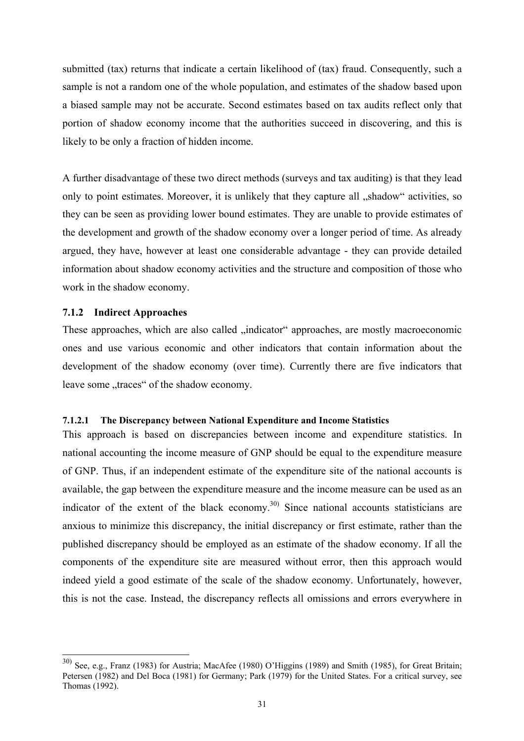submitted (tax) returns that indicate a certain likelihood of (tax) fraud. Consequently, such a sample is not a random one of the whole population, and estimates of the shadow based upon a biased sample may not be accurate. Second estimates based on tax audits reflect only that portion of shadow economy income that the authorities succeed in discovering, and this is likely to be only a fraction of hidden income.

A further disadvantage of these two direct methods (surveys and tax auditing) is that they lead only to point estimates. Moreover, it is unlikely that they capture all "shadow" activities, so they can be seen as providing lower bound estimates. They are unable to provide estimates of the development and growth of the shadow economy over a longer period of time. As already argued, they have, however at least one considerable advantage - they can provide detailed information about shadow economy activities and the structure and composition of those who work in the shadow economy.

### **7.1.2 Indirect Approaches**

 $\overline{a}$ 

These approaches, which are also called  $\mu$  indicator" approaches, are mostly macroeconomic ones and use various economic and other indicators that contain information about the development of the shadow economy (over time). Currently there are five indicators that leave some "traces" of the shadow economy.

### **7.1.2.1 The Discrepancy between National Expenditure and Income Statistics**

This approach is based on discrepancies between income and expenditure statistics. In national accounting the income measure of GNP should be equal to the expenditure measure of GNP. Thus, if an independent estimate of the expenditure site of the national accounts is available, the gap between the expenditure measure and the income measure can be used as an indicator of the extent of the black economy.<sup>30)</sup> Since national accounts statisticians are anxious to minimize this discrepancy, the initial discrepancy or first estimate, rather than the published discrepancy should be employed as an estimate of the shadow economy. If all the components of the expenditure site are measured without error, then this approach would indeed yield a good estimate of the scale of the shadow economy. Unfortunately, however, this is not the case. Instead, the discrepancy reflects all omissions and errors everywhere in

 $30)$  See, e.g., Franz (1983) for Austria; MacAfee (1980) O'Higgins (1989) and Smith (1985), for Great Britain; Petersen (1982) and Del Boca (1981) for Germany; Park (1979) for the United States. For a critical survey, see Thomas (1992).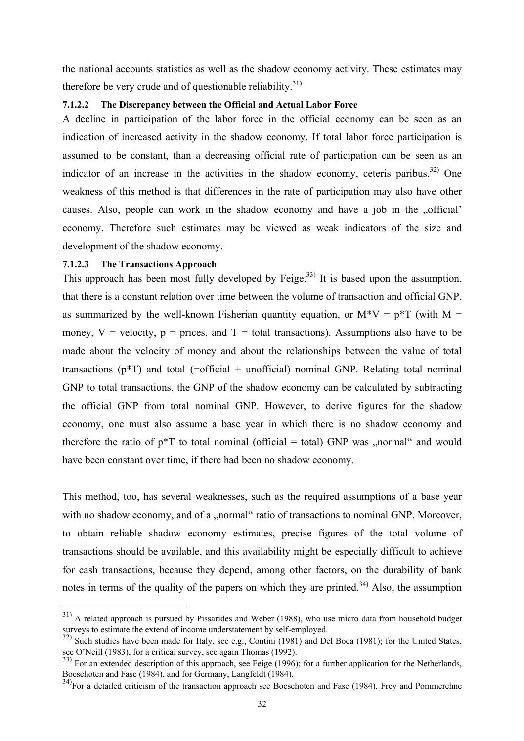the national accounts statistics as well as the shadow economy activity. These estimates may therefore be very crude and of questionable reliability.<sup>31)</sup>

### **7.1.2.2 The Discrepancy between the Official and Actual Labor Force**

A decline in participation of the labor force in the official economy can be seen as an indication of increased activity in the shadow economy. If total labor force participation is assumed to be constant, than a decreasing official rate of participation can be seen as an indicator of an increase in the activities in the shadow economy, ceteris paribus.<sup>32)</sup> One weakness of this method is that differences in the rate of participation may also have other causes. Also, people can work in the shadow economy and have a job in the ....official' economy. Therefore such estimates may be viewed as weak indicators of the size and development of the shadow economy.

### **7.1.2.3 The Transactions Approach**

 $\overline{a}$ 

This approach has been most fully developed by Feige.<sup>33)</sup> It is based upon the assumption, that there is a constant relation over time between the volume of transaction and official GNP, as summarized by the well-known Fisherian quantity equation, or  $M^*V = p^*T$  (with  $M =$ money,  $V =$  velocity,  $p =$  prices, and  $T =$  total transactions). Assumptions also have to be made about the velocity of money and about the relationships between the value of total transactions ( $p^*T$ ) and total (=official + unofficial) nominal GNP. Relating total nominal GNP to total transactions, the GNP of the shadow economy can be calculated by subtracting the official GNP from total nominal GNP. However, to derive figures for the shadow economy, one must also assume a base year in which there is no shadow economy and therefore the ratio of  $p^*T$  to total nominal (official = total) GNP was "normal" and would have been constant over time, if there had been no shadow economy.

This method, too, has several weaknesses, such as the required assumptions of a base year with no shadow economy, and of a "normal" ratio of transactions to nominal GNP. Moreover, to obtain reliable shadow economy estimates, precise figures of the total volume of transactions should be available, and this availability might be especially difficult to achieve for cash transactions, because they depend, among other factors, on the durability of bank notes in terms of the quality of the papers on which they are printed.<sup>34)</sup> Also, the assumption

 $31)$  A related approach is pursued by Pissarides and Weber (1988), who use micro data from household budget surveys to estimate the extend of income understatement by self-employed.

<sup>&</sup>lt;sup>32)</sup> Such studies have been made for Italy, see e.g., Contini (1981) and Del Boca (1981); for the United States, see O'Neill (1983), for a critical survey, see again Thomas (1992).

<sup>&</sup>lt;sup>33)</sup> For an extended description of this approach, see Feige (1996); for a further application for the Netherlands, Boeschoten and Fase (1984), and for Germany, Langfeldt (1984).

<sup>&</sup>lt;sup>34)</sup>For a detailed criticism of the transaction approach see Boeschoten and Fase (1984), Frey and Pommerehne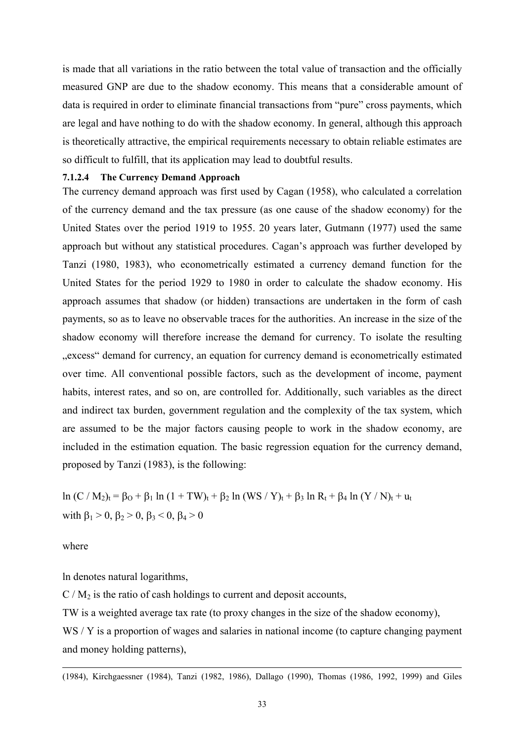is made that all variations in the ratio between the total value of transaction and the officially measured GNP are due to the shadow economy. This means that a considerable amount of data is required in order to eliminate financial transactions from "pure" cross payments, which are legal and have nothing to do with the shadow economy. In general, although this approach is theoretically attractive, the empirical requirements necessary to obtain reliable estimates are so difficult to fulfill, that its application may lead to doubtful results.

### **7.1.2.4 The Currency Demand Approach**

The currency demand approach was first used by Cagan (1958), who calculated a correlation of the currency demand and the tax pressure (as one cause of the shadow economy) for the United States over the period 1919 to 1955. 20 years later, Gutmann (1977) used the same approach but without any statistical procedures. Cagan's approach was further developed by Tanzi (1980, 1983), who econometrically estimated a currency demand function for the United States for the period 1929 to 1980 in order to calculate the shadow economy. His approach assumes that shadow (or hidden) transactions are undertaken in the form of cash payments, so as to leave no observable traces for the authorities. An increase in the size of the shadow economy will therefore increase the demand for currency. To isolate the resulting "excess" demand for currency, an equation for currency demand is econometrically estimated. over time. All conventional possible factors, such as the development of income, payment habits, interest rates, and so on, are controlled for. Additionally, such variables as the direct and indirect tax burden, government regulation and the complexity of the tax system, which are assumed to be the major factors causing people to work in the shadow economy, are included in the estimation equation. The basic regression equation for the currency demand, proposed by Tanzi (1983), is the following:

ln (C / M<sub>2</sub>)<sub>t</sub> = β<sub>O</sub> + β<sub>1</sub> ln (1 + TW)<sub>t</sub> + β<sub>2</sub> ln (WS / Y)<sub>t</sub> + β<sub>3</sub> ln R<sub>t</sub> + β<sub>4</sub> ln (Y / N)<sub>t</sub> + u<sub>t</sub> with  $\beta_1 > 0$ ,  $\beta_2 > 0$ ,  $\beta_3 < 0$ ,  $\beta_4 > 0$ 

where

 $\overline{a}$ 

ln denotes natural logarithms,

 $C/M_2$  is the ratio of cash holdings to current and deposit accounts,

TW is a weighted average tax rate (to proxy changes in the size of the shadow economy),

WS / Y is a proportion of wages and salaries in national income (to capture changing payment and money holding patterns),

(1984), Kirchgaessner (1984), Tanzi (1982, 1986), Dallago (1990), Thomas (1986, 1992, 1999) and Giles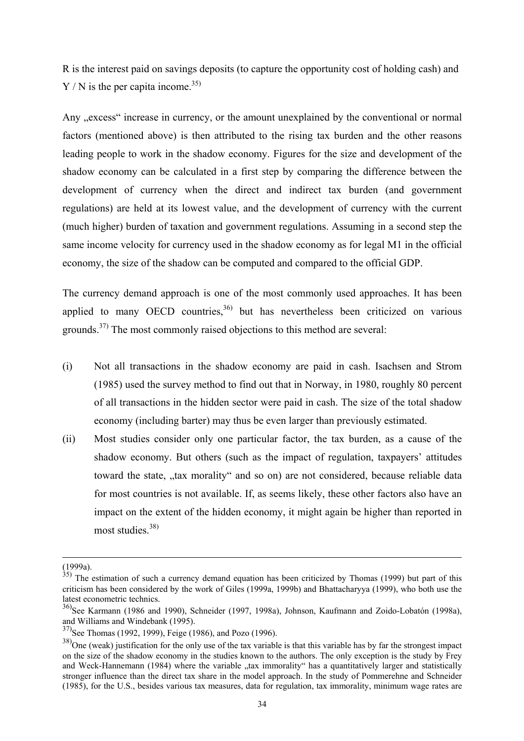R is the interest paid on savings deposits (to capture the opportunity cost of holding cash) and  $Y/N$  is the per capita income.<sup>35)</sup>

Any "excess" increase in currency, or the amount unexplained by the conventional or normal factors (mentioned above) is then attributed to the rising tax burden and the other reasons leading people to work in the shadow economy. Figures for the size and development of the shadow economy can be calculated in a first step by comparing the difference between the development of currency when the direct and indirect tax burden (and government regulations) are held at its lowest value, and the development of currency with the current (much higher) burden of taxation and government regulations. Assuming in a second step the same income velocity for currency used in the shadow economy as for legal M1 in the official economy, the size of the shadow can be computed and compared to the official GDP.

The currency demand approach is one of the most commonly used approaches. It has been applied to many OECD countries,  $36$  but has nevertheless been criticized on various grounds.<sup>37)</sup> The most commonly raised objections to this method are several:

- (i) Not all transactions in the shadow economy are paid in cash. Isachsen and Strom (1985) used the survey method to find out that in Norway, in 1980, roughly 80 percent of all transactions in the hidden sector were paid in cash. The size of the total shadow economy (including barter) may thus be even larger than previously estimated.
- (ii) Most studies consider only one particular factor, the tax burden, as a cause of the shadow economy. But others (such as the impact of regulation, taxpayers' attitudes toward the state, "tax morality" and so on) are not considered, because reliable data for most countries is not available. If, as seems likely, these other factors also have an impact on the extent of the hidden economy, it might again be higher than reported in most studies.<sup>38)</sup>

<sup>(1999</sup>a).

 $35)$  The estimation of such a currency demand equation has been criticized by Thomas (1999) but part of this criticism has been considered by the work of Giles (1999a, 1999b) and Bhattacharyya (1999), who both use the latest econometric technics.

<sup>36)</sup>See Karmann (1986 and 1990), Schneider (1997, 1998a), Johnson, Kaufmann and Zoido-Lobatón (1998a), and Williams and Windebank (1995).

<sup>37)</sup>See Thomas (1992, 1999), Feige (1986), and Pozo (1996).

 $38$ )One (weak) justification for the only use of the tax variable is that this variable has by far the strongest impact on the size of the shadow economy in the studies known to the authors. The only exception is the study by Frey and Weck-Hannemann (1984) where the variable "tax immorality" has a quantitatively larger and statistically stronger influence than the direct tax share in the model approach. In the study of Pommerehne and Schneider (1985), for the U.S., besides various tax measures, data for regulation, tax immorality, minimum wage rates are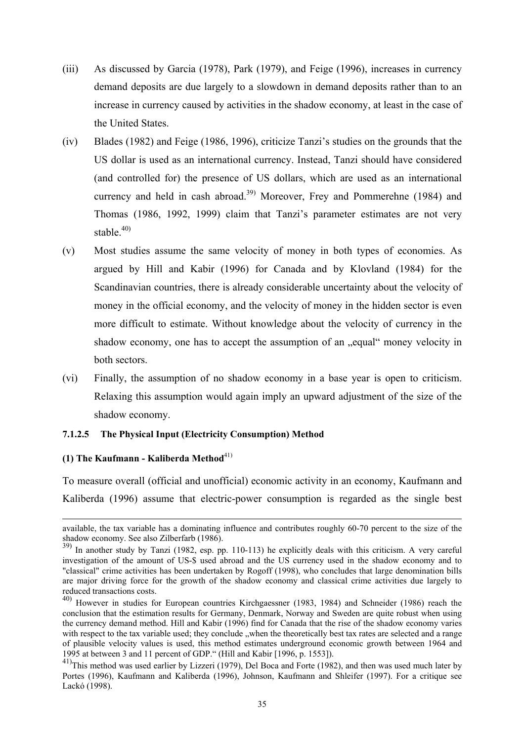- (iii) As discussed by Garcia (1978), Park (1979), and Feige (1996), increases in currency demand deposits are due largely to a slowdown in demand deposits rather than to an increase in currency caused by activities in the shadow economy, at least in the case of the United States.
- (iv) Blades (1982) and Feige (1986, 1996), criticize Tanzi's studies on the grounds that the US dollar is used as an international currency. Instead, Tanzi should have considered (and controlled for) the presence of US dollars, which are used as an international currency and held in cash abroad.<sup>39)</sup> Moreover, Frey and Pommerehne (1984) and Thomas (1986, 1992, 1999) claim that Tanzi's parameter estimates are not very stable. $40$
- (v) Most studies assume the same velocity of money in both types of economies. As argued by Hill and Kabir (1996) for Canada and by Klovland (1984) for the Scandinavian countries, there is already considerable uncertainty about the velocity of money in the official economy, and the velocity of money in the hidden sector is even more difficult to estimate. Without knowledge about the velocity of currency in the shadow economy, one has to accept the assumption of an "equal" money velocity in both sectors.
- (vi) Finally, the assumption of no shadow economy in a base year is open to criticism. Relaxing this assumption would again imply an upward adjustment of the size of the shadow economy.

### **7.1.2.5 The Physical Input (Electricity Consumption) Method**

### **(1) The Kaufmann - Kaliberda Method**<sup>41)</sup>

 $\overline{a}$ 

To measure overall (official and unofficial) economic activity in an economy, Kaufmann and Kaliberda (1996) assume that electric-power consumption is regarded as the single best

available, the tax variable has a dominating influence and contributes roughly 60-70 percent to the size of the shadow economy. See also Zilberfarb (1986).

 $39$ ) In another study by Tanzi (1982, esp. pp. 110-113) he explicitly deals with this criticism. A very careful  $\frac{39}{4}$ investigation of the amount of US-\$ used abroad and the US currency used in the shadow economy and to "classical" crime activities has been undertaken by Rogoff (1998), who concludes that large denomination bills are major driving force for the growth of the shadow economy and classical crime activities due largely to reduced transactions costs.

<sup>40)</sup> However in studies for European countries Kirchgaessner (1983, 1984) and Schneider (1986) reach the conclusion that the estimation results for Germany, Denmark, Norway and Sweden are quite robust when using the currency demand method. Hill and Kabir (1996) find for Canada that the rise of the shadow economy varies with respect to the tax variable used; they conclude "when the theoretically best tax rates are selected and a range of plausible velocity values is used, this method estimates underground economic growth between 1964 and 1995 at between 3 and 11 percent of GDP." (Hill and Kabir [1996, p. 1553]).

<sup>41)</sup>This method was used earlier by Lizzeri (1979), Del Boca and Forte (1982), and then was used much later by Portes (1996), Kaufmann and Kaliberda (1996), Johnson, Kaufmann and Shleifer (1997). For a critique see Lackó (1998).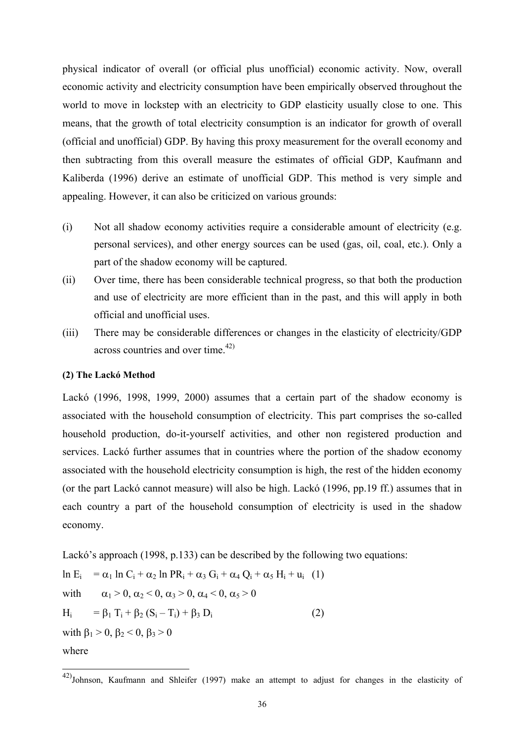physical indicator of overall (or official plus unofficial) economic activity. Now, overall economic activity and electricity consumption have been empirically observed throughout the world to move in lockstep with an electricity to GDP elasticity usually close to one. This means, that the growth of total electricity consumption is an indicator for growth of overall (official and unofficial) GDP. By having this proxy measurement for the overall economy and then subtracting from this overall measure the estimates of official GDP, Kaufmann and Kaliberda (1996) derive an estimate of unofficial GDP. This method is very simple and appealing. However, it can also be criticized on various grounds:

- (i) Not all shadow economy activities require a considerable amount of electricity (e.g. personal services), and other energy sources can be used (gas, oil, coal, etc.). Only a part of the shadow economy will be captured.
- (ii) Over time, there has been considerable technical progress, so that both the production and use of electricity are more efficient than in the past, and this will apply in both official and unofficial uses.
- (iii) There may be considerable differences or changes in the elasticity of electricity/GDP across countries and over time. $42)$

### **(2) The Lackó Method**

 $\overline{a}$ 

Lackó (1996, 1998, 1999, 2000) assumes that a certain part of the shadow economy is associated with the household consumption of electricity. This part comprises the so-called household production, do-it-yourself activities, and other non registered production and services. Lackó further assumes that in countries where the portion of the shadow economy associated with the household electricity consumption is high, the rest of the hidden economy (or the part Lackó cannot measure) will also be high. Lackó (1996, pp.19 ff.) assumes that in each country a part of the household consumption of electricity is used in the shadow economy.

Lackó's approach (1998, p.133) can be described by the following two equations:

ln E<sub>i</sub> =  $\alpha_1$  ln C<sub>i</sub> +  $\alpha_2$  ln PR<sub>i</sub> +  $\alpha_3$  G<sub>i</sub> +  $\alpha_4$  Q<sub>i</sub> +  $\alpha_5$  H<sub>i</sub> +  $\mu$ <sub>i</sub> (1) with  $\alpha_1 > 0$ ,  $\alpha_2 < 0$ ,  $\alpha_3 > 0$ ,  $\alpha_4 < 0$ ,  $\alpha_5 > 0$  $H_i = \beta_1 T_i + \beta_2 (S_i - T_i) + \beta_3 D_i$  (2) with  $\beta_1 > 0$ ,  $\beta_2 < 0$ ,  $\beta_3 > 0$ where

 $^{42}$ )Johnson, Kaufmann and Shleifer (1997) make an attempt to adjust for changes in the elasticity of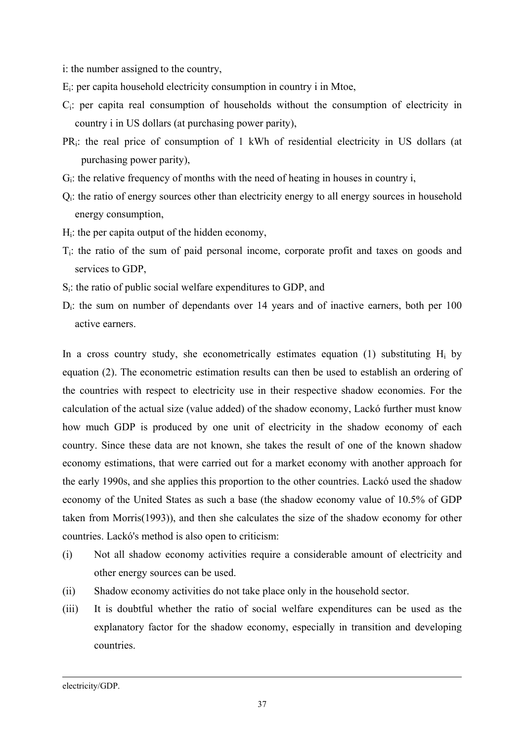i: the number assigned to the country,

Ei: per capita household electricity consumption in country i in Mtoe,

- Ci: per capita real consumption of households without the consumption of electricity in country i in US dollars (at purchasing power parity),
- PR<sub>i</sub>: the real price of consumption of 1 kWh of residential electricity in US dollars (at purchasing power parity),
- Gi: the relative frequency of months with the need of heating in houses in country i,
- Qi: the ratio of energy sources other than electricity energy to all energy sources in household energy consumption,
- Hi: the per capita output of the hidden economy,
- Ti: the ratio of the sum of paid personal income, corporate profit and taxes on goods and services to GDP,
- S<sub>i</sub>: the ratio of public social welfare expenditures to GDP, and
- D<sub>i</sub>: the sum on number of dependants over 14 years and of inactive earners, both per 100 active earners.

In a cross country study, she econometrically estimates equation (1) substituting  $H_i$  by equation (2). The econometric estimation results can then be used to establish an ordering of the countries with respect to electricity use in their respective shadow economies. For the calculation of the actual size (value added) of the shadow economy, Lackó further must know how much GDP is produced by one unit of electricity in the shadow economy of each country. Since these data are not known, she takes the result of one of the known shadow economy estimations, that were carried out for a market economy with another approach for the early 1990s, and she applies this proportion to the other countries. Lackó used the shadow economy of the United States as such a base (the shadow economy value of 10.5% of GDP taken from Morris(1993)), and then she calculates the size of the shadow economy for other countries. Lackó's method is also open to criticism:

- (i) Not all shadow economy activities require a considerable amount of electricity and other energy sources can be used.
- (ii) Shadow economy activities do not take place only in the household sector.
- (iii) It is doubtful whether the ratio of social welfare expenditures can be used as the explanatory factor for the shadow economy, especially in transition and developing countries.

electricity/GDP.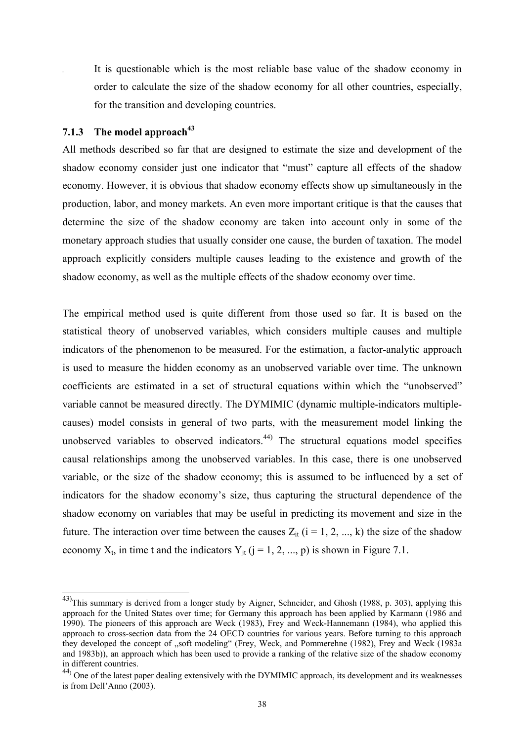It is questionable which is the most reliable base value of the shadow economy in order to calculate the size of the shadow economy for all other countries, especially, for the transition and developing countries.

### **7.1.3** The model approach<sup>43</sup>

 $\overline{a}$ 

All methods described so far that are designed to estimate the size and development of the shadow economy consider just one indicator that "must" capture all effects of the shadow economy. However, it is obvious that shadow economy effects show up simultaneously in the production, labor, and money markets. An even more important critique is that the causes that determine the size of the shadow economy are taken into account only in some of the monetary approach studies that usually consider one cause, the burden of taxation. The model approach explicitly considers multiple causes leading to the existence and growth of the shadow economy, as well as the multiple effects of the shadow economy over time.

The empirical method used is quite different from those used so far. It is based on the statistical theory of unobserved variables, which considers multiple causes and multiple indicators of the phenomenon to be measured. For the estimation, a factor-analytic approach is used to measure the hidden economy as an unobserved variable over time. The unknown coefficients are estimated in a set of structural equations within which the "unobserved" variable cannot be measured directly. The DYMIMIC (dynamic multiple-indicators multiplecauses) model consists in general of two parts, with the measurement model linking the unobserved variables to observed indicators.<sup>44)</sup> The structural equations model specifies causal relationships among the unobserved variables. In this case, there is one unobserved variable, or the size of the shadow economy; this is assumed to be influenced by a set of indicators for the shadow economy's size, thus capturing the structural dependence of the shadow economy on variables that may be useful in predicting its movement and size in the future. The interaction over time between the causes  $Z_{it}$  ( $i = 1, 2, ..., k$ ) the size of the shadow economy  $X_t$ , in time t and the indicators  $Y_{it}$  (j = 1, 2, ..., p) is shown in Figure 7.1.

<sup>&</sup>lt;sup>43)</sup>This summary is derived from a longer study by Aigner, Schneider, and Ghosh (1988, p. 303), applying this approach for the United States over time; for Germany this approach has been applied by Karmann (1986 and 1990). The pioneers of this approach are Weck (1983), Frey and Weck-Hannemann (1984), who applied this approach to cross-section data from the 24 OECD countries for various years. Before turning to this approach they developed the concept of "soft modeling" (Frey, Weck, and Pommerehne (1982), Frey and Weck (1983a and 1983b)), an approach which has been used to provide a ranking of the relative size of the shadow economy in different countries.

 $^{44}$  One of the latest paper dealing extensively with the DYMIMIC approach, its development and its weaknesses is from Dell'Anno (2003).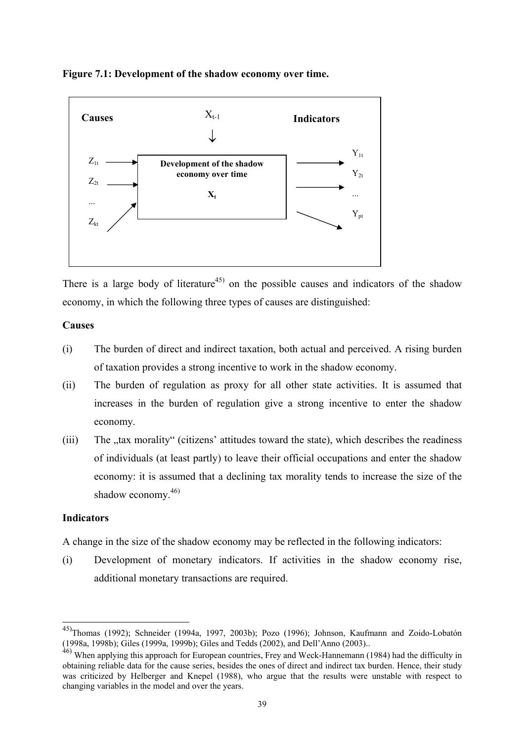



There is a large body of literature<sup>45)</sup> on the possible causes and indicators of the shadow economy, in which the following three types of causes are distinguished:

### **Causes**

- (i) The burden of direct and indirect taxation, both actual and perceived. A rising burden of taxation provides a strong incentive to work in the shadow economy.
- (ii) The burden of regulation as proxy for all other state activities. It is assumed that increases in the burden of regulation give a strong incentive to enter the shadow economy.
- $(iii)$  The  $\pi$ tax morality" (citizens' attitudes toward the state), which describes the readiness of individuals (at least partly) to leave their official occupations and enter the shadow economy: it is assumed that a declining tax morality tends to increase the size of the shadow economy.<sup>46)</sup>

### **Indicators**

 $\overline{a}$ 

A change in the size of the shadow economy may be reflected in the following indicators:

(i) Development of monetary indicators. If activities in the shadow economy rise, additional monetary transactions are required.

<sup>45)</sup>Thomas (1992); Schneider (1994a, 1997, 2003b); Pozo (1996); Johnson, Kaufmann and Zoido-Lobatón (1998a, 1998b); Giles (1999a, 1999b); Giles and Tedds (2002), and Dell'Anno (2003)..

 $^{46)}$  When applying this approach for European countries, Frey and Weck-Hannemann (1984) had the difficulty in obtaining reliable data for the cause series, besides the ones of direct and indirect tax burden. Hence, their study was criticized by Helberger and Knepel (1988), who argue that the results were unstable with respect to changing variables in the model and over the years.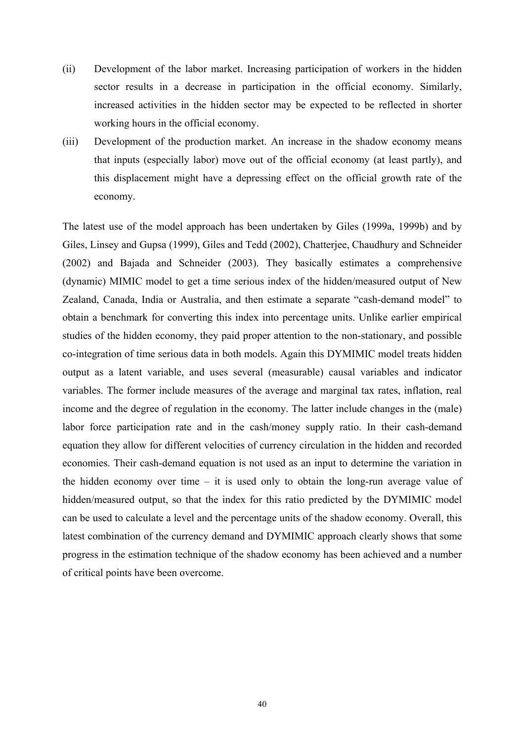- (ii) Development of the labor market. Increasing participation of workers in the hidden sector results in a decrease in participation in the official economy. Similarly, increased activities in the hidden sector may be expected to be reflected in shorter working hours in the official economy.
- (iii) Development of the production market. An increase in the shadow economy means that inputs (especially labor) move out of the official economy (at least partly), and this displacement might have a depressing effect on the official growth rate of the economy.

The latest use of the model approach has been undertaken by Giles (1999a, 1999b) and by Giles, Linsey and Gupsa (1999), Giles and Tedd (2002), Chatterjee, Chaudhury and Schneider (2002) and Bajada and Schneider (2003). They basically estimates a comprehensive (dynamic) MIMIC model to get a time serious index of the hidden/measured output of New Zealand, Canada, India or Australia, and then estimate a separate "cash-demand model" to obtain a benchmark for converting this index into percentage units. Unlike earlier empirical studies of the hidden economy, they paid proper attention to the non-stationary, and possible co-integration of time serious data in both models. Again this DYMIMIC model treats hidden output as a latent variable, and uses several (measurable) causal variables and indicator variables. The former include measures of the average and marginal tax rates, inflation, real income and the degree of regulation in the economy. The latter include changes in the (male) labor force participation rate and in the cash/money supply ratio. In their cash-demand equation they allow for different velocities of currency circulation in the hidden and recorded economies. Their cash-demand equation is not used as an input to determine the variation in the hidden economy over time – it is used only to obtain the long-run average value of hidden/measured output, so that the index for this ratio predicted by the DYMIMIC model can be used to calculate a level and the percentage units of the shadow economy. Overall, this latest combination of the currency demand and DYMIMIC approach clearly shows that some progress in the estimation technique of the shadow economy has been achieved and a number of critical points have been overcome.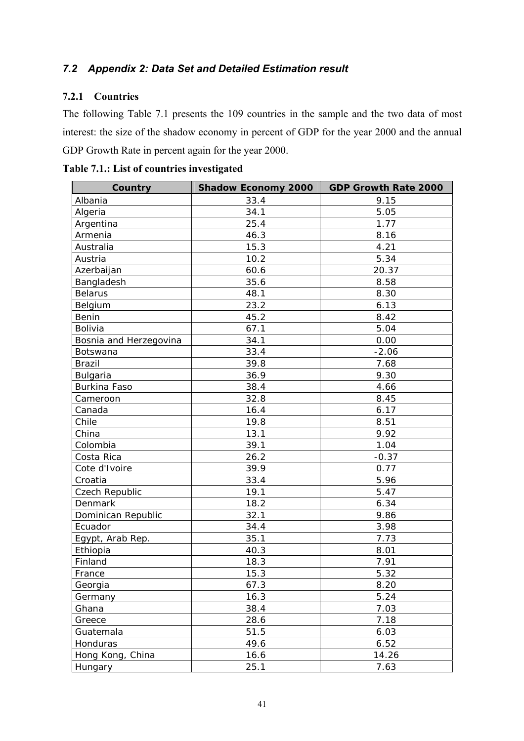### *7.2 Appendix 2: Data Set and Detailed Estimation result*

### **7.2.1 Countries**

The following Table 7.1 presents the 109 countries in the sample and the two data of most interest: the size of the shadow economy in percent of GDP for the year 2000 and the annual GDP Growth Rate in percent again for the year 2000.

| Country                | <b>Shadow Economy 2000</b> | <b>GDP Growth Rate 2000</b> |
|------------------------|----------------------------|-----------------------------|
| Albania                | 33.4                       | 9.15                        |
| Algeria                | 34.1                       | 5.05                        |
| Argentina              | 25.4                       | 1.77                        |
| Armenia                | 46.3                       | 8.16                        |
| Australia              | 15.3                       | 4.21                        |
| Austria                | 10.2                       | 5.34                        |
| Azerbaijan             | 60.6                       | 20.37                       |
| Bangladesh             | 35.6                       | 8.58                        |
| <b>Belarus</b>         | 48.1                       | 8.30                        |
| Belgium                | 23.2                       | 6.13                        |
| <b>Benin</b>           | 45.2                       | 8.42                        |
| Bolivia                | 67.1                       | 5.04                        |
| Bosnia and Herzegovina | 34.1                       | 0.00                        |
| Botswana               | 33.4                       | $-2.06$                     |
| <b>Brazil</b>          | 39.8                       | 7.68                        |
| <b>Bulgaria</b>        | 36.9                       | 9.30                        |
| Burkina Faso           | 38.4                       | 4.66                        |
| Cameroon               | 32.8                       | 8.45                        |
| Canada                 | 16.4                       | 6.17                        |
| Chile                  | 19.8                       | 8.51                        |
| China                  | 13.1                       | 9.92                        |
| Colombia               | 39.1                       | 1.04                        |
| Costa Rica             | 26.2                       | $-0.37$                     |
| Cote d'Ivoire          | 39.9                       | 0.77                        |
| Croatia                | 33.4                       | 5.96                        |
| Czech Republic         | 19.1                       | 5.47                        |
| Denmark                | 18.2                       | 6.34                        |
| Dominican Republic     | 32.1                       | 9.86                        |
| Ecuador                | 34.4                       | 3.98                        |
| Egypt, Arab Rep.       | 35.1                       | 7.73                        |
| Ethiopia               | 40.3                       | 8.01                        |
| Finland                | 18.3                       | 7.91                        |
| France                 | 15.3                       | 5.32                        |
| Georgia                | 67.3                       | 8.20                        |
| Germany                | 16.3                       | 5.24                        |
| Ghana                  | 38.4                       | 7.03                        |
| Greece                 | 28.6                       | 7.18                        |
| Guatemala              | 51.5                       | 6.03                        |
| Honduras               | 49.6                       | 6.52                        |
| Hong Kong, China       | 16.6                       | 14.26                       |
| Hungary                | 25.1                       | 7.63                        |

**Table 7.1.: List of countries investigated**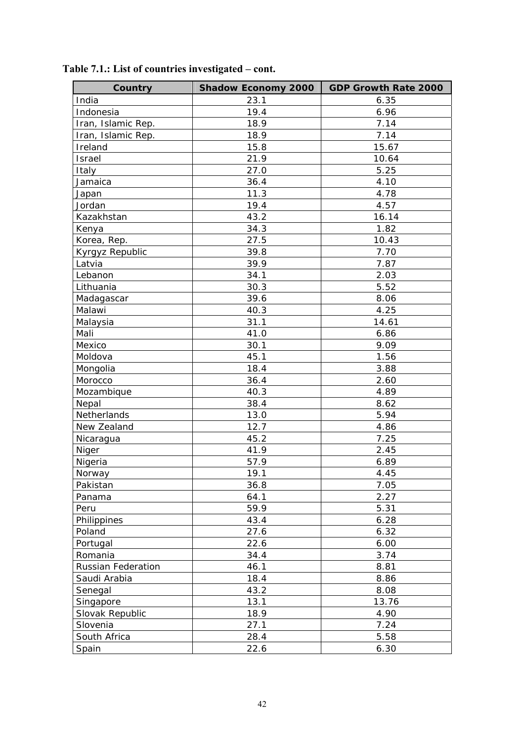| Country                   | <b>Shadow Economy 2000</b> | <b>GDP Growth Rate 2000</b> |
|---------------------------|----------------------------|-----------------------------|
| India                     | 23.1                       | 6.35                        |
| Indonesia                 | 19.4                       | 6.96                        |
| Iran, Islamic Rep.        | 18.9                       | 7.14                        |
| Iran, Islamic Rep.        | 18.9                       | 7.14                        |
| Ireland                   | 15.8                       | 15.67                       |
| Israel                    | 21.9                       | 10.64                       |
| Italy                     | 27.0                       | 5.25                        |
| Jamaica                   | 36.4                       | 4.10                        |
| Japan                     | 11.3                       | 4.78                        |
| Jordan                    | 19.4                       | 4.57                        |
| Kazakhstan                | 43.2                       | 16.14                       |
| Kenya                     | 34.3                       | 1.82                        |
| Korea, Rep.               | 27.5                       | 10.43                       |
| Kyrgyz Republic           | 39.8                       | 7.70                        |
| Latvia                    | 39.9                       | 7.87                        |
| Lebanon                   | 34.1                       | 2.03                        |
| Lithuania                 | 30.3                       | 5.52                        |
| Madagascar                | 39.6                       | 8.06                        |
| Malawi                    | 40.3                       | 4.25                        |
| Malaysia                  | 31.1                       | 14.61                       |
| Mali                      | 41.0                       | 6.86                        |
| Mexico                    | 30.1                       | 9.09                        |
| Moldova                   | 45.1                       | 1.56                        |
| Mongolia                  | 18.4                       | 3.88                        |
| Morocco                   | 36.4                       | 2.60                        |
| Mozambique                | 40.3                       | 4.89                        |
| Nepal                     | 38.4                       | 8.62                        |
| Netherlands               | 13.0                       | 5.94                        |
| New Zealand               | 12.7                       | 4.86                        |
| Nicaragua                 | 45.2                       | 7.25                        |
| Niger                     | 41.9                       | 2.45                        |
| Nigeria                   | 57.9                       | 6.89                        |
| Norway                    | 19.1                       | 4.45                        |
| Pakistan                  | 36.8                       | 7.05                        |
| Panama                    | 64.1                       | 2.27                        |
| Peru                      | 59.9                       | 5.31                        |
| Philippines               | 43.4                       | 6.28                        |
| Poland                    | 27.6                       | 6.32                        |
| Portugal                  | 22.6                       | 6.00                        |
| Romania                   | 34.4                       | 3.74                        |
| <b>Russian Federation</b> | 46.1                       | 8.81                        |
| Saudi Arabia              | 18.4                       | 8.86                        |
| Senegal                   | 43.2                       | 8.08                        |
| Singapore                 | 13.1                       | 13.76                       |
| Slovak Republic           | 18.9                       | 4.90                        |
| Slovenia                  | 27.1                       | 7.24                        |
| South Africa              | 28.4                       | 5.58                        |
| Spain                     | 22.6                       | 6.30                        |

| Table 7.1.: List of countries investigated – cont. |  |  |  |  |  |  |  |  |
|----------------------------------------------------|--|--|--|--|--|--|--|--|
|----------------------------------------------------|--|--|--|--|--|--|--|--|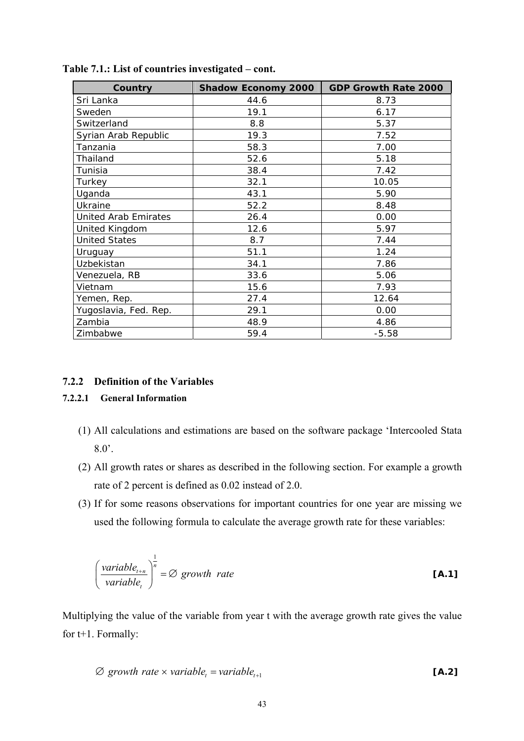| <b>Country</b>              | <b>Shadow Economy 2000</b> | <b>GDP Growth Rate 2000</b> |
|-----------------------------|----------------------------|-----------------------------|
| Sri Lanka                   | 44.6                       | 8.73                        |
| Sweden                      | 19.1                       | 6.17                        |
| Switzerland                 | 8.8                        | 5.37                        |
| Syrian Arab Republic        | 19.3                       | 7.52                        |
| Tanzania                    | 58.3                       | 7.00                        |
| Thailand                    | 52.6                       | 5.18                        |
| Tunisia                     | 38.4                       | 7.42                        |
| Turkey                      | 32.1                       | 10.05                       |
| Uganda                      | 43.1                       | 5.90                        |
| Ukraine                     | 52.2                       | 8.48                        |
| <b>United Arab Emirates</b> | 26.4                       | 0.00                        |
| United Kingdom              | 12.6                       | 5.97                        |
| <b>United States</b>        | 8.7                        | 7.44                        |
| Uruguay                     | 51.1                       | 1.24                        |
| Uzbekistan                  | 34.1                       | 7.86                        |
| Venezuela, RB               | 33.6                       | 5.06                        |
| Vietnam                     | 15.6                       | 7.93                        |
| Yemen, Rep.                 | 27.4                       | 12.64                       |
| Yugoslavia, Fed. Rep.       | 29.1                       | 0.00                        |
| Zambia                      | 48.9                       | 4.86                        |
| Zimbabwe                    | 59.4                       | $-5.58$                     |

**Table 7.1.: List of countries investigated – cont.** 

### **7.2.2 Definition of the Variables**

### **7.2.2.1 General Information**

- (1) All calculations and estimations are based on the software package 'Intercooled Stata  $8.0$ '.
- (2) All growth rates or shares as described in the following section. For example a growth rate of 2 percent is defined as 0.02 instead of 2.0.
- (3) If for some reasons observations for important countries for one year are missing we used the following formula to calculate the average growth rate for these variables:

$$
\left(\frac{\text{variable}_{t+n}}{\text{variable}_{t}}\right)^{\frac{1}{n}} = \emptyset \text{ growth rate}
$$
 [A. 1]

Multiplying the value of the variable from year t with the average growth rate gives the value for t+1. Formally:

$$
\emptyset \text{ growth rate} \times \text{variable}_{t} = \text{variable}_{t+1}
$$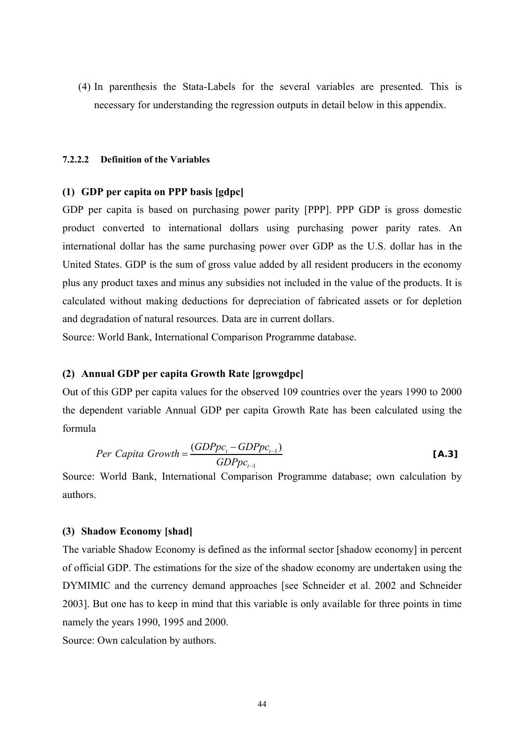(4) In parenthesis the Stata-Labels for the several variables are presented. This is necessary for understanding the regression outputs in detail below in this appendix.

### **7.2.2.2 Definition of the Variables**

### **(1) GDP per capita on PPP basis [gdpc]**

GDP per capita is based on purchasing power parity [PPP]. PPP GDP is gross domestic product converted to international dollars using purchasing power parity rates. An international dollar has the same purchasing power over GDP as the U.S. dollar has in the United States. GDP is the sum of gross value added by all resident producers in the economy plus any product taxes and minus any subsidies not included in the value of the products. It is calculated without making deductions for depreciation of fabricated assets or for depletion and degradation of natural resources. Data are in current dollars.

Source: World Bank, International Comparison Programme database.

### **(2) Annual GDP per capita Growth Rate [growgdpc]**

Out of this GDP per capita values for the observed 109 countries over the years 1990 to 2000 the dependent variable Annual GDP per capita Growth Rate has been calculated using the formula

$$
Per Capita Growth = \frac{(GDPpc_{t} - GDPpc_{t-1})}{GDPpc_{t-1}}
$$
 [A.3]

Source: World Bank, International Comparison Programme database; own calculation by authors.

### **(3) Shadow Economy [shad]**

The variable Shadow Economy is defined as the informal sector [shadow economy] in percent of official GDP. The estimations for the size of the shadow economy are undertaken using the DYMIMIC and the currency demand approaches [see Schneider et al. 2002 and Schneider 2003]. But one has to keep in mind that this variable is only available for three points in time namely the years 1990, 1995 and 2000.

Source: Own calculation by authors.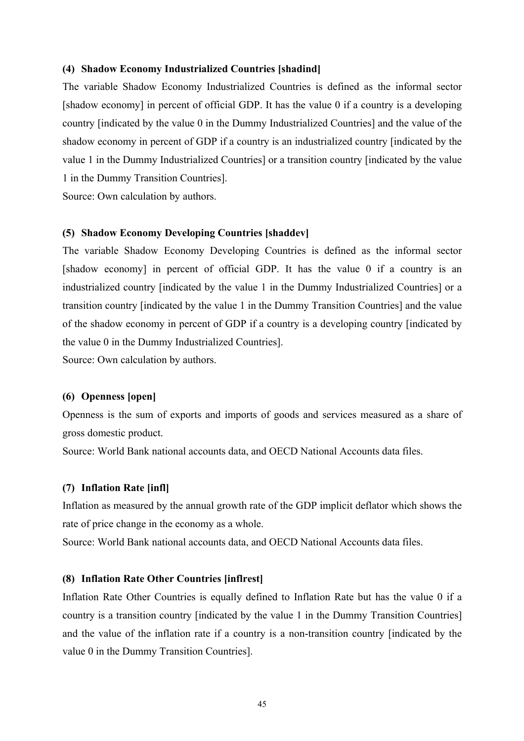### **(4) Shadow Economy Industrialized Countries [shadind]**

The variable Shadow Economy Industrialized Countries is defined as the informal sector [shadow economy] in percent of official GDP. It has the value 0 if a country is a developing country [indicated by the value 0 in the Dummy Industrialized Countries] and the value of the shadow economy in percent of GDP if a country is an industrialized country [indicated by the value 1 in the Dummy Industrialized Countries] or a transition country [indicated by the value 1 in the Dummy Transition Countries].

Source: Own calculation by authors.

### **(5) Shadow Economy Developing Countries [shaddev]**

The variable Shadow Economy Developing Countries is defined as the informal sector [shadow economy] in percent of official GDP. It has the value 0 if a country is an industrialized country [indicated by the value 1 in the Dummy Industrialized Countries] or a transition country [indicated by the value 1 in the Dummy Transition Countries] and the value of the shadow economy in percent of GDP if a country is a developing country [indicated by the value 0 in the Dummy Industrialized Countries].

Source: Own calculation by authors.

### **(6) Openness [open]**

Openness is the sum of exports and imports of goods and services measured as a share of gross domestic product.

Source: World Bank national accounts data, and OECD National Accounts data files.

### **(7) Inflation Rate [infl]**

Inflation as measured by the annual growth rate of the GDP implicit deflator which shows the rate of price change in the economy as a whole.

Source: World Bank national accounts data, and OECD National Accounts data files.

### **(8) Inflation Rate Other Countries [inflrest]**

Inflation Rate Other Countries is equally defined to Inflation Rate but has the value 0 if a country is a transition country [indicated by the value 1 in the Dummy Transition Countries] and the value of the inflation rate if a country is a non-transition country [indicated by the value 0 in the Dummy Transition Countries].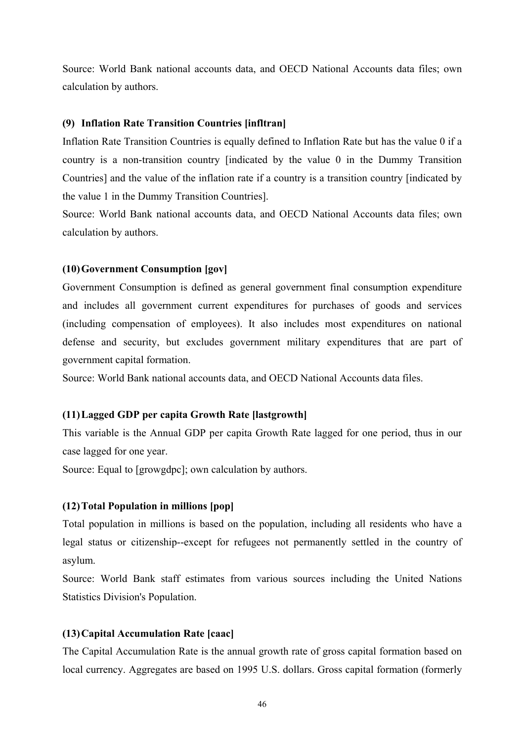Source: World Bank national accounts data, and OECD National Accounts data files; own calculation by authors.

### **(9) Inflation Rate Transition Countries [infltran]**

Inflation Rate Transition Countries is equally defined to Inflation Rate but has the value 0 if a country is a non-transition country [indicated by the value 0 in the Dummy Transition Countries] and the value of the inflation rate if a country is a transition country [indicated by the value 1 in the Dummy Transition Countries].

Source: World Bank national accounts data, and OECD National Accounts data files; own calculation by authors.

### **(10)Government Consumption [gov]**

Government Consumption is defined as general government final consumption expenditure and includes all government current expenditures for purchases of goods and services (including compensation of employees). It also includes most expenditures on national defense and security, but excludes government military expenditures that are part of government capital formation.

Source: World Bank national accounts data, and OECD National Accounts data files.

### **(11)Lagged GDP per capita Growth Rate [lastgrowth]**

This variable is the Annual GDP per capita Growth Rate lagged for one period, thus in our case lagged for one year.

Source: Equal to [growgdpc]; own calculation by authors.

### **(12)Total Population in millions [pop]**

Total population in millions is based on the population, including all residents who have a legal status or citizenship--except for refugees not permanently settled in the country of asylum.

Source: World Bank staff estimates from various sources including the United Nations Statistics Division's Population.

### **(13)Capital Accumulation Rate [caac]**

The Capital Accumulation Rate is the annual growth rate of gross capital formation based on local currency. Aggregates are based on 1995 U.S. dollars. Gross capital formation (formerly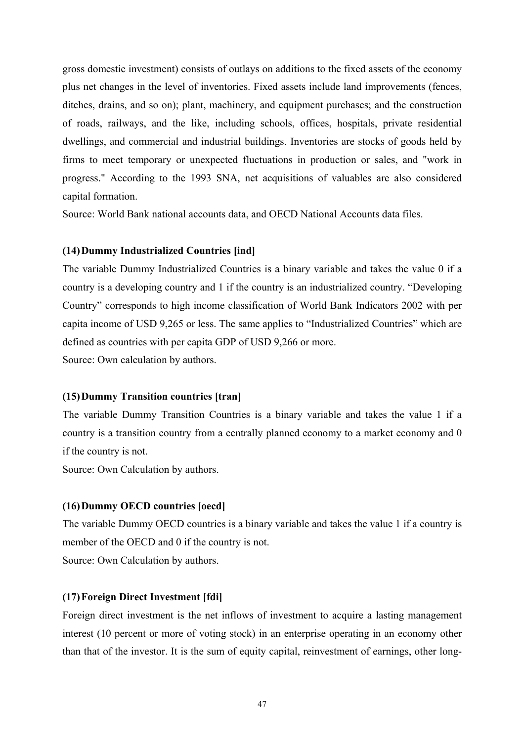gross domestic investment) consists of outlays on additions to the fixed assets of the economy plus net changes in the level of inventories. Fixed assets include land improvements (fences, ditches, drains, and so on); plant, machinery, and equipment purchases; and the construction of roads, railways, and the like, including schools, offices, hospitals, private residential dwellings, and commercial and industrial buildings. Inventories are stocks of goods held by firms to meet temporary or unexpected fluctuations in production or sales, and "work in progress." According to the 1993 SNA, net acquisitions of valuables are also considered capital formation.

Source: World Bank national accounts data, and OECD National Accounts data files.

### **(14)Dummy Industrialized Countries [ind]**

The variable Dummy Industrialized Countries is a binary variable and takes the value 0 if a country is a developing country and 1 if the country is an industrialized country. "Developing Country" corresponds to high income classification of World Bank Indicators 2002 with per capita income of USD 9,265 or less. The same applies to "Industrialized Countries" which are defined as countries with per capita GDP of USD 9,266 or more. Source: Own calculation by authors.

### **(15)Dummy Transition countries [tran]**

The variable Dummy Transition Countries is a binary variable and takes the value 1 if a country is a transition country from a centrally planned economy to a market economy and 0 if the country is not.

Source: Own Calculation by authors.

### **(16)Dummy OECD countries [oecd]**

The variable Dummy OECD countries is a binary variable and takes the value 1 if a country is member of the OECD and 0 if the country is not.

Source: Own Calculation by authors.

### **(17)Foreign Direct Investment [fdi]**

Foreign direct investment is the net inflows of investment to acquire a lasting management interest (10 percent or more of voting stock) in an enterprise operating in an economy other than that of the investor. It is the sum of equity capital, reinvestment of earnings, other long-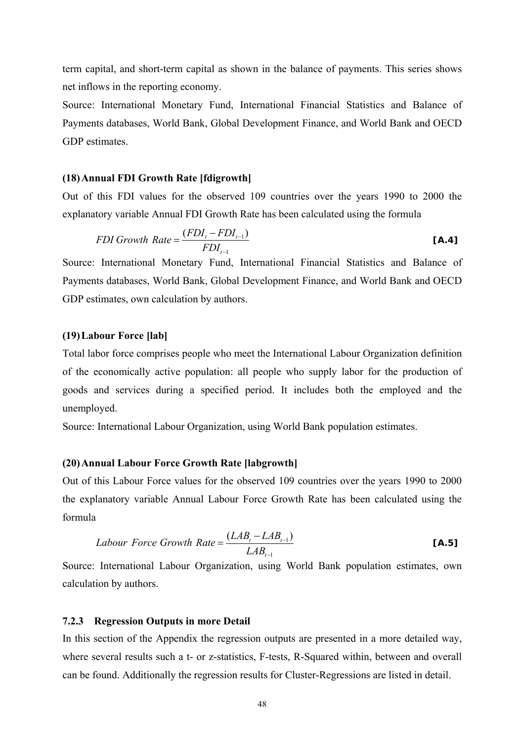term capital, and short-term capital as shown in the balance of payments. This series shows net inflows in the reporting economy.

Source: International Monetary Fund, International Financial Statistics and Balance of Payments databases, World Bank, Global Development Finance, and World Bank and OECD GDP estimates.

### **(18)Annual FDI Growth Rate [fdigrowth]**

Out of this FDI values for the observed 109 countries over the years 1990 to 2000 the explanatory variable Annual FDI Growth Rate has been calculated using the formula

$$
FDI Growth Rate = \frac{(FDI_t - FDI_{t-1})}{FDI_{t-1}}
$$
 [A.4]

Source: International Monetary Fund, International Financial Statistics and Balance of Payments databases, World Bank, Global Development Finance, and World Bank and OECD GDP estimates, own calculation by authors.

### **(19)Labour Force [lab]**

Total labor force comprises people who meet the International Labour Organization definition of the economically active population: all people who supply labor for the production of goods and services during a specified period. It includes both the employed and the unemployed.

Source: International Labour Organization, using World Bank population estimates.

### **(20)Annual Labour Force Growth Rate [labgrowth]**

Out of this Labour Force values for the observed 109 countries over the years 1990 to 2000 the explanatory variable Annual Labour Force Growth Rate has been calculated using the formula

*Labour Force Growth Rate* = 
$$
\frac{(LAB_t - LAB_{t-1})}{LAB_{t-1}}
$$
 [A.5]

Source: International Labour Organization, using World Bank population estimates, own calculation by authors.

### **7.2.3 Regression Outputs in more Detail**

In this section of the Appendix the regression outputs are presented in a more detailed way, where several results such a t- or z-statistics, F-tests, R-Squared within, between and overall can be found. Additionally the regression results for Cluster-Regressions are listed in detail.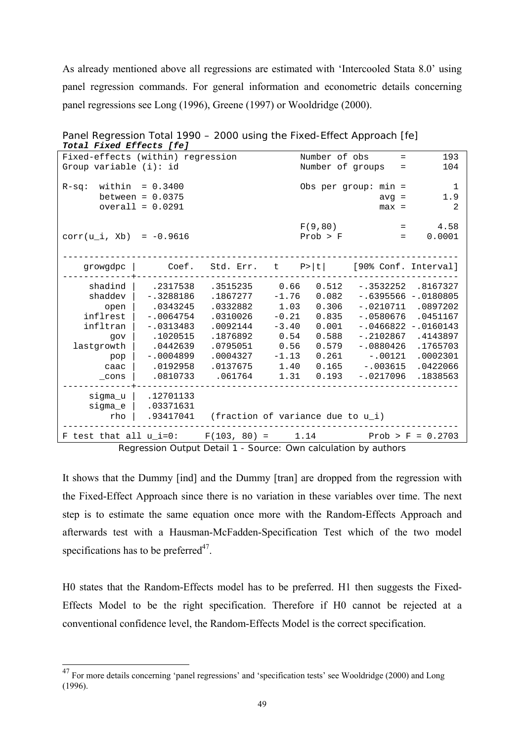As already mentioned above all regressions are estimated with 'Intercooled Stata 8.0' using panel regression commands. For general information and econometric details concerning panel regressions see Long (1996), Greene (1997) or Wooldridge (2000).

*Panel Regression Total 1990 – 2000 using the Fixed-Effect Approach [fe] Total Fixed Effects [fe]*

| Fixed-effects (within) regression |                                                                       | Number of obs                          | $=$                    | 193            |  |
|-----------------------------------|-----------------------------------------------------------------------|----------------------------------------|------------------------|----------------|--|
| Group variable $(i)$ : id         |                                                                       | Number of groups                       | $=$                    | 104            |  |
|                                   |                                                                       |                                        |                        |                |  |
| within = $0.3400$<br>R-sq:        |                                                                       |                                        | Obs per group: min =   | 1              |  |
| between = $0.0375$                |                                                                       |                                        | $avg =$                | 1.9            |  |
| $overall = 0.0291$                |                                                                       |                                        | $max =$                | $\mathfrak{D}$ |  |
|                                   |                                                                       |                                        |                        |                |  |
|                                   |                                                                       | F(9, 80)                               | $=$                    | 4.58           |  |
| $corr(u_i, xb) = -0.9616$         |                                                                       | Prob > F                               | $=$                    | 0.0001         |  |
|                                   |                                                                       |                                        |                        |                |  |
| growgdpc                          | Coef.                                                                 | Std. Err. t P> t  [90% Conf. Interval] |                        |                |  |
|                                   |                                                                       |                                        |                        |                |  |
| shadind<br>.2317538               | .3515235                                                              | 0.66<br>0.512                          | $-.3532252-.8167327$   |                |  |
| shaddev<br>$-.3288186$            | .1867277                                                              | 0.082<br>$-1.76$                       | $-.6395566 - .0180805$ |                |  |
| .0343245<br>open                  | .0332882                                                              | 1.03<br>0.306                          | $-.0210711$ .0897202   |                |  |
| $-.0064754$<br>inflrest           | .0310026                                                              | 0.835<br>$-0.21$                       | $-.0580676$            | .0451167       |  |
| $-.0313483$<br>infltran           | .0092144                                                              | 0.001<br>$-3.40$                       | $-.0466822$            | $-.0160143$    |  |
| .1020515<br>qov                   | .1876892                                                              | 0.54<br>0.588                          | $-.2102867$            | .4143897       |  |
| lastgrowth<br>.0442639            | .0795051                                                              | 0.56<br>0.579                          | -.0880426              | .1765703       |  |
| $-.0004899$<br>pop                | .0004327                                                              | 0.261<br>$-1.13$                       | $-0.0121$              | .0002301       |  |
| .0192958<br>caac                  | .0137675                                                              | 1.40                                   | $0.165 - 003615$       | .0422066       |  |
| .0810733<br>$\_cons$              | .061764                                                               | 1.31<br>0.193                          | $-.0217096$            | .1838563       |  |
| sigma_u<br>.12701133              |                                                                       |                                        |                        |                |  |
| sigma_e<br>.03371631              |                                                                       |                                        |                        |                |  |
| rho<br>.93417041                  |                                                                       | (fraction of variance due to $u_i$ )   |                        |                |  |
|                                   |                                                                       |                                        |                        |                |  |
|                                   | F test that all $u_i=0$ : F(103, 80) =<br>1.14<br>$Prob > F = 0.2703$ |                                        |                        |                |  |

*Regression Output Detail 1 - Source: Own calculation by authors* 

It shows that the Dummy [ind] and the Dummy [tran] are dropped from the regression with the Fixed-Effect Approach since there is no variation in these variables over time. The next step is to estimate the same equation once more with the Random-Effects Approach and afterwards test with a Hausman-McFadden-Specification Test which of the two model specifications has to be preferred $47$ .

H0 states that the Random-Effects model has to be preferred. H1 then suggests the Fixed-Effects Model to be the right specification. Therefore if H0 cannot be rejected at a conventional confidence level, the Random-Effects Model is the correct specification.

 $^{47}$  For more details concerning 'panel regressions' and 'specification tests' see Wooldridge (2000) and Long (1996).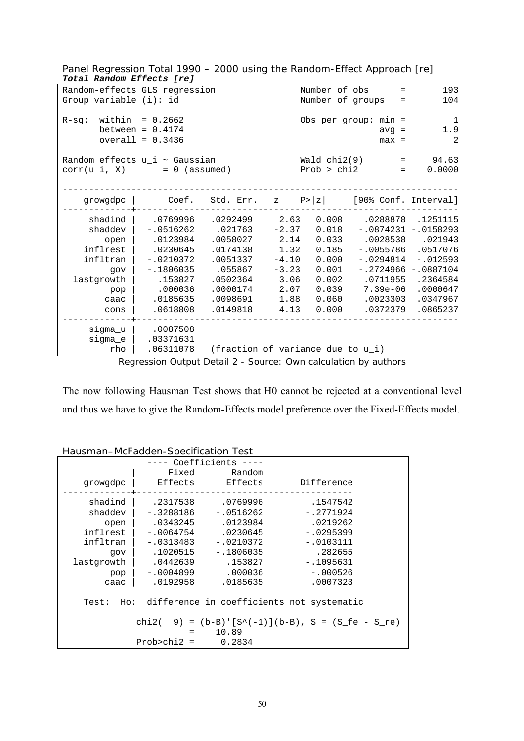*Panel Regression Total 1990 – 2000 using the Random-Effect Approach [re] Total Random Effects [re]*

| Random-effects GLS regression        |                                                    |                                   |         | Number of obs          |             | $=$ | 193                    |
|--------------------------------------|----------------------------------------------------|-----------------------------------|---------|------------------------|-------------|-----|------------------------|
| Group variable $(i)$ : id            |                                                    |                                   |         | Number of groups       |             | $=$ | 104                    |
| $R-sq$ : within = 0.2662             |                                                    |                                   |         | Obs per group: $min =$ |             |     | $\mathbf{1}$           |
| between = $0.4174$                   |                                                    |                                   |         |                        | $avg =$     |     | 1.9                    |
| $overall = 0.3436$                   |                                                    |                                   |         |                        | $max =$     |     | 2                      |
| Random effects $u$ i $\sim$ Gaussian |                                                    |                                   |         |                        |             |     | Wald $chi2(9)$ = 94.63 |
| $corr(u_i, X) = 0$ (assumed)         |                                                    |                                   |         | Prob > chi2            |             |     | 0.0000<br>$=$ 100 $-$  |
|                                      |                                                    |                                   |         |                        |             |     |                        |
|                                      |                                                    |                                   |         |                        |             |     |                        |
| growgdpc                             | Coef. Std. Err. $z = P >  z $ [90% Conf. Interval] |                                   |         |                        |             |     |                        |
| shadind                              | .0769996 .0292499 2.63 0.008 .0288878 .1251115     |                                   |         |                        |             |     |                        |
| shaddev                              | $-.0516262$                                        | .021763                           | $-2.37$ | 0.018                  |             |     | $-.0874231 - .0158293$ |
| open                                 | .0123984                                           | $.0058027$ 2.14                   |         | 0.033                  |             |     | .0028538 .021943       |
| inflrest                             | .0230645                                           | $.0174138$ 1.32                   |         | 0.185                  | $-.0055786$ |     | .0517076               |
| infltran                             | $-.0210372$                                        | .0051337                          | $-4.10$ | 0.000                  | $-.0294814$ |     | $-.012593$             |
| qov                                  | $-.1806035$                                        | .055867                           | $-3.23$ | 0.001                  |             |     | $-.2724966-.0887104$   |
| lastgrowth                           | .153827                                            | .0502364                          | 3.06    | 0.002                  | .0711955    |     | .2364584               |
| pop                                  | .000036                                            | .0000174                          | 2.07    | 0.039                  | $7.39e-06$  |     | .0000647               |
| caac                                 | .0185635                                           | .0098691                          | 1.88    | 0.060                  | .0023303    |     | .0347967               |
| $\_{cons}$                           | .0618808                                           | .0149818                          | 4.13    | 0.000                  | .0372379    |     | .0865237               |
| sigma u                              | .0087508                                           |                                   |         |                        |             |     |                        |
| sigma_e                              | .03371631                                          |                                   |         |                        |             |     |                        |
| rho                                  | .06311078                                          | (fraction of variance due to u_i) |         |                        |             |     |                        |

*Regression Output Detail 2 - Source: Own calculation by authors* 

The now following Hausman Test shows that H0 cannot be rejected at a conventional level and thus we have to give the Random-Effects model preference over the Fixed-Effects model.

| <i>Haasinah meraaden opeemeanon rest</i> |               |                        |                                                |
|------------------------------------------|---------------|------------------------|------------------------------------------------|
|                                          |               | ---- Coefficients ---- |                                                |
|                                          |               | Fixed Random           |                                                |
| growgdpc                                 |               | Effects Effects        | Difference                                     |
|                                          |               |                        |                                                |
| shadind                                  | .2317538      | .0769996               | .1547542                                       |
| shaddev                                  | $-.3288186$   | $-.0516262$            | $-.2771924$                                    |
| open                                     | .0343245      | .0123984               | .0219262                                       |
| inflrest                                 | $-.0064754$   | .0230645               | $-.0295399$                                    |
| infltran                                 | $-.0313483$   | $-.0210372$            | $-.0103111$                                    |
| qov                                      | .1020515      | $-.1806035$            | .282655                                        |
| lastgrowth                               | .0442639      | .153827                | $-1095631$                                     |
| pop                                      | $-.0004899$   | .000036                | $-.000526$                                     |
| caac                                     | .0192958      | .0185635               | .0007323                                       |
|                                          |               |                        |                                                |
| Test:                                    |               |                        | Ho: difference in coefficients not systematic  |
|                                          |               |                        |                                                |
|                                          | chi2(         |                        | 9) = $(b-B)$ '[S^(-1)](b-B), S = (S fe - S re) |
|                                          |               | 10.89                  |                                                |
|                                          | $Prob>chi2 =$ | 0.2834                 |                                                |

*Hausman–McFadden-Specification Test*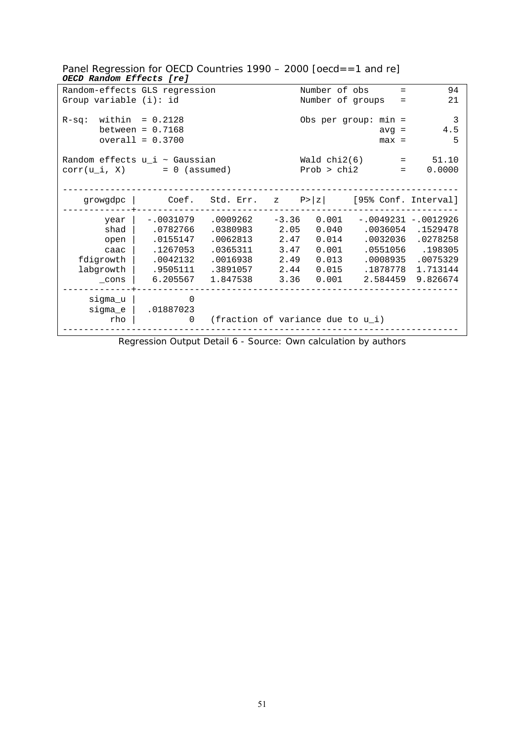*Panel Regression for OECD Countries 1990 – 2000 [oecd==1 and re] OECD Random Effects [re]*

| Random-effects GLS regression |                                          |                                      |         | Number of obs    | $=$                                                                           | 94                   |
|-------------------------------|------------------------------------------|--------------------------------------|---------|------------------|-------------------------------------------------------------------------------|----------------------|
| Group variable $(i)$ : id     |                                          |                                      |         | Number of groups | $=$                                                                           | 21                   |
| $R-Sq:$                       | within = $0.2128$                        |                                      |         |                  | Obs per group: $min =$                                                        | 3                    |
|                               | between = $0.7168$<br>$overall = 0.3700$ |                                      |         |                  | $avg =$<br>$max =$                                                            | 4.5<br>5             |
|                               |                                          |                                      |         |                  |                                                                               |                      |
| Random effects u_i ~ Gaussian |                                          |                                      |         | Wald $chi2(6)$   | $\mathcal{L}(\mathcal{L}(\mathcal{L}))=\mathcal{L}(\mathcal{L}(\mathcal{L}))$ | 51.10                |
| $corr(u_i, X) = 0$ (assumed)  |                                          |                                      |         | Prob > chi2      | $=$                                                                           | 0.0000               |
|                               |                                          |                                      |         |                  |                                                                               |                      |
| growgdpc                      | Coef.                                    | Std. Err. $z \quad P >  z $          |         |                  | [95% Conf. Interval]                                                          |                      |
| year                          | $-.0031079$                              | .0009262                             | $-3.36$ | 0.001            |                                                                               | $-.0049231-.0012926$ |
| shad                          | .0782766                                 | .0380983                             | 2.05    | 0.040            | .0036054                                                                      | .1529478             |
| open                          | .0155147                                 | .0062813                             | 2.47    | 0.014            | .0032036                                                                      | .0278258             |
| caac                          | .1267053                                 | .0365311                             | 3.47    | 0.001            |                                                                               | .0551056.198305      |
| fdigrowth                     | .0042132                                 | .0016938                             | 2.49    | 0.013            | .0008935                                                                      | .0075329             |
| labgrowth                     | .9505111                                 | .3891057 2.44                        |         | 0.015            | .1878778                                                                      | 1.713144             |
| cons                          | 6.205567                                 | 1.847538                             | 3.36    | 0.001            | 2.584459                                                                      | 9.826674             |
| sigma_u                       | $\Omega$                                 |                                      |         |                  |                                                                               |                      |
| sigma_e                       | .01887023                                |                                      |         |                  |                                                                               |                      |
| rho                           | $\mathbf 0$                              | (fraction of variance due to $u_i$ ) |         |                  |                                                                               |                      |
|                               |                                          |                                      |         |                  |                                                                               |                      |

*Regression Output Detail 6 - Source: Own calculation by authors*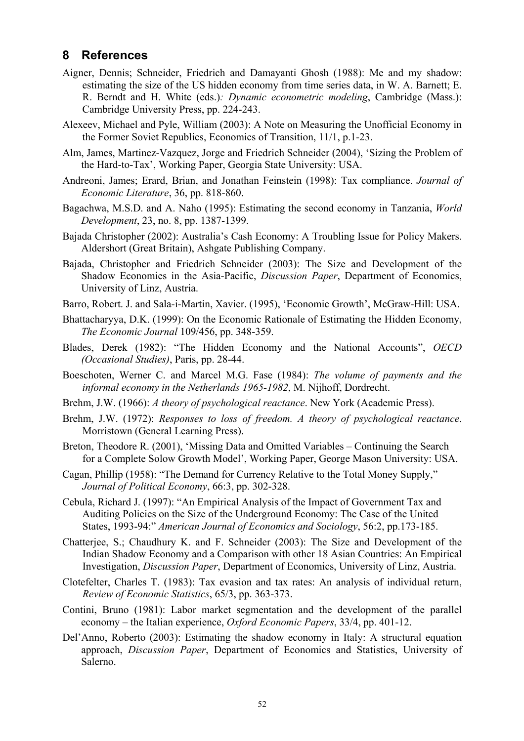### **8 References**

- Aigner, Dennis; Schneider, Friedrich and Damayanti Ghosh (1988): Me and my shadow: estimating the size of the US hidden economy from time series data, in W. A. Barnett; E. R. Berndt and H. White (eds.)*: Dynamic econometric modeling*, Cambridge (Mass.): Cambridge University Press, pp. 224-243.
- Alexeev, Michael and Pyle, William (2003): A Note on Measuring the Unofficial Economy in the Former Soviet Republics, Economics of Transition, 11/1, p.1-23.
- Alm, James, Martinez-Vazquez, Jorge and Friedrich Schneider (2004), 'Sizing the Problem of the Hard-to-Tax', Working Paper, Georgia State University: USA.
- Andreoni, James; Erard, Brian, and Jonathan Feinstein (1998): Tax compliance. *Journal of Economic Literature*, 36, pp. 818-860.
- Bagachwa, M.S.D. and A. Naho (1995): Estimating the second economy in Tanzania, *World Development*, 23, no. 8, pp. 1387-1399.
- Bajada Christopher (2002): Australia's Cash Economy: A Troubling Issue for Policy Makers. Aldershort (Great Britain), Ashgate Publishing Company.
- Bajada, Christopher and Friedrich Schneider (2003): The Size and Development of the Shadow Economies in the Asia-Pacific, *Discussion Paper*, Department of Economics, University of Linz, Austria.
- Barro, Robert. J. and Sala-i-Martin, Xavier. (1995), 'Economic Growth', McGraw-Hill: USA.
- Bhattacharyya, D.K. (1999): On the Economic Rationale of Estimating the Hidden Economy, *The Economic Journal* 109/456, pp. 348-359.
- Blades, Derek (1982): "The Hidden Economy and the National Accounts", *OECD (Occasional Studies)*, Paris, pp. 28-44.
- Boeschoten, Werner C. and Marcel M.G. Fase (1984): *The volume of payments and the informal economy in the Netherlands 1965-1982*, M. Nijhoff, Dordrecht.
- Brehm, J.W. (1966): *A theory of psychological reactance*. New York (Academic Press).
- Brehm, J.W. (1972): *Responses to loss of freedom. A theory of psychological reactance*. Morristown (General Learning Press).
- Breton, Theodore R. (2001), 'Missing Data and Omitted Variables Continuing the Search for a Complete Solow Growth Model', Working Paper, George Mason University: USA.
- Cagan, Phillip (1958): "The Demand for Currency Relative to the Total Money Supply," *Journal of Political Economy*, 66:3, pp. 302-328.
- Cebula, Richard J. (1997): "An Empirical Analysis of the Impact of Government Tax and Auditing Policies on the Size of the Underground Economy: The Case of the United States, 1993-94:" *American Journal of Economics and Sociology*, 56:2, pp.173-185.
- Chatterjee, S.; Chaudhury K. and F. Schneider (2003): The Size and Development of the Indian Shadow Economy and a Comparison with other 18 Asian Countries: An Empirical Investigation, *Discussion Paper*, Department of Economics, University of Linz, Austria.
- Clotefelter, Charles T. (1983): Tax evasion and tax rates: An analysis of individual return, *Review of Economic Statistics*, 65/3, pp. 363-373.
- Contini, Bruno (1981): Labor market segmentation and the development of the parallel economy – the Italian experience, *Oxford Economic Papers*, 33/4, pp. 401-12.
- Del'Anno, Roberto (2003): Estimating the shadow economy in Italy: A structural equation approach, *Discussion Paper*, Department of Economics and Statistics, University of Salerno.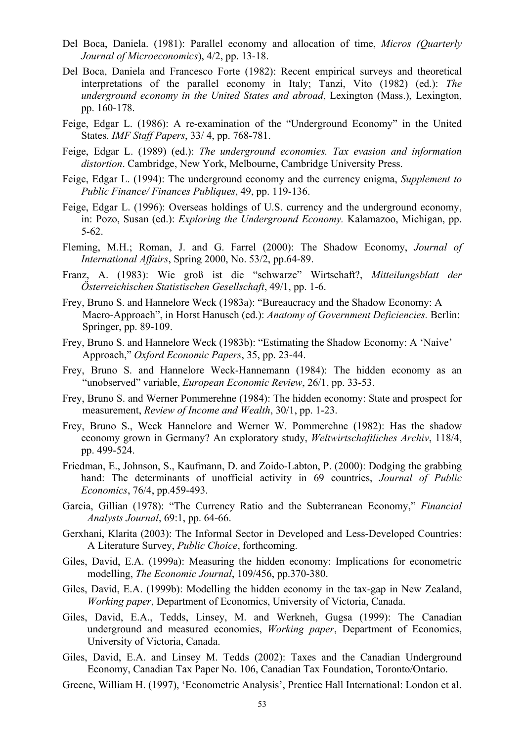- Del Boca, Daniela. (1981): Parallel economy and allocation of time, *Micros (Quarterly Journal of Microeconomics*), 4/2, pp. 13-18.
- Del Boca, Daniela and Francesco Forte (1982): Recent empirical surveys and theoretical interpretations of the parallel economy in Italy; Tanzi, Vito (1982) (ed.): *The underground economy in the United States and abroad*, Lexington (Mass.), Lexington, pp. 160-178.
- Feige, Edgar L. (1986): A re-examination of the "Underground Economy" in the United States. *IMF Staff Papers*, 33/ 4, pp. 768-781.
- Feige, Edgar L. (1989) (ed.): *The underground economies. Tax evasion and information distortion*. Cambridge, New York, Melbourne, Cambridge University Press.
- Feige, Edgar L. (1994): The underground economy and the currency enigma, *Supplement to Public Finance/ Finances Publiques*, 49, pp. 119-136.
- Feige, Edgar L. (1996): Overseas holdings of U.S. currency and the underground economy, in: Pozo, Susan (ed.): *Exploring the Underground Economy.* Kalamazoo, Michigan, pp. 5-62.
- Fleming, M.H.; Roman, J. and G. Farrel (2000): The Shadow Economy, *Journal of International Affairs*, Spring 2000, No. 53/2, pp.64-89.
- Franz, A. (1983): Wie groß ist die "schwarze" Wirtschaft?, *Mitteilungsblatt der Österreichischen Statistischen Gesellschaft*, 49/1, pp. 1-6.
- Frey, Bruno S. and Hannelore Weck (1983a): "Bureaucracy and the Shadow Economy: A Macro-Approach", in Horst Hanusch (ed.): *Anatomy of Government Deficiencies.* Berlin: Springer, pp. 89-109.
- Frey, Bruno S. and Hannelore Weck (1983b): "Estimating the Shadow Economy: A 'Naive' Approach," *Oxford Economic Papers*, 35, pp. 23-44.
- Frey, Bruno S. and Hannelore Weck-Hannemann (1984): The hidden economy as an "unobserved" variable, *European Economic Review*, 26/1, pp. 33-53.
- Frey, Bruno S. and Werner Pommerehne (1984): The hidden economy: State and prospect for measurement, *Review of Income and Wealth*, 30/1, pp. 1-23.
- Frey, Bruno S., Weck Hannelore and Werner W. Pommerehne (1982): Has the shadow economy grown in Germany? An exploratory study, *Weltwirtschaftliches Archiv*, 118/4, pp. 499-524.
- Friedman, E., Johnson, S., Kaufmann, D. and Zoido-Labton, P. (2000): Dodging the grabbing hand: The determinants of unofficial activity in 69 countries, *Journal of Public Economics*, 76/4, pp.459-493.
- Garcia, Gillian (1978): "The Currency Ratio and the Subterranean Economy," *Financial Analysts Journal*, 69:1, pp. 64-66.
- Gerxhani, Klarita (2003): The Informal Sector in Developed and Less-Developed Countries: A Literature Survey, *Public Choice*, forthcoming.
- Giles, David, E.A. (1999a): Measuring the hidden economy: Implications for econometric modelling, *The Economic Journal*, 109/456, pp.370-380.
- Giles, David, E.A. (1999b): Modelling the hidden economy in the tax-gap in New Zealand, *Working paper*, Department of Economics, University of Victoria, Canada.
- Giles, David, E.A., Tedds, Linsey, M. and Werkneh, Gugsa (1999): The Canadian underground and measured economies, *Working paper*, Department of Economics, University of Victoria, Canada.
- Giles, David, E.A. and Linsey M. Tedds (2002): Taxes and the Canadian Underground Economy, Canadian Tax Paper No. 106, Canadian Tax Foundation, Toronto/Ontario.
- Greene, William H. (1997), 'Econometric Analysis', Prentice Hall International: London et al.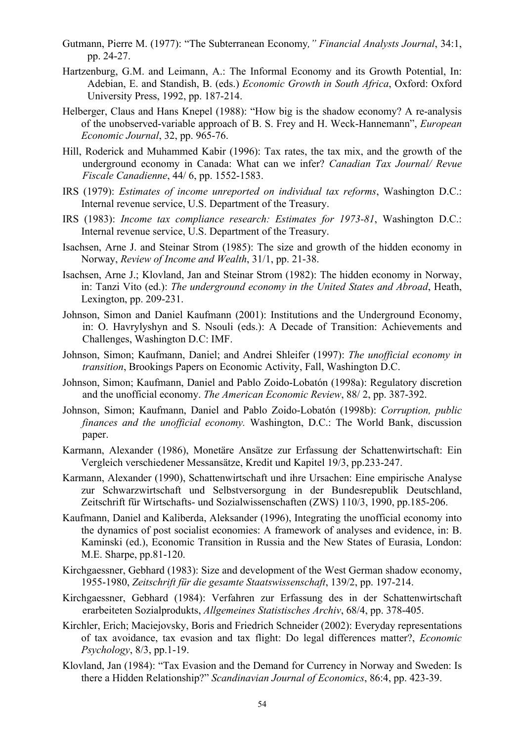- Gutmann, Pierre M. (1977): "The Subterranean Economy*," Financial Analysts Journal*, 34:1, pp. 24-27.
- Hartzenburg, G.M. and Leimann, A.: The Informal Economy and its Growth Potential, In: Adebian, E. and Standish, B. (eds.) *Economic Growth in South Africa*, Oxford: Oxford University Press, 1992, pp. 187-214.
- Helberger, Claus and Hans Knepel (1988): "How big is the shadow economy? A re-analysis of the unobserved-variable approach of B. S. Frey and H. Weck-Hannemann", *European Economic Journal*, 32, pp. 965-76.
- Hill, Roderick and Muhammed Kabir (1996): Tax rates, the tax mix, and the growth of the underground economy in Canada: What can we infer? *Canadian Tax Journal/ Revue Fiscale Canadienne*, 44/ 6, pp. 1552-1583.
- IRS (1979): *Estimates of income unreported on individual tax reforms*, Washington D.C.: Internal revenue service, U.S. Department of the Treasury.
- IRS (1983): *Income tax compliance research: Estimates for 1973-81*, Washington D.C.: Internal revenue service, U.S. Department of the Treasury.
- Isachsen, Arne J. and Steinar Strom (1985): The size and growth of the hidden economy in Norway, *Review of Income and Wealth*, 31/1, pp. 21-38.
- Isachsen, Arne J.; Klovland, Jan and Steinar Strom (1982): The hidden economy in Norway, in: Tanzi Vito (ed.): *The underground economy in the United States and Abroad*, Heath, Lexington, pp. 209-231.
- Johnson, Simon and Daniel Kaufmann (2001): Institutions and the Underground Economy, in: O. Havrylyshyn and S. Nsouli (eds.): A Decade of Transition: Achievements and Challenges, Washington D.C: IMF.
- Johnson, Simon; Kaufmann, Daniel; and Andrei Shleifer (1997): *The unofficial economy in transition*, Brookings Papers on Economic Activity, Fall, Washington D.C.
- Johnson, Simon; Kaufmann, Daniel and Pablo Zoido-Lobatón (1998a): Regulatory discretion and the unofficial economy. *The American Economic Review*, 88/ 2, pp. 387-392.
- Johnson, Simon; Kaufmann, Daniel and Pablo Zoido-Lobatón (1998b): *Corruption, public finances and the unofficial economy.* Washington, D.C.: The World Bank, discussion paper.
- Karmann, Alexander (1986), Monetäre Ansätze zur Erfassung der Schattenwirtschaft: Ein Vergleich verschiedener Messansätze, Kredit und Kapitel 19/3, pp.233-247.
- Karmann, Alexander (1990), Schattenwirtschaft und ihre Ursachen: Eine empirische Analyse zur Schwarzwirtschaft und Selbstversorgung in der Bundesrepublik Deutschland, Zeitschrift für Wirtschafts- und Sozialwissenschaften (ZWS) 110/3, 1990, pp.185-206.
- Kaufmann, Daniel and Kaliberda, Aleksander (1996), Integrating the unofficial economy into the dynamics of post socialist economies: A framework of analyses and evidence, in: B. Kaminski (ed.), Economic Transition in Russia and the New States of Eurasia, London: M.E. Sharpe, pp.81-120.
- Kirchgaessner, Gebhard (1983): Size and development of the West German shadow economy, 1955-1980, *Zeitschrift für die gesamte Staatswissenschaft*, 139/2, pp. 197-214.
- Kirchgaessner, Gebhard (1984): Verfahren zur Erfassung des in der Schattenwirtschaft erarbeiteten Sozialprodukts, *Allgemeines Statistisches Archiv*, 68/4, pp. 378-405.
- Kirchler, Erich; Maciejovsky, Boris and Friedrich Schneider (2002): Everyday representations of tax avoidance, tax evasion and tax flight: Do legal differences matter?, *Economic Psychology*, 8/3, pp.1-19.
- Klovland, Jan (1984): "Tax Evasion and the Demand for Currency in Norway and Sweden: Is there a Hidden Relationship?" *Scandinavian Journal of Economics*, 86:4, pp. 423-39.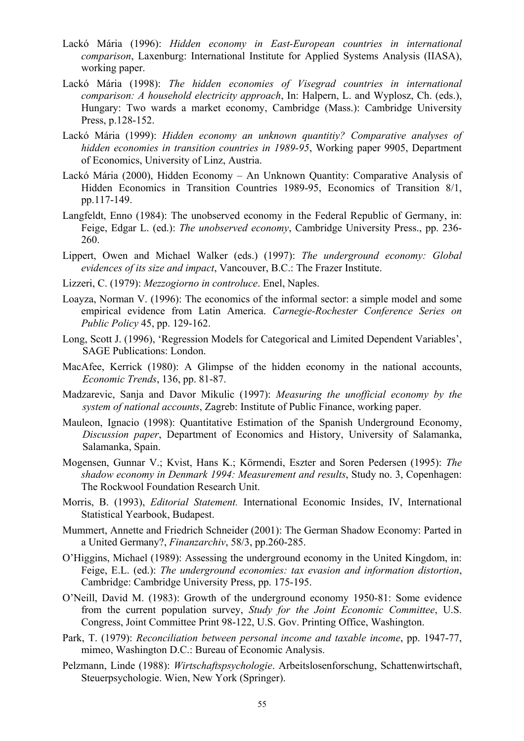- Lackó Mária (1996): *Hidden economy in East-European countries in international comparison*, Laxenburg: International Institute for Applied Systems Analysis (IIASA), working paper.
- Lackó Mária (1998): *The hidden economies of Visegrad countries in international comparison: A household electricity approach*, In: Halpern, L. and Wyplosz, Ch. (eds.), Hungary: Two wards a market economy, Cambridge (Mass.): Cambridge University Press, p.128-152.
- Lackó Mária (1999): *Hidden economy an unknown quantitiy? Comparative analyses of hidden economies in transition countries in 1989-95*, Working paper 9905, Department of Economics, University of Linz, Austria.
- Lackó Mária (2000), Hidden Economy An Unknown Quantity: Comparative Analysis of Hidden Economics in Transition Countries 1989-95, Economics of Transition 8/1, pp.117-149.
- Langfeldt, Enno (1984): The unobserved economy in the Federal Republic of Germany, in: Feige, Edgar L. (ed.): *The unobserved economy*, Cambridge University Press., pp. 236- 260.
- Lippert, Owen and Michael Walker (eds.) (1997): *The underground economy: Global evidences of its size and impact*, Vancouver, B.C.: The Frazer Institute.
- Lizzeri, C. (1979): *Mezzogiorno in controluce*. Enel, Naples.
- Loayza, Norman V. (1996): The economics of the informal sector: a simple model and some empirical evidence from Latin America. *Carnegie-Rochester Conference Series on Public Policy* 45, pp. 129-162.
- Long, Scott J. (1996), 'Regression Models for Categorical and Limited Dependent Variables', SAGE Publications: London.
- MacAfee, Kerrick (1980): A Glimpse of the hidden economy in the national accounts, *Economic Trends*, 136, pp. 81-87.
- Madzarevic, Sanja and Davor Mikulic (1997): *Measuring the unofficial economy by the system of national accounts*, Zagreb: Institute of Public Finance, working paper.
- Mauleon, Ignacio (1998): Quantitative Estimation of the Spanish Underground Economy, *Discussion paper*, Department of Economics and History, University of Salamanka, Salamanka, Spain.
- Mogensen, Gunnar V.; Kvist, Hans K.; Körmendi, Eszter and Soren Pedersen (1995): *The shadow economy in Denmark 1994: Measurement and results*, Study no. 3, Copenhagen: The Rockwool Foundation Research Unit.
- Morris, B. (1993), *Editorial Statement.* International Economic Insides, IV, International Statistical Yearbook, Budapest.
- Mummert, Annette and Friedrich Schneider (2001): The German Shadow Economy: Parted in a United Germany?, *Finanzarchiv*, 58/3, pp.260-285.
- O'Higgins, Michael (1989): Assessing the underground economy in the United Kingdom, in: Feige, E.L. (ed.): *The underground economies: tax evasion and information distortion*, Cambridge: Cambridge University Press, pp. 175-195.
- O'Neill, David M. (1983): Growth of the underground economy 1950-81: Some evidence from the current population survey, *Study for the Joint Economic Committee*, U.S. Congress, Joint Committee Print 98-122, U.S. Gov. Printing Office, Washington.
- Park, T. (1979): *Reconciliation between personal income and taxable income*, pp. 1947-77, mimeo, Washington D.C.: Bureau of Economic Analysis.
- Pelzmann, Linde (1988): *Wirtschaftspsychologie*. Arbeitslosenforschung, Schattenwirtschaft, Steuerpsychologie. Wien, New York (Springer).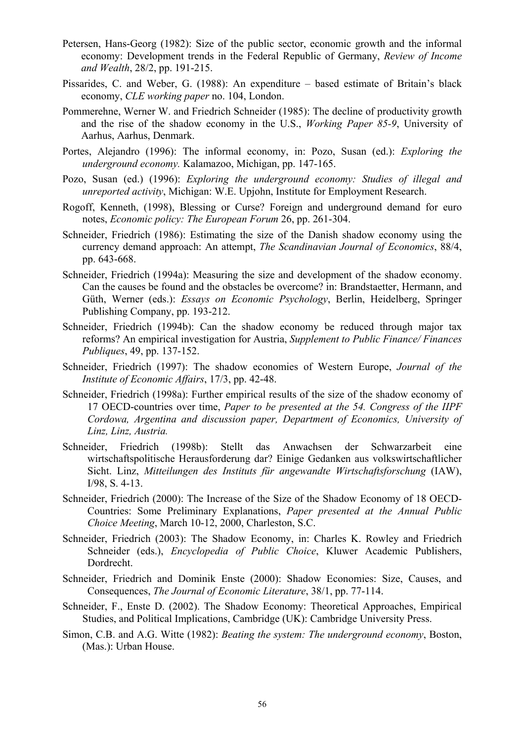- Petersen, Hans-Georg (1982): Size of the public sector, economic growth and the informal economy: Development trends in the Federal Republic of Germany, *Review of Income and Wealth*, 28/2, pp. 191-215.
- Pissarides, C. and Weber, G. (1988): An expenditure based estimate of Britain's black economy, *CLE working paper* no. 104, London.
- Pommerehne, Werner W. and Friedrich Schneider (1985): The decline of productivity growth and the rise of the shadow economy in the U.S., *Working Paper 85-9*, University of Aarhus, Aarhus, Denmark.
- Portes, Alejandro (1996): The informal economy, in: Pozo, Susan (ed.): *Exploring the underground economy.* Kalamazoo, Michigan, pp. 147-165.
- Pozo, Susan (ed.) (1996): *Exploring the underground economy: Studies of illegal and unreported activity*, Michigan: W.E. Upjohn, Institute for Employment Research.
- Rogoff, Kenneth, (1998), Blessing or Curse? Foreign and underground demand for euro notes, *Economic policy: The European Forum* 26, pp. 261-304.
- Schneider, Friedrich (1986): Estimating the size of the Danish shadow economy using the currency demand approach: An attempt, *The Scandinavian Journal of Economics*, 88/4, pp. 643-668.
- Schneider, Friedrich (1994a): Measuring the size and development of the shadow economy. Can the causes be found and the obstacles be overcome? in: Brandstaetter, Hermann, and Güth, Werner (eds.): *Essays on Economic Psychology*, Berlin, Heidelberg, Springer Publishing Company, pp. 193-212.
- Schneider, Friedrich (1994b): Can the shadow economy be reduced through major tax reforms? An empirical investigation for Austria, *Supplement to Public Finance/ Finances Publiques*, 49, pp. 137-152.
- Schneider, Friedrich (1997): The shadow economies of Western Europe, *Journal of the Institute of Economic Affairs*, 17/3, pp. 42-48.
- Schneider, Friedrich (1998a): Further empirical results of the size of the shadow economy of 17 OECD-countries over time, *Paper to be presented at the 54. Congress of the IIPF Cordowa, Argentina and discussion paper, Department of Economics, University of Linz, Linz, Austria.*
- Schneider, Friedrich (1998b): Stellt das Anwachsen der Schwarzarbeit eine wirtschaftspolitische Herausforderung dar? Einige Gedanken aus volkswirtschaftlicher Sicht. Linz, *Mitteilungen des Instituts für angewandte Wirtschaftsforschung* (IAW), I/98, S. 4-13.
- Schneider, Friedrich (2000): The Increase of the Size of the Shadow Economy of 18 OECD-Countries: Some Preliminary Explanations, *Paper presented at the Annual Public Choice Meeting*, March 10-12, 2000, Charleston, S.C.
- Schneider, Friedrich (2003): The Shadow Economy, in: Charles K. Rowley and Friedrich Schneider (eds.), *Encyclopedia of Public Choice*, Kluwer Academic Publishers, Dordrecht.
- Schneider, Friedrich and Dominik Enste (2000): Shadow Economies: Size, Causes, and Consequences, *The Journal of Economic Literature*, 38/1, pp. 77-114.
- Schneider, F., Enste D. (2002). The Shadow Economy: Theoretical Approaches, Empirical Studies, and Political Implications, Cambridge (UK): Cambridge University Press.
- Simon, C.B. and A.G. Witte (1982): *Beating the system: The underground economy*, Boston, (Mas.): Urban House.